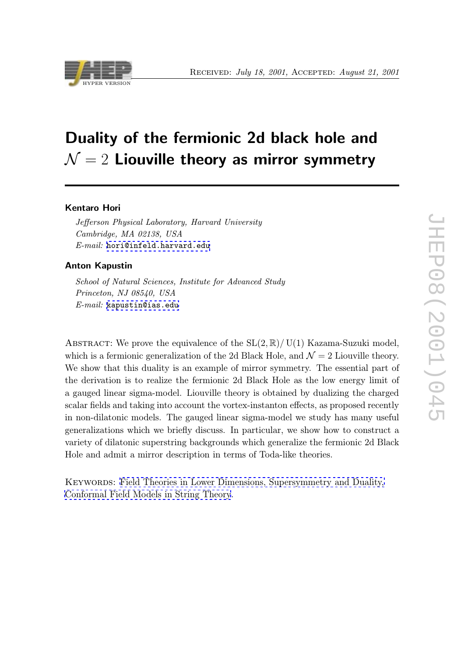# Duality of the fermionic 2d black hole and  $\mathcal{N}=2$  Liouville theory as mirror symmetry

## Kentaro Hori

Jefferson Physical Laboratory, Harvard University Cambridge, MA 02138, USA E-mail: hori@infeld.harvard.edu

## Anton Kapustin

School o[f Natural Sciences, Institute](mailto:hori@infeld.harvard.edu) for Advanced Study Princeton, NJ 08540, USA  $E$ -*mail*: kapustin@ias.edu

ABSTRACT: [We prove the eq](mailto:kapustin@ias.edu)uivalence of the  $SL(2,\mathbb{R})/ U(1)$  Kazama-Suzuki model, which is a fermionic generalization of the 2d Black Hole, and  $\mathcal{N}=2$  Liouville theory. We show that this duality is an example of mirror symmetry. The essential part of the derivation is to realize the fermionic 2d Black Hole as the low energy limit of a gauged linear sigma-model. Liouville theory is obtained by dualizing the charged scalar fields and taking into account the vortex-instanton effects, as proposed recently in non-dilatonic models. The gauged linear sigma-model we study has many useful generalizations which we briefly discuss. In particular, we show how to construct a variety of dilatonic superstring backgrounds which generalize the fermionic 2d Black Hole and admit a mirror description in terms of Toda-like theories.

Keywords: Field Theories in Lower Dimensions, Supersymmetry and Duality, Conformal Field Models in String Theory.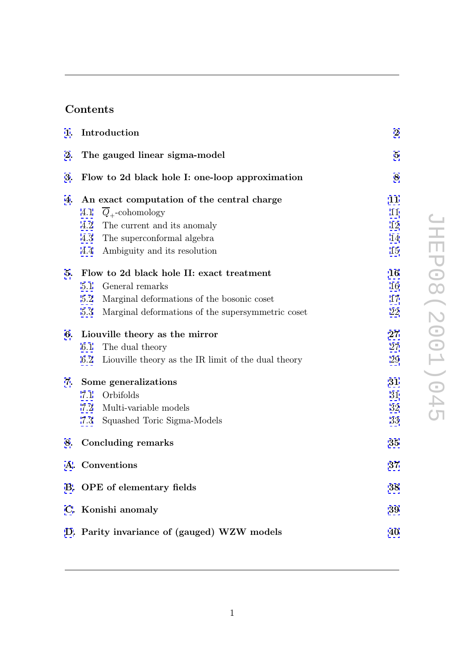# Contents

| 1. | Introduction                                                   | $\bf{2}$ |
|----|----------------------------------------------------------------|----------|
| 2. | The gauged linear sigma-model                                  | $\bf{5}$ |
| 3. | Flow to 2d black hole I: one-loop approximation                | 8        |
| 4. | An exact computation of the central charge                     | 11       |
|    | $\overline{Q}_{+}$ -cohomology<br>4.1                          | 11       |
|    | 4.2<br>The current and its anomaly                             | 12       |
|    | 4.3<br>The superconformal algebra                              | 14       |
|    | Ambiguity and its resolution<br>4.4                            | 15       |
| 5. | Flow to 2d black hole II: exact treatment                      | 16       |
|    | 5.1<br>General remarks                                         | 16       |
|    | Marginal deformations of the bosonic coset<br>5.2              | 17       |
|    | Marginal deformations of the supersymmetric coset<br>5.3       | 22       |
| 6. | Liouville theory as the mirror                                 | $27\,$   |
|    | The dual theory<br>6.1                                         | 27       |
|    | Liouville theory as the IR limit of the dual theory<br>$6.2\,$ | 29       |
| 7. | Some generalizations                                           | 31       |
|    | Orbifolds<br>7.1                                               | 31       |
|    | 7.2<br>Multi-variable models                                   | 32       |
|    | 7.3<br>Squashed Toric Sigma-Models                             | 33       |
| 8. | <b>Concluding remarks</b>                                      | 35       |
|    | A. Conventions                                                 | 37       |
|    | B. OPE of elementary fields                                    | 38       |
|    | C. Konishi anomaly                                             | 39       |
|    | D. Parity invariance of (gauged) WZW models                    | 40       |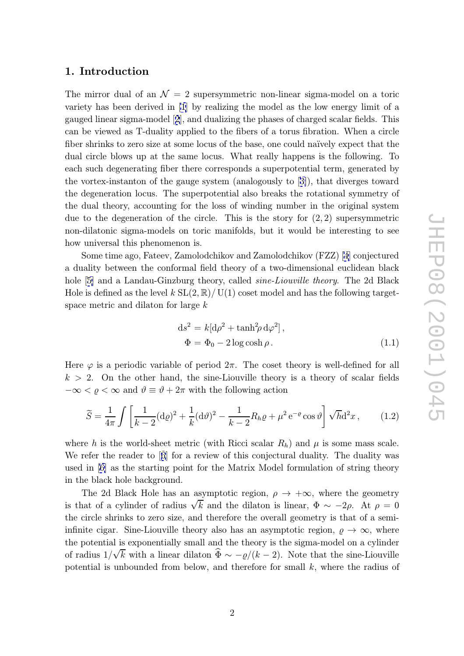## <span id="page-2-0"></span>1. Introduction

The mirror dual of an  $\mathcal{N}=2$  supersymmetric non-linear sigma-model on a toric variety has been derived in [1] by realizing the model as the low energy limit of a gauged linear sigma-model [2], and dualizing the phases of charged scalar fields. This can be viewed as T-duality applied to the fibers of a torus fibration. When a circle fiber shrinks to zero size at s[om](#page-42-0)e locus of the base, one could naïvely expect that the dual circle blows up at the [s](#page-42-0)ame locus. What really happens is the following. To each such degenerating fiber there corresponds a superpotential term, generated by the vortex-instanton of the gauge system (analogously to [3]), that diverges toward the degeneration locus. The superpotential also breaks the rotational symmetry of the dual theory, accounting for the loss of winding number in the original system due to the degeneration of the circle. This is the st[or](#page-42-0)y for  $(2, 2)$  supersymmetric non-dilatonic sigma-models on toric manifolds, but it would be interesting to see how universal this phenomenon is.

Some time ago, Fateev, Zamolodchikov and Zamolodchikov (FZZ) [4] conjectured a duality between the conformal field theory of a two-dimensional euclidean black hole [5] and a Landau-Ginzburg theory, called *sine-Liouville theory*. The 2d Black Hole is defined as the level  $k SL(2, \mathbb{R})/$  U(1) coset model and has the fo[llo](#page-42-0)wing targetspace metric and dilaton for large k

$$
ds^{2} = k[d\rho^{2} + \tanh^{2}\rho d\varphi^{2}],
$$
  
\n
$$
\Phi = \Phi_{0} - 2\log \cosh \rho.
$$
\n(1.1)

Here  $\varphi$  is a periodic variable of period  $2\pi$ . The coset theory is well-defined for all  $k > 2$ . On the other hand, the sine-Liouville theory is a theory of scalar fields  $-\infty < \varrho < \infty$  and  $\vartheta \equiv \vartheta + 2\pi$  with the following action  $\begin{array}{c} \varphi \ 2 \ < \ \widetilde S \end{array}$ <u>za za zapadni za predsjednika u predsjednika u predsjednika u predsjednika u predsjednika u predsjednika u pre</u>

$$
\widetilde{S} = \frac{1}{4\pi} \int \left[ \frac{1}{k-2} (\mathrm{d}\varrho)^2 + \frac{1}{k} (\mathrm{d}\vartheta)^2 - \frac{1}{k-2} R_h \varrho + \mu^2 \, \mathrm{e}^{-\varrho} \cos \vartheta \right] \sqrt{h} \mathrm{d}^2 x \,, \tag{1.2}
$$

where h is the world-sheet metric (with Ricci scalar  $R_h$ ) and  $\mu$  is some mass scale. We refer the reader to [6] for a review of this conjectural duality. The duality was used in [6] as the starting point for the Matrix Model formulation of string theory in the black hole background.

The 2d Black Hole [h](#page-42-0)as an asymptotic region,  $\rho \to +\infty$ , where the geometry is that [of](#page-42-0) a cylinder of radius  $\sqrt{k}$  and the dilaton is linear,  $\Phi \sim -2\rho$ . At  $\rho = 0$ the circle shrinks to zero size, and therefore the overall geometry is that of a semiinfinite cigar. Sine-Liouville theory also has an asymptotic region,  $\varrho \to \infty$ , where the potential is exponentially small and the theory is the sigma-model on a cylinder is that of a cylinder of radius  $\sqrt{k}$  and the dilaton is linear,  $\Phi \sim -2\rho$ . At  $\rho = 0$ <br>the circle shrinks to zero size, and therefore the overall geometry is that of a semi-<br>infinite cigar. Sine-Liouville theory also ha potential is unbounded from below, and therefore for small k, where the radius of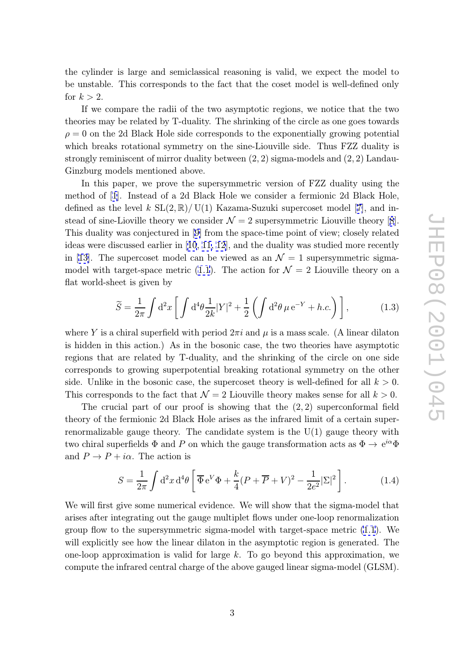<span id="page-3-0"></span>the cylinder is large and semiclassical reasoning is valid, we expect the model to be unstable. This corresponds to the fact that the coset model is well-defined only for  $k > 2$ .

If we compare the radii of the two asymptotic regions, we notice that the two theories may be related by T-duality. The shrinking of the circle as one goes towards  $\rho = 0$  on the 2d Black Hole side corresponds to the exponentially growing potential which breaks rotational symmetry on the sine-Liouville side. Thus FZZ duality is strongly reminiscent of mirror duality between  $(2, 2)$  sigma-models and  $(2, 2)$  Landau-Ginzburg models mentioned above.

In this paper, we prove the supersymmetric version of FZZ duality using the method of [1]. Instead of a 2d Black Hole we consider a fermionic 2d Black Hole, defined as the level  $k \operatorname{SL}(2,\mathbb{R})/ \operatorname{U}(1)$  Kazama-Suzuki supercoset model [7], and instead of sine-Lioville theory we consider  $\mathcal{N} = 2$  supersymmetric Liouville theory [8]. This dualit[y w](#page-42-0)as conjectured in [9] from the space-time point of view; closely related ideas were discussed earlier in  $[10, 11, 12]$ , and the duality was studied m[ore](#page-42-0) recently in [13]. The supercoset model can be viewed as an  $\mathcal{N}=1$  $\mathcal{N}=1$  $\mathcal{N}=1$  supersymmetric sigma-model with target-space metric [\(1](#page-42-0).1). The action for  $\mathcal{N}=2$  Liouville theory on a flat world-sheet is given by scussed earlier in [10, 11, 12], and the duality was studied<br>supercoset model can be viewed as an  $\mathcal{N} = 1$  supersym<br>target-space metric (1.1). The action for  $\mathcal{N} = 2$  Liouvill<br>eet is given by<br> $\widetilde{S} = \frac{1}{2\pi} \int d^2$ 

$$
\widetilde{S} = \frac{1}{2\pi} \int d^2x \left[ \int d^4\theta \frac{1}{2k} |Y|^2 + \frac{1}{2} \left( \int d^2\theta \,\mu \,\mathrm{e}^{-Y} + h.c. \right) \right],\tag{1.3}
$$

where Y is a chiral superfield with period  $2\pi i$  and  $\mu$  is a mass scale. (A linear dilaton is hidden in this action.) As in the bosonic case, the two theories have asymptotic regions that are related by T-duality, and the shrinking of the circle on one side corresponds to growing superpotential breaking rotational symmetry on the other side. Unlike in the bosonic case, the supercoset theory is well-defined for all  $k > 0$ . This corresponds to the fact that  $\mathcal{N}=2$  Liouville theory makes sense for all  $k>0$ .

The crucial part of our proof is showing that the  $(2, 2)$  superconformal field theory of the fermionic 2d Black Hole arises as the infrared limit of a certain superrenormalizable gauge theory. The candidate system is the U(1) gauge theory with two chiral superfields  $\Phi$  and P on which the gauge transformation acts as  $\Phi \to e^{i\alpha} \Phi$ and  $P \to P + i\alpha$ . The action is fermionic 2d Black<br>le gauge theory. 7<br>perfields Φ and P d<br>- *iα*. The action is<br> $S = \frac{1}{2\pi} \int d^2x d^4\theta$ 

$$
S = \frac{1}{2\pi} \int d^2x \, d^4\theta \left[ \overline{\Phi} e^V \Phi + \frac{k}{4} (P + \overline{P} + V)^2 - \frac{1}{2e^2} |\Sigma|^2 \right]. \tag{1.4}
$$

We will first give some numerical evidence. We will show that the sigma-model that arises after integrating out the gauge multiplet flows under one-loop renormalization group flow to the supersymmetric sigma-model with target-space metric (1.1). We will explicitly see how the linear dilaton in the asymptotic region is generated. The one-loop approximation is valid for large k. To go beyond this approximation, we compute the infrared central charge of the above gauged linear sigma-model [\(GL](#page-2-0)SM).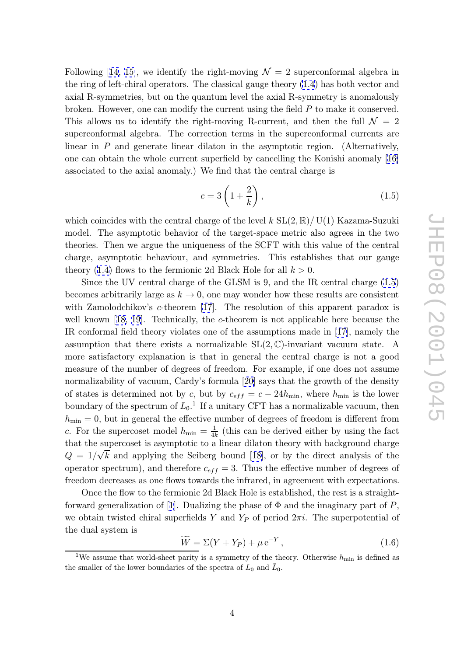Following [14, 15], we identify the right-moving  $\mathcal{N}=2$  superconformal algebra in the ring of left-chiral operators. The classical gauge theory (1.4) has both vector and axial R-symmetries, but on the quantum level the axial R-symmetry is anomalously broken. H[owe](#page-43-0)v[er,](#page-43-0) one can modify the current using the field P to make it conserved. This allows us to identify the right-moving R-current, a[nd t](#page-3-0)hen the full  $\mathcal{N} = 2$ superconformal algebra. The correction terms in the superconformal currents are linear in P and generate linear dilaton in the asymptotic region. (Alternatively, one can obtain the whole current superfield by cancelling the Konishi anomaly [16] associated to the axial anomaly.) We find that the central charge is rection<br>iilaton<br>superfic<br>We find<br> $c = 3 \int$ 

$$
c = 3\left(1 + \frac{2}{k}\right),\tag{1.5}
$$

which coincides with the central charge of the level  $k$  SL $(2,\mathbb{R})/$ U(1) Kazama-Suzuki model. The asymptotic behavior of the target-space metric also agrees in the two theories. Then we argue the uniqueness of the SCFT with this value of the central charge, asymptotic behaviour, and symmetries. This establishes that our gauge theory (1.4) flows to the fermionic 2d Black Hole for all  $k > 0$ .

Since the UV central charge of the GLSM is 9, and the IR central charge (1.5) becomes arbitrarily large as  $k \to 0$ , one may wonder how these results are consistent with Za[mo](#page-3-0)lodchikov's *c*-theorem [17]. The resolution of this apparent paradox is well known [18, 19]. Technically, the c-theorem is not applicable here because the IR conformal field theory violates one of the assumptions made in [17], namely the assumption that there exists a n[orm](#page-43-0)alizable  $SL(2, \mathbb{C})$ -invariant vacuum state. A more satisfa[cto](#page-43-0)r[y e](#page-43-0)xplanation is that in general the central charge is not a good measure of the number of degrees of freedom. For example, if one [doe](#page-43-0)s not assume normalizability of vacuum, Cardy's formula [20] says that the growth of the density of states is determined not by c, but by  $c_{eff} = c - 24h_{\min}$ , where  $h_{\min}$  is the lower boundary of the spectrum of  $L_0$ <sup>1</sup>. If a unitary CFT has a normalizable vacuum, then  $h_{\min} = 0$ , but in general the effective numbe[r of](#page-43-0) degrees of freedom is different from c. For the supercoset model  $h_{\min} = \frac{1}{4k}$  (this can be derived either by using the fact that the supercoset is asymptotic to a linear dilaton theory with background charge  $Q = 1/\sqrt{k}$  and applying the Seiberg bound [18], or by the direct analysis of the operator spectrum), and therefore  $c_{eff} = 3$ . Thus the effective number of degrees of freedom decreases as one flows towards the infrared, in agreement with expectations.

Once the flow to the fermionic 2d Black Ho[le i](#page-43-0)s established, the rest is a straightforward generalization of [1]. Dualizing the phase of  $\Phi$  and the imaginary part of  $P$ , we obtain twisted chiral superfields Y and  $Y_P$  of period  $2\pi i$ . The superpotential of the dual system is ionic 2d<br>Dualizii<br>erfields I $\widetilde{W} = \Sigma ($ 

$$
\widetilde{W} = \Sigma (Y + Y_P) + \mu e^{-Y}, \qquad (1.6)
$$

<sup>&</sup>lt;sup>1</sup>We assume that world-sheet parity is a symmetry of the theory. Otherwise  $h_{\min}$  is defined as the smaller of the lower boundaries of the spectra of  $L_0$  and  $\tilde{L}_0$ .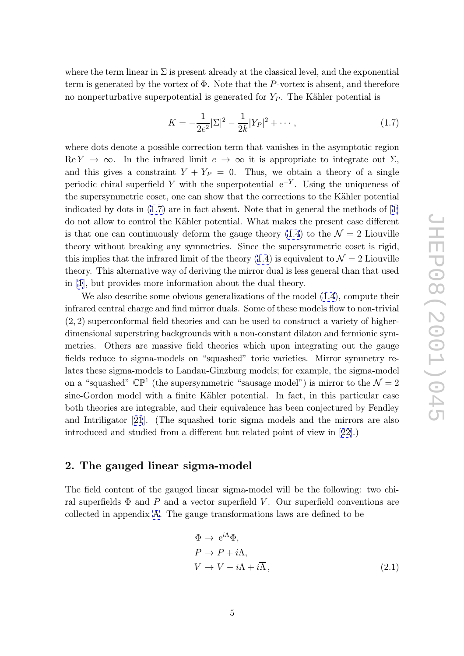<span id="page-5-0"></span>where the term linear in  $\Sigma$  is present already at the classical level, and the exponential term is generated by the vortex of Φ. Note that the P-vortex is absent, and therefore no nonperturbative superpotential is generated for  $Y_P$ . The Kähler potential is

$$
K = -\frac{1}{2e^2} |\Sigma|^2 - \frac{1}{2k} |Y_P|^2 + \cdots, \qquad (1.7)
$$

where dots denote a possible correction term that vanishes in the asymptotic region  $\text{Re } Y \to \infty$ . In the infrared limit  $e \to \infty$  it is appropriate to integrate out  $\Sigma$ , and this gives a constraint  $Y + Y_P = 0$ . Thus, we obtain a theory of a single periodic chiral superfield Y with the superpotential  $e^{-Y}$ . Using the uniqueness of the supersymmetric coset, one can show that the corrections to the Kähler potential indicated by dots in  $(1.7)$  are in fact absent. Note that in general the methods of  $[1]$ do not allow to control the K¨ahler potential. What makes the present case different is that one can continuously deform the gauge theory  $(1.4)$  to the  $\mathcal{N}=2$  Liouville theory without breaking any symmetries. Since the supersymmetric coset is rigi[d,](#page-42-0) this implies that the infrared limit of the theory (1.4) is equivalent to  $\mathcal{N}=2$  Liouville theory. This alternative way of deriving the mirror dual [is le](#page-3-0)ss general than that used in [1], but provides more information about the dual theory.

We also describe some obvious generalizatio[ns o](#page-3-0)f the model (1.4), compute their infrared central charge and find mirror duals. Some of these models flow to non-trivial (2 , [2\)](#page-42-0) superconformal field theories and can be used to construct a variety of higherdimensional superstring backgrounds with a non-constant dilaton [and](#page-3-0) fermionic symmetries. Others are massive field theories which upon integrating out the gauge fields reduce to sigma-models on "squashed" toric varieties. Mirror symmetry relates these sigma-models to Landau-Ginzburg models; for example, the sigma-model on a "squashed"  $\mathbb{CP}^1$  (the supersymmetric "sausage model") is mirror to the  $\mathcal{N}=2$ sine-Gordon model with a finite Kähler potential. In fact, in this particular case both theories are integrable, and their equivalence has been conjectured by Fendley and Intriligator [21]. (The squashed toric sigma models and the mirrors are also introduced and studied from a different but related point of view in [22].)

### 2. The gaug[ed](#page-43-0) linear sigma-model

The field content of the gauged linear sigma-model will be the following: two chiral superfields  $\Phi$  and P and a vector superfield V. Our superfield conventions are collected in appendix A. The gauge transformations laws are defined to be

$$
\Phi \to e^{i\Lambda} \Phi,
$$
  
\n
$$
P \to P + i\Lambda,
$$
  
\n
$$
V \to V - i\Lambda + i\overline{\Lambda},
$$
\n(2.1)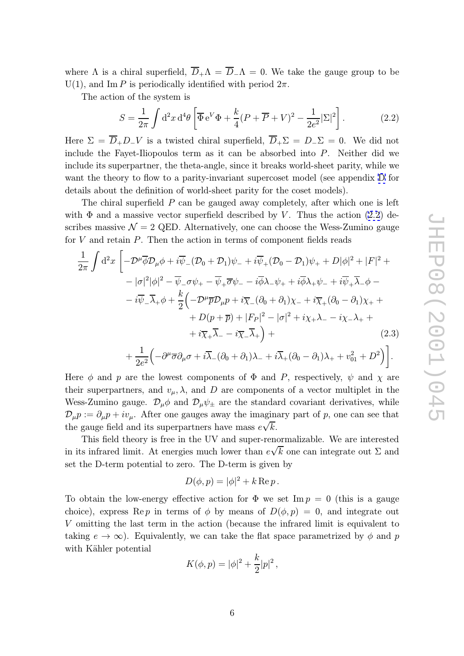<span id="page-6-0"></span>where  $\Lambda$  is a chiral superfield,  $D_+\Lambda = D_-\Lambda = 0$ . We take the gauge group to be  $U(1)$ , and Im P is periodically identified with period  $2\pi$ .

The action of the system is

chiral superfield, 
$$
\overline{D}_+ \Lambda = \overline{D}_- \Lambda = 0
$$
. We take the gauge group to be  
\n*P* is periodically identified with period  $2\pi$ .  
\nIn of the system is  
\n
$$
S = \frac{1}{2\pi} \int d^2x d^4\theta \left[ \overline{\Phi} e^V \Phi + \frac{k}{4} (P + \overline{P} + V)^2 - \frac{1}{2e^2} |\Sigma|^2 \right].
$$
\n(2.2)

Here  $\Sigma = D_+ D_- V$  is a twisted chiral superfield,  $D_+ \Sigma = D_- \Sigma = 0$ . We did not include the Fayet-Iliopoulos term as it can be absorbed into P. Neither did we include its superpartner, the theta-angle, since it breaks world-sheet parity, while we want the theory to flow to a parity-invariant supercoset model (see appendix D for details about the definition of world-sheet parity for the coset models).

The chiral superfield  $P$  can be gauged away completely, after which one is left with  $\Phi$  and a massive vector superfield described by V. Thus the action (2.[2\)](#page-40-0) describes massive  $\mathcal{N} = 2$  QED. Alternatively, one can choose the Wess-Zumino gauge for V and retain P. Then the action in terms of component fields reads

$$
\frac{1}{2\pi} \int d^2x \left[ -\mathcal{D}^{\mu}\overline{\phi} \mathcal{D}_{\mu}\phi + i\overline{\psi}_{-}(\mathcal{D}_{0} + \mathcal{D}_{1})\psi_{-} + i\overline{\psi}_{+}(\mathcal{D}_{0} - \mathcal{D}_{1})\psi_{+} + D|\phi|^{2} + |F|^{2} + \right. \\ \left. - |\sigma|^{2}|\phi|^{2} - \overline{\psi}_{-}\sigma\psi_{+} - \overline{\psi}_{+}\overline{\sigma}\psi_{-} - i\overline{\phi}\lambda_{-}\psi_{+} + i\overline{\phi}\lambda_{+}\psi_{-} + i\overline{\psi}_{+}\overline{\lambda}_{-}\phi - \right. \\ \left. - i\overline{\psi}_{-}\overline{\lambda}_{+}\phi + \frac{k}{2}\left(-\mathcal{D}^{\mu}\overline{p}\mathcal{D}_{\mu}p + i\overline{\chi}_{-}(\partial_{0} + \partial_{1})\chi_{-} + i\overline{\chi}_{+}(\partial_{0} - \partial_{1})\chi_{+} + \right. \\ \left. + D(p + \overline{p}) + |F_{P}|^{2} - |\sigma|^{2} + i\chi_{+}\lambda_{-} - i\chi_{-}\lambda_{+} + \right. \\ \left. + i\overline{\chi}_{+}\overline{\lambda}_{-} - i\overline{\chi}_{-}\overline{\lambda}_{+} \right) + \right]
$$
\n(2.3)

$$
+\frac{1}{2e^2}\Big(-\partial^{\mu}\overline{\sigma}\partial_{\mu}\sigma+i\overline{\lambda}_{-}(\partial_{0}+\partial_{1})\lambda_{-}+i\overline{\lambda}_{+}(\partial_{0}-\partial_{1})\lambda_{+}+v_{01}^{2}+D^{2}\Big)\bigg].
$$

Here  $\phi$  and p are the lowest components of  $\Phi$  and P, respectively,  $\psi$  and  $\chi$  are their superpartners, and  $v_{\mu}$ ,  $\lambda$ , and D are components of a vector multiplet in the Wess-Zumino gauge.  $\mathcal{D}_{\mu}\phi$  and  $\mathcal{D}_{\mu}\psi_{\pm}$  are the standard covariant derivatives, while  $\mathcal{D}_{\mu}p := \partial_{\mu}p + iv_{\mu}$ . After one gauges away the imaginary part of p, one can see that the gauge field and its superpartners have mass  $e\sqrt{k}$ .

This field theory is free in the UV and super-renormalizable. We are interested in its infrared limit. At energies much lower than  $e\sqrt{k}$  one can integrate out  $\Sigma$  and set the D-term potential to zero. The D-term is given by

$$
D(\phi, p) = |\phi|^2 + k \operatorname{Re} p.
$$

To obtain the low-energy effective action for  $\Phi$  we set Im  $p = 0$  (this is a gauge choice), express Rep in terms of  $\phi$  by means of  $D(\phi, p) = 0$ , and integrate out V omitting the last term in the action (because the infrared limit is equivalent to taking  $e \to \infty$ ). Equivalently, we can take the flat space parametrized by  $\phi$  and p with Kähler potential

$$
K(\phi, p) = |\phi|^2 + \frac{k}{2}|p|^2,
$$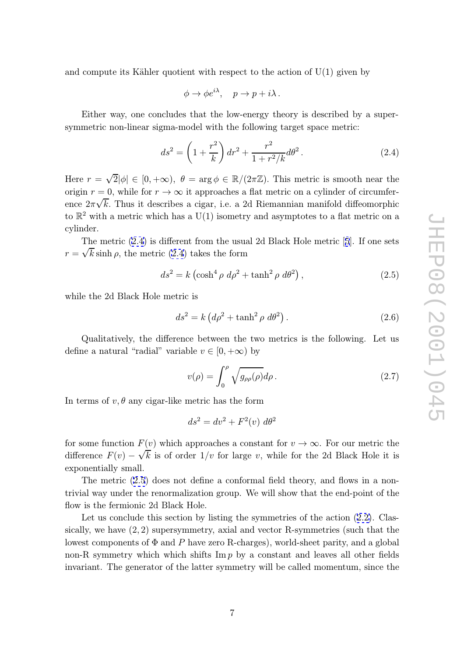<span id="page-7-0"></span>and compute its Kähler quotient with respect to the action of  $U(1)$  given by

$$
\phi \to \phi e^{i\lambda}, \quad p \to p + i\lambda \, .
$$

Either way, one concludes that the low-energy theory is described by a supersymmetric non-linear sigma-model with the following target space metric:

$$
ds^{2} = \left(1 + \frac{r^{2}}{k}\right)dr^{2} + \frac{r^{2}}{1 + r^{2}/k}d\theta^{2}.
$$
 (2.4)

Here  $r =$ √  $\overline{2}|\phi| \in [0, +\infty), \ \theta = \arg \phi \in \mathbb{R}/(2\pi\mathbb{Z})$ . This metric is smooth near the origin  $r = 0$ , while for  $r \to \infty$  it approaches a flat metric on a cylinder of circumferorigin  $\tau = 0$ , while for  $\tau \to \infty$  it approaches a hat metric on a cynnuer of circumner-<br>ence  $2\pi\sqrt{k}$ . Thus it describes a cigar, i.e. a 2d Riemannian manifold diffeomorphic to  $\mathbb{R}^2$  with a metric which has a U(1) isometry and asymptotes to a flat metric on a cylinder.

The metric  $(2.4)$  is different from the usual 2d Black Hole metric [5]. If one sets  $r = \sqrt{k} \sinh \rho$ , the metric (2.4) takes the form

$$
ds^{2} = k \left(\cosh^{4} \rho \ d\rho^{2} + \tanh^{2} \rho \ d\theta^{2}\right),\tag{2.5}
$$

while the 2d Black Hole metric is

$$
ds^{2} = k \left( d\rho^{2} + \tanh^{2} \rho \, d\theta^{2} \right). \tag{2.6}
$$

Qualitatively, the difference between the two metrics is the following. Let us define a natural "radial" variable  $v \in [0, +\infty)$  by

$$
v(\rho) = \int_0^{\rho} \sqrt{g_{\rho\rho}(\rho)} d\rho.
$$
 (2.7)

In terms of  $v, \theta$  any cigar-like metric has the form

$$
ds^2 = dv^2 + F^2(v) d\theta^2
$$

for some function  $F(v)$  which approaches a constant for  $v \to \infty$ . For our metric the difference  $F(v) - \sqrt{k}$  is of order  $1/v$  for large v, while for the 2d Black Hole it is exponentially small.

The metric (2.5) does not define a conformal field theory, and flows in a nontrivial way under the renormalization group. We will show that the end-point of the flow is the fermionic 2d Black Hole.

Let us conclude this section by listing the symmetries of the action  $(2.2)$ . Classically, we have  $(2, 2)$  supersymmetry, axial and vector R-symmetries (such that the lowest components of  $\Phi$  and  $P$  have zero R-charges), world-sheet parity, and a global non-R symmetry which which shifts  $\text{Im } p$  by a constant and leaves all [othe](#page-6-0)r fields invariant. The generator of the latter symmetry will be called momentum, since the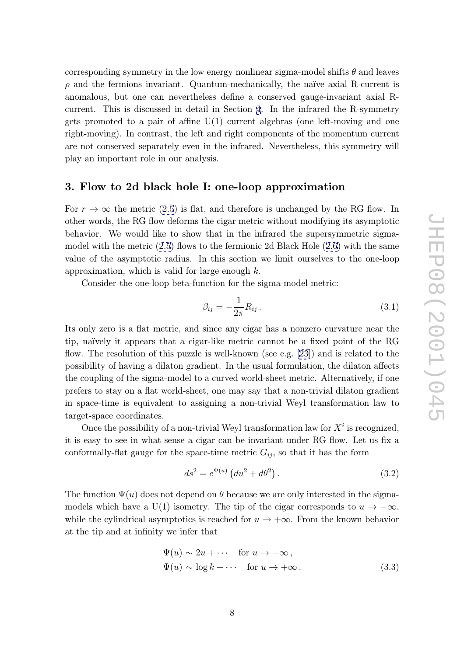<span id="page-8-0"></span>corresponding symmetry in the low energy nonlinear sigma-model shifts  $\theta$  and leaves  $\rho$  and the fermions invariant. Quantum-mechanically, the naïve axial R-current is anomalous, but one can nevertheless define a conserved gauge-invariant axial Rcurrent. This is discussed in detail in Section 4. In the infrared the R-symmetry gets promoted to a pair of affine  $U(1)$  current algebras (one left-moving and one right-moving). In contrast, the left and right components of the momentum current are not conserved separately even in the infrare[d](#page-11-0). Nevertheless, this symmetry will play an important role in our analysis.

## 3. Flow to 2d black hole I: one-loop approximation

For  $r \to \infty$  the metric (2.5) is flat, and therefore is unchanged by the RG flow. In other words, the RG flow deforms the cigar metric without modifying its asymptotic behavior. We would like to show that in the infrared the supersymmetric sigmamodel with the metric ([2.5\)](#page-7-0) flows to the fermionic 2d Black Hole (2.6) with the same value of the asymptotic radius. In this section we limit ourselves to the one-loop approximation, which is valid for large enough  $k$ .

Consider the one-lo[op](#page-7-0) beta-function for the sigma-model met[ric:](#page-7-0)

$$
\beta_{ij} = -\frac{1}{2\pi} R_{ij} \,. \tag{3.1}
$$

Its only zero is a flat metric, and since any cigar has a nonzero curvature near the tip, na¨ıvely it appears that a cigar-like metric cannot be a fixed point of the RG flow. The resolution of this puzzle is well-known (see e.g. [23]) and is related to the possibility of having a dilaton gradient. In the usual formulation, the dilaton affects the coupling of the sigma-model to a curved world-sheet metric. Alternatively, if one prefers to stay on a flat world-sheet, one may say that a n[on-t](#page-43-0)rivial dilaton gradient in space-time is equivalent to assigning a non-trivial Weyl transformation law to target-space coordinates.  $\overline{a}$ 

Once the possibility of a non-trivial Weyl transformation law for  $X^i$  is recognized, it is easy to see in what sense a cigar can be invariant under RG flow. Let us fix a conformally-flat gauge for the space-time metric  $G_{ij}$ , so that it has the form

$$
ds^{2} = e^{\Psi(u)} (du^{2} + d\theta^{2}).
$$
\n(3.2)

The function  $\Psi(u)$  does not depend on  $\theta$  because we are only interested in the sigmamodels which have a U(1) isometry. The tip of the cigar corresponds to  $u \to -\infty$ , while the cylindrical asymptotics is reached for  $u \to +\infty$ . From the known behavior at the tip and at infinity we infer that

$$
\Psi(u) \sim 2u + \cdots \quad \text{for } u \to -\infty ,
$$
  
\n
$$
\Psi(u) \sim \log k + \cdots \quad \text{for } u \to +\infty .
$$
\n(3.3)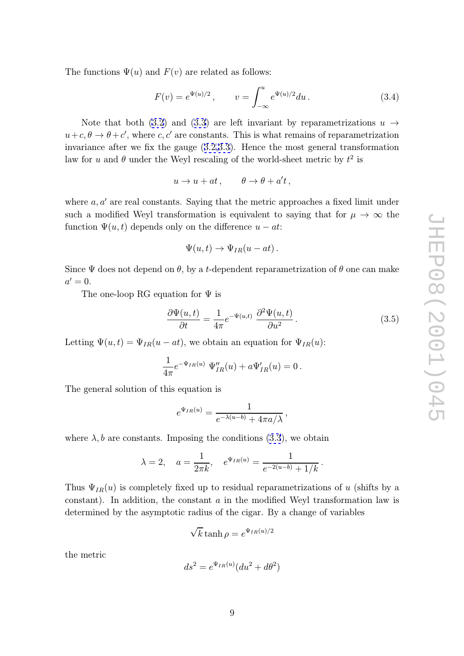<span id="page-9-0"></span>The functions  $\Psi(u)$  and  $F(v)$  are related as follows:

$$
F(v) = e^{\Psi(u)/2}, \qquad v = \int_{-\infty}^{u} e^{\Psi(u)/2} du.
$$
 (3.4)

Note that both (3.2) and (3.3) are left invariant by reparametrizations  $u \rightarrow$  $u+c, \theta \to \theta+c'$ , where c, c' are constants. This is what remains of reparametrization invariance after we fix the gauge (3.2,3.3). Hence the most general transformation law for u and  $\theta$  under [the](#page-8-0) Weyl [resc](#page-8-0)aling of the world-sheet metric by  $t^2$  is

$$
u \to u + at \,, \qquad \theta \to \theta + a't \,,
$$

where  $a, a'$  are real constants. Saying that the metric approaches a fixed limit under such a modified Weyl transformation is equivalent to saying that for  $\mu \to \infty$  the function  $\Psi(u, t)$  depends only on the difference  $u - at$ :

$$
\Psi(u,t) \to \Psi_{IR}(u-at) \, .
$$

Since  $\Psi$  does not depend on  $\theta$ , by a t-dependent reparametrization of  $\theta$  one can make  $a'=0.$ 

The one-loop RG equation for  $\Psi$  is

$$
\frac{\partial \Psi(u,t)}{\partial t} = \frac{1}{4\pi} e^{-\Psi(u,t)} \frac{\partial^2 \Psi(u,t)}{\partial u^2}.
$$
 (3.5)

Letting  $\Psi(u,t) = \Psi_{IR}(u - at)$ , we obtain an equation for  $\Psi_{IR}(u)$ :

$$
\frac{1}{4\pi}e^{-\Psi_{IR}(u)}\ \Psi''_{IR}(u) + a\Psi'_{IR}(u) = 0\,.
$$

The general solution of this equation is

$$
e^{\Psi_{IR}(u)} = \frac{1}{e^{-\lambda(u-b)} + 4\pi a/\lambda},
$$

where  $\lambda$ , b are constants. Imposing the conditions (3.3), we obtain

$$
\lambda = 2
$$
,  $a = \frac{1}{2\pi k}$ ,  $e^{\Psi_{IR}(u)} = \frac{1}{e^{-2(u-b)} + 1/k}$ .

Thus  $\Psi_{IR}(u)$  is completely fixed up to residual reparametrizations of u (shifts by a  $\alpha$  constant). In addition, the constant  $a$  in the modified Weyl transformation law is determined by the asymptotic radius of the cigar. By a change of variables

$$
\sqrt{k} \tanh \rho = e^{\Psi_{IR}(u)/2}
$$

the metric

$$
ds^2 = e^{\Psi_{IR}(u)}(du^2 + d\theta^2)
$$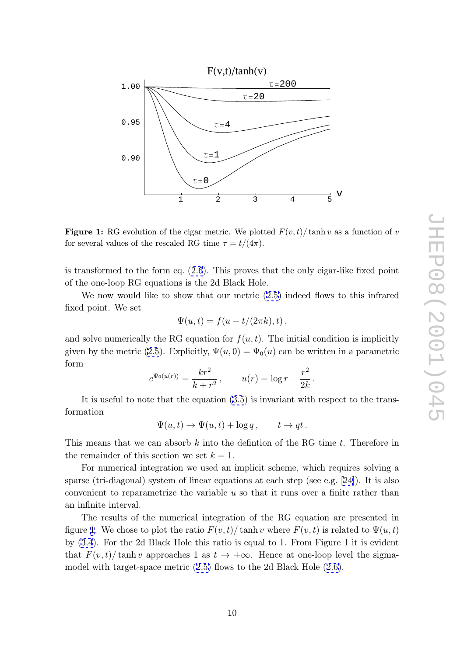

**Figure 1:** RG evolution of the cigar metric. We plotted  $F(v,t)/\tanh v$  as a function of v<br>for general values of the recepted DG time  $\tau$ ,  $t/(4\tau)$ for several values of the rescaled RG time  $\tau = t/(4\pi)$ .

is transformed to the form eq. (2.6). This proves that the only cigar-like fixed point of the one-loop RG equations is the 2d Black Hole.

We now would like to show that our metric  $(2.5)$  indeed flows to this infrared fixed point. We set

$$
\Psi(u,t) = f(u - t/(2\pi k), t) ,
$$

and solve numerically the RG equation for  $f(u, t)$ . [Th](#page-7-0)e initial condition is implicitly given by the metric (2.5). Explicitly,  $\Psi(u,0) = \Psi_0(u)$  can be written in a parametric form

$$
e^{\Psi_0(u(r))} = \frac{kr^2}{k + r^2}
$$
,  $u(r) = \log r + \frac{r^2}{2k}$ .

It is useful to no[te](#page-7-0) [t](#page-7-0)hat the equation (3.5) is invariant with respect to the transformation

$$
\Psi(u,t) \to \Psi(u,t) + \log q, \qquad t \to qt.
$$

This m[e](#page-9-0)ans that we can absorb  $k$  into the [de](#page-9-0)fintion of the RG time  $t$ . Therefore in the remainder of this section we set  $k = 1$ .

For numerical integration we used an implicit scheme, which requires solving a sparse (tri-diagonal) system of linear equations at each step (see e.g. [24]). It is also convenient to reparametrize the variable  $u$  so that it runs over a finite rather than an infinite interval.

The results of the numerical integration of the RG equation ar[e p](#page-43-0)resented in figure 1. We chose to plot the ratio  $F(v,t)/\tanh v$  where  $F(v,t)$  is related to  $\Psi(u,t)$ by (3.4). For the 2d Black Hole this ratio is equal to 1. From Figure 1 it is evident that  $F(v,t)/\tanh v$  approaches 1 as  $t \to +\infty$ . Hence at one-loop level the sigmamodel with target-space metric (2.5) flows to the 2d Black Hole (2.6).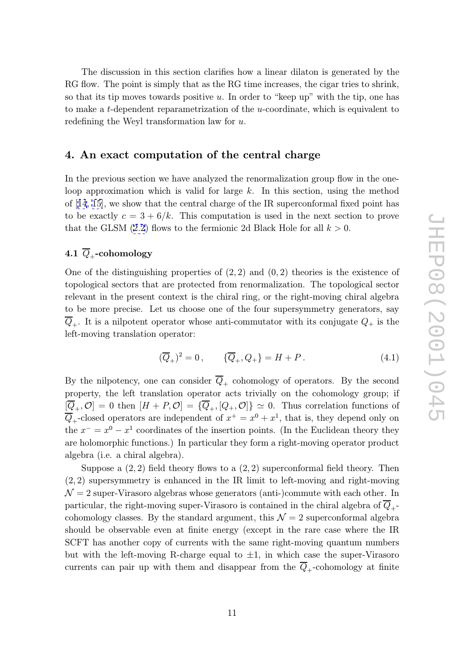<span id="page-11-0"></span>The discussion in this section clarifies how a linear dilaton is generated by the RG flow. The point is simply that as the RG time increases, the cigar tries to shrink, so that its tip moves towards positive  $u$ . In order to "keep up" with the tip, one has to make a t-dependent reparametrization of the u-coordinate, which is equivalent to redefining the Weyl transformation law for u.

## 4. An exact computation of the central charge

In the previous section we have analyzed the renormalization group flow in the oneloop approximation which is valid for large  $k$ . In this section, using the method of [14, 15], we show that the central charge of the IR superconformal fixed point has to be exactly  $c = 3 + 6/k$ . This computation is used in the next section to prove that the GLSM (2.2) flows to the fermionic 2d Black Hole for all  $k > 0$ .

# $4.1 \ \textit{Q}_{+}\text{-cohomology}$

One of the disti[ngui](#page-6-0)shing properties of  $(2, 2)$  and  $(0, 2)$  theories is the existence of topological sectors that are protected from renormalization. The topological sector relevant in the present context is the chiral ring, or the right-moving chiral algebra to be more precise. Let us choose one of the four supersymmetry generators, say  $\overline{Q}_+$ . It is a nilpotent operator whose anti-commutator with its conjugate  $Q_+$  is the left-moving translation operator:

$$
(\overline{Q}_{+})^{2} = 0, \qquad {\overline{Q}_{+}, Q_{+}} = H + P. \tag{4.1}
$$

By the nilpotency, one can consider  $Q_+$  cohomology of operators. By the second property, the left translation operator acts trivially on the cohomology group; if  $[\overline{Q}_+,\mathcal{O}] = 0$  then  $[H + P,\mathcal{O}] = {\overline{Q}_+},[Q_+,\mathcal{O}] \geq 0$ . Thus correlation functions of  $\overline{Q}_+$ -closed operators are independent of  $x^+ = x^0 + x^1$ , that is, they depend only on the  $x^{-} = x^{0} - x^{1}$  coordinates of the insertion points. (In the Euclidean theory they are holomorphic functions.) In particular they form a right-moving operator product algebra (i.e. a chiral algebra).

Suppose a  $(2, 2)$  field theory flows to a  $(2, 2)$  superconformal field theory. Then (2 , 2) supersymmetry is enhanced in the IR limit to left-moving and right-moving  $\mathcal{N}=2$  super-Virasoro algebras whose generators (anti-)commute with each other. In particular, the right-moving super-Virasoro is contained in the chiral algebra of  $Q_+$ cohomology classes. By the standard argument, this  $\mathcal{N}=2$  superconformal algebra should be observable even at finite energy (except in the rare case where the IR SCFT has another copy of currents with the same right-moving quantum numbers but with the left-moving R-charge equal to  $\pm 1$ , in which case the super-Virasoro currents can pair up with them and disappear from the  $Q_+$ -cohomology at finite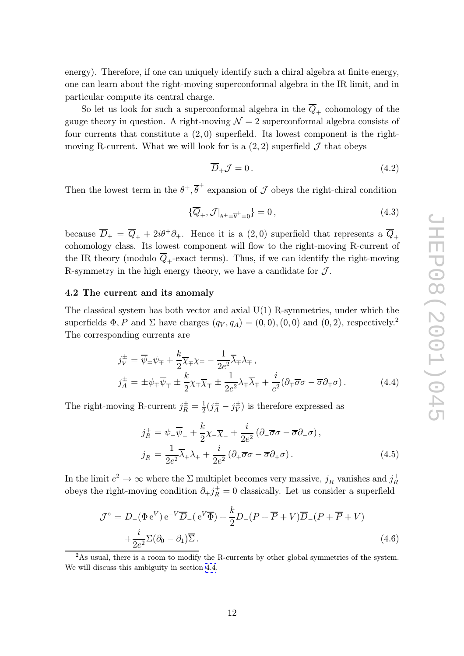<span id="page-12-0"></span>energy). Therefore, if one can uniquely identify such a chiral algebra at finite energy, one can learn about the right-moving superconformal algebra in the IR limit, and in particular compute its central charge.

So let us look for such a superconformal algebra in the  $Q_+$  cohomology of the gauge theory in question. A right-moving  $\mathcal{N}=2$  superconformal algebra consists of four currents that constitute a  $(2,0)$  superfield. Its lowest component is the rightmoving R-current. What we will look for is a  $(2, 2)$  superfield  $\mathcal J$  that obeys

$$
\overline{D}_+ \mathcal{J} = 0. \tag{4.2}
$$

Then the lowest term in the  $\theta^+$ ,  $\overline{\theta}^+$  expansion of  $\mathcal J$  obeys the right-chiral condition

$$
\{\overline{Q}_+,\mathcal{J}|_{\theta^+=\overline{\theta}^+=0}\} = 0\,,\tag{4.3}
$$

because  $\overline{D}_+ = \overline{Q}_+ + 2i\theta^+ \partial_+$ . Hence it is a  $(2,0)$  superfield that represents a  $\overline{Q}_+$ cohomology class. Its lowest component will flow to the right-moving R-current of the IR theory (modulo  $\overline{Q}_+$ -exact terms). Thus, if we can identify the right-moving R-symmetry in the high energy theory, we have a candidate for  $\mathcal{J}$ .

#### 4.2 The current and its anomaly

The classical system has both vector and axial  $U(1)$  R-symmetries, under which the superfields  $\Phi$ , P and  $\Sigma$  have charges  $(q_V, q_A) = (0, 0), (0, 0)$  and  $(0, 2)$ , respectively.<sup>2</sup> The corresponding currents are

$$
j_V^{\pm} = \overline{\psi}_{\mp} \psi_{\mp} + \frac{k}{2} \overline{\chi}_{\mp} \chi_{\mp} - \frac{1}{2e^2} \overline{\lambda}_{\mp} \lambda_{\mp},
$$
  
\n
$$
j_A^{\pm} = \pm \psi_{\mp} \overline{\psi}_{\mp} \pm \frac{k}{2} \chi_{\mp} \overline{\chi}_{\mp} \pm \frac{1}{2e^2} \lambda_{\mp} \overline{\lambda}_{\mp} + \frac{i}{e^2} (\partial_{\mp} \overline{\sigma} \sigma - \overline{\sigma} \partial_{\mp} \sigma). \tag{4.4}
$$

The right-moving R-current  $j_R^{\pm} = \frac{1}{2}(j_A^{\pm} - j_V^{\pm})$  is therefore expressed as

$$
j_R^+ = \psi_-\overline{\psi}_- + \frac{k}{2}\chi_-\overline{\chi}_- + \frac{i}{2e^2}(\partial_-\overline{\sigma}\sigma - \overline{\sigma}\partial_-\sigma),
$$
  
\n
$$
j_R^- = \frac{1}{2e^2}\overline{\lambda}_+\lambda_+ + \frac{i}{2e^2}(\partial_+\overline{\sigma}\sigma - \overline{\sigma}\partial_+\sigma).
$$
\n(4.5)

In the limit  $e^2 \to \infty$  where the  $\Sigma$  multiplet becomes very massive,  $j_R^-$  vanishes and  $j_R^+$ R obeys the right-moving condition  $\partial_+ j_R^+ = 0$  classically. Let us consider a superfield

$$
\mathcal{J}^{\circ} = D_{-}(\Phi e^{V}) e^{-V} \overline{D}_{-}(e^{V} \overline{\Phi}) + \frac{k}{2} D_{-}(P + \overline{P} + V) \overline{D}_{-}(P + \overline{P} + V) + \frac{i}{2e^{2}} \Sigma (\partial_{0} - \partial_{1}) \overline{\Sigma}.
$$
\n(4.6)

<sup>2</sup>As usual, there is a room to modify the R-currents by other global symmetries of the system. We will discuss this ambiguity in section 4.4.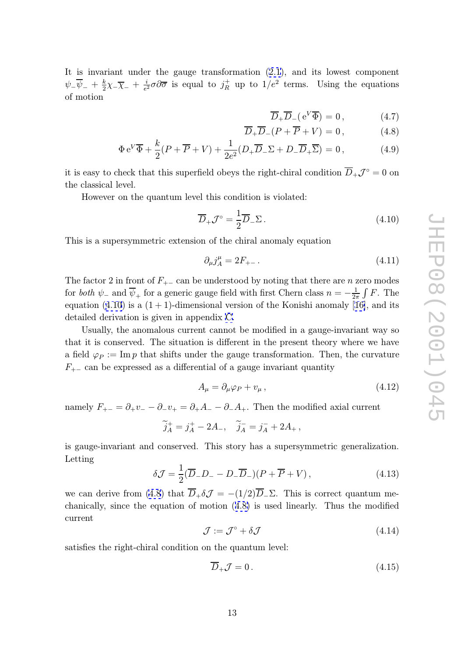<span id="page-13-0"></span>It is invariant under the gauge transformation (2.1), and its lowest component  $\psi_-\overline{\psi}_- + \frac{k}{2}\chi_-\overline{\chi}_- + \frac{i}{e^2}\sigma\partial\overline{\sigma}$  is equal to  $j_R^+$  up to  $1/e^2$  terms. Using the equations of motion

$$
\overline{D}_{+}\overline{D}_{-}(e^{V}\overline{\Phi})=0, \qquad (4.7)
$$

$$
\overline{D}_{+}\overline{D}_{-}(P + \overline{P} + V) = 0, \qquad (4.8)
$$

$$
\Phi e^V \overline{\Phi} + \frac{k}{2} (P + \overline{P} + V) + \frac{1}{2e^2} (D_+ \overline{D}_- \Sigma + D_- \overline{D}_+ \overline{\Sigma}) = 0, \qquad (4.9)
$$

it is easy to check that this superfield obeys the right-chiral condition  $D_+\mathcal{J}^\circ = 0$  on the classical level.

However on the quantum level this condition is violated:

$$
\overline{D}_{+} \mathcal{J}^{\circ} = \frac{1}{2} \overline{D}_{-} \Sigma . \qquad (4.10)
$$

This is a supersymmetric extension of the chiral anomaly equation

$$
\partial_{\mu} j_A^{\mu} = 2F_{+-} \,. \tag{4.11}
$$

The factor 2 in front of  $F_{+-}$  can be understood by noting that there are *n* zero modes for *both*  $\psi_-$  and  $\overline{\psi}_+$  for a generic gauge field with first Chern class  $n = -\frac{1}{2\pi} \int F$ . The equation (4.10) is a  $(1 + 1)$ -dimensional version of the Konishi anomaly [16], and its detailed derivation is given in appendix C.

Usually, the anomalous current cannot be modified in a gauge-invariant way so that it is conserved. The situation is different in the present theory wh[ere](#page-43-0) we have a field  $\varphi_P := \text{Im } p$  that shifts under the [ga](#page-39-0)uge transformation. Then, the curvature  $F_{+-}$  can be expressed as a differential of a gauge invariant quantity

$$
A_{\mu} = \partial_{\mu}\varphi_P + v_{\mu} \,, \tag{4.12}
$$

namely  $F_{+-} = \partial_+ v_- - \partial_- v_+ = \partial_+ A_- - \partial_- A_+$ . Then the modified axial current

$$
\widetilde{j}_A^+ = j_A^+ - 2A_-, \quad \widetilde{j}_A^- = j_A^- + 2A_+,
$$

is gauge-invariant and conserved. This story has a supersymmetric generalization. Letting

$$
\delta \mathcal{J} = \frac{1}{2} (\overline{D}_- D_- - D_- \overline{D}_-) (P + \overline{P} + V) , \qquad (4.13)
$$

we can derive from (4.8) that  $D_+\delta\mathcal{J} = -(1/2)D_-\Sigma$ . This is correct quantum mechanically, since the equation of motion (4.8) is used linearly. Thus the modified current

$$
\mathcal{J} := \mathcal{J}^{\circ} + \delta \mathcal{J} \tag{4.14}
$$

satisfies the right-chiral condition on the quantum level:

$$
\overline{D}_+ \mathcal{J} = 0. \tag{4.15}
$$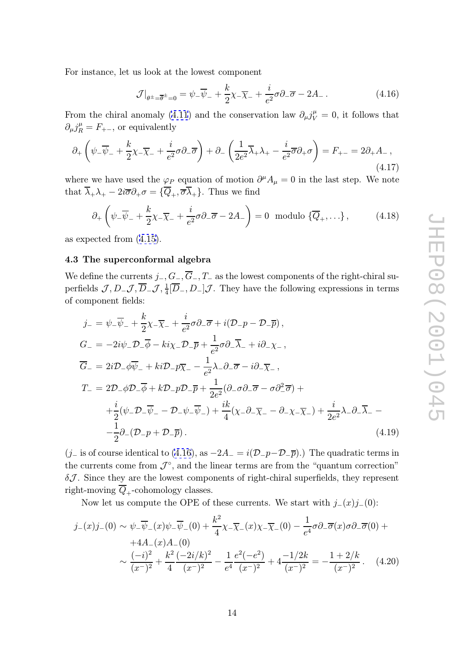<span id="page-14-0"></span>For instance, let us look at the lowest component

$$
\mathcal{J}|_{\theta^{\pm}=\overline{\theta}^{\pm}=0} = \psi_{-}\overline{\psi}_{-} + \frac{k}{2}\chi_{-}\overline{\chi}_{-} + \frac{i}{e^{2}}\sigma\partial_{-}\overline{\sigma} - 2A_{-}.
$$
 (4.16)

From the chiral anomaly (4.11) and the conservation law  $\partial_{\mu}j^{\mu}_{V} = 0$ , it follows that  $\partial_{\mu} j_R^{\mu} = F_{+-}$ , or equivalently

$$
\partial_+\left(\psi_-\overline{\psi}_- + \frac{k}{2}\chi_-\overline{\chi}_- + \frac{i}{e^2}\sigma\partial_-\overline{\sigma}\right) + \partial_-\left(\frac{1}{2e^2}\overline{\lambda}_+\lambda_+ - \frac{i}{e^2}\overline{\sigma}\partial_+\sigma\right) = F_{+-} = 2\partial_+A_-\,,\tag{4.17}
$$

where we have used the  $\varphi_P$  equation of motion  $\partial^{\mu} A_{\mu} = 0$  in the last step. We note that  $\lambda_+ \lambda_+ - 2i \overline{\sigma} \partial_+ \sigma = \{Q_+, \overline{\sigma} \lambda_+\}$ . Thus we find

$$
\partial_+\left(\psi_-\overline{\psi}_- + \frac{k}{2}\chi_-\overline{\chi}_- + \frac{i}{e^2}\sigma \partial_-\overline{\sigma} - 2A_-\right) = 0 \text{ modulo } \{\overline{Q}_+,\ldots\},\tag{4.18}
$$

as expected from (4.15).

#### 4.3 The superconformal algebra

We define the curr[ents](#page-13-0)  $j_-, G_-, G_-, T_-$  as the lowest components of the right-chiral superfields  $\mathcal{J}, D_-\mathcal{J}, \overline{D}_-\mathcal{J}, \frac{1}{4}[\overline{D}_-, D_-]\mathcal{J}$ . They have the following expressions in terms of component fields:

$$
j_{-} = \psi_{-}\overline{\psi}_{-} + \frac{k}{2}\chi_{-}\overline{\chi}_{-} + \frac{i}{e^{2}}\sigma\partial_{-}\overline{\sigma} + i(\mathcal{D}_{-}p - \mathcal{D}_{-}\overline{p}),
$$
  
\n
$$
G_{-} = -2i\psi_{-}\mathcal{D}_{-}\overline{\phi} - ki\chi_{-}\mathcal{D}_{-}\overline{p} + \frac{1}{e^{2}}\sigma\partial_{-}\overline{\lambda}_{-} + i\partial_{-}\chi_{-},
$$
  
\n
$$
\overline{G}_{-} = 2i\mathcal{D}_{-}\phi\overline{\psi}_{-} + ki\mathcal{D}_{-}p\overline{\chi}_{-} - \frac{1}{e^{2}}\lambda_{-}\partial_{-}\overline{\sigma} - i\partial_{-}\overline{\chi}_{-},
$$
  
\n
$$
T_{-} = 2\mathcal{D}_{-}\phi\mathcal{D}_{-}\overline{\phi} + k\mathcal{D}_{-}p\mathcal{D}_{-}\overline{p} + \frac{1}{2e^{2}}(\partial_{-}\sigma\partial_{-}\overline{\sigma} - \sigma\partial_{-}^{2}\overline{\sigma}) +
$$
  
\n
$$
+ \frac{i}{2}(\psi_{-}\mathcal{D}_{-}\overline{\psi}_{-} - \mathcal{D}_{-}\psi_{-}\overline{\psi}_{-}) + \frac{ik}{4}(\chi_{-}\partial_{-}\overline{\chi}_{-} - \partial_{-}\chi_{-}\overline{\chi}_{-}) + \frac{i}{2e^{2}}\lambda_{-}\partial_{-}\overline{\lambda}_{-} -
$$
  
\n
$$
- \frac{1}{2}\partial_{-}(\mathcal{D}_{-}p + \mathcal{D}_{-}\overline{p}). \tag{4.19}
$$

(j\_ is of course identical to (4.16), as  $-2A_{-} = i(\mathcal{D}_{-}p-\mathcal{D}_{-}\bar{p})$ .) The quadratic terms in the currents come from  $\mathcal{J}^{\circ}$ , and the linear terms are from the "quantum correction"  $\delta \mathcal{J}$ . Since they are the lowest components of right-chiral superfields, they represent right-moving  $Q_+$ -cohomology classes.

Now let us compute the OPE of these currents. We start with  $j_-(x)j_-(0)$ :

$$
j_{-}(x)j_{-}(0) \sim \psi_{-}\overline{\psi}_{-}(x)\psi_{-}\overline{\psi}_{-}(0) + \frac{k^{2}}{4}\chi_{-}\overline{\chi}_{-}(x)\chi_{-}\overline{\chi}_{-}(0) - \frac{1}{e^{4}}\sigma\partial_{-}\overline{\sigma}(x)\sigma\partial_{-}\overline{\sigma}(0) ++4A_{-}(x)A_{-}(0)\sim \frac{(-i)^{2}}{(x^{-})^{2}} + \frac{k^{2}}{4}\frac{(-2i/k)^{2}}{(x^{-})^{2}} - \frac{1}{e^{4}}\frac{e^{2}(-e^{2})}{(x^{-})^{2}} + 4\frac{-1/2k}{(x^{-})^{2}} = -\frac{1+2/k}{(x^{-})^{2}}.
$$
 (4.20)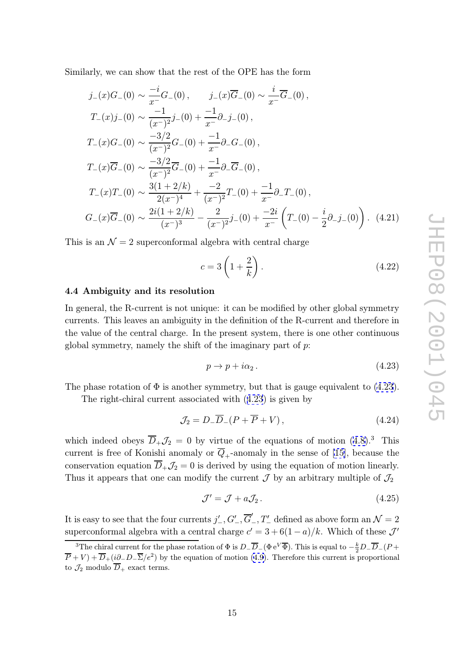<span id="page-15-0"></span>Similarly, we can show that the rest of the OPE has the form

$$
j_{-}(x)G_{-}(0) \sim \frac{-i}{x^{-}}G_{-}(0), \qquad j_{-}(x)\overline{G}_{-}(0) \sim \frac{i}{x^{-}}\overline{G}_{-}(0),
$$
  
\n
$$
T_{-}(x)j_{-}(0) \sim \frac{-1}{(x^{-})^{2}}j_{-}(0) + \frac{-1}{x^{-}}\partial_{-}j_{-}(0),
$$
  
\n
$$
T_{-}(x)G_{-}(0) \sim \frac{-3/2}{(x^{-})^{2}}G_{-}(0) + \frac{-1}{x^{-}}\partial_{-}G_{-}(0),
$$
  
\n
$$
T_{-}(x)\overline{G}_{-}(0) \sim \frac{-3/2}{(x^{-})^{2}}\overline{G}_{-}(0) + \frac{-1}{x^{-}}\partial_{-}\overline{G}_{-}(0),
$$
  
\n
$$
T_{-}(x)T_{-}(0) \sim \frac{3(1+2/k)}{2(x^{-})^{4}} + \frac{-2}{(x^{-})^{2}}T_{-}(0) + \frac{-1}{x^{-}}\partial_{-}T_{-}(0),
$$
  
\n
$$
G_{-}(x)\overline{G}_{-}(0) \sim \frac{2i(1+2/k)}{(x^{-})^{3}} - \frac{2}{(x^{-})^{2}}j_{-}(0) + \frac{-2i}{x^{-}}\left(T_{-}(0) - \frac{i}{2}\partial_{-}j_{-}(0)\right).
$$
 (4.21)  
\nis an  $\mathcal{N} = 2$  superconformal algebra with central charge  
\n
$$
c = 3\left(1 + \frac{2}{7}\right).
$$
 (4.22)

This is an  $\mathcal{N}=2$  superconformal algebra with central charge

$$
c = 3\left(1 + \frac{2}{k}\right). \tag{4.22}
$$

#### 4.4 Ambiguity and its resolution

In general, the R-current is not unique: it can be modified by other global symmetry currents. This leaves an ambiguity in the definition of the R-current and therefore in the value of the central charge. In the present system, there is one other continuous global symmetry, namely the shift of the imaginary part of  $p$ :

$$
p \to p + i\alpha_2. \tag{4.23}
$$

The phase rotation of  $\Phi$  is another symmetry, but that is gauge equivalent to (4.23).

The right-chiral current associated with (4.23) is given by

$$
\mathcal{J}_2 = D_-\overline{D}_-(P + \overline{P} + V), \qquad (4.24)
$$

which indeed obeys  $\overline{D}_+\mathcal{J}_2=0$  by virtue of the equations of motion  $(4.8).^3$  This current is free of Konishi anomaly or  $Q_+$ -anomaly in the sense of [15], because the conservation equation  $D_+\mathcal{J}_2=0$  is derived by using the equation of motion linearly. Thus it appears that one can modify the current  $\mathcal J$  by an arbitrary mul[tipl](#page-13-0)e of  $\mathcal J_2$ 

$$
\mathcal{J}' = \mathcal{J} + a\mathcal{J}_2. \tag{4.25}
$$

It is easy to see that the four currents  $j'_{-}, G'_{-}, \overline{G}'_{-}, T'_{-}$  defined as above form an  $\mathcal{N} = 2$ superconformal algebra with a central charge  $c' = 3 + 6(1 - a)/k$ . Which of these  $\mathcal{J}'$ 

<sup>&</sup>lt;sup>3</sup>The chiral current for the phase rotation of  $\Phi$  is  $D_-\overline{D}_-(\Phi e^V\overline{\Phi})$ . This is equal to  $-\frac{k}{2}D_-\overline{D}_-(P+\Phi e^V\overline{\Phi})$  $\overline{P}+V)+\overline{D}_{+}(\underline{i}\partial_{-}D_{-}\overline{\Sigma}/e^{2})$  by the equation of motion (4.9). Therefore this current is proportional to  $\mathcal{J}_2$  modulo  $D_+$  exact terms.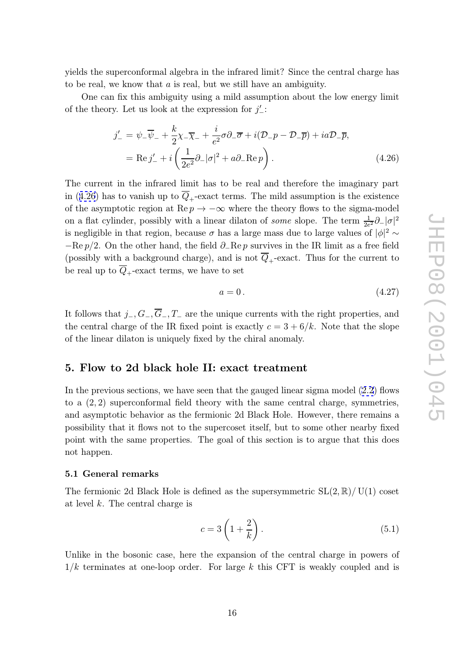<span id="page-16-0"></span>yields the superconformal algebra in the infrared limit? Since the central charge has to be real, we know that a is real, but we still have an ambiguity.

One can fix this ambiguity using a mild assumption about the low energy limit of the theory. Let us look at the expression for  $j'_{-}$ :

$$
j'_{-} = \psi_{-}\overline{\psi}_{-} + \frac{k}{2}\chi_{-}\overline{\chi}_{-} + \frac{i}{e^{2}}\sigma\partial_{-}\overline{\sigma} + i(\mathcal{D}_{-}p - \mathcal{D}_{-}\overline{p}) + ia\mathcal{D}_{-}\overline{p},
$$
  
= Re j'\_{-} + i\left(\frac{1}{2e^{2}}\partial\_{-}|\sigma|^{2} + a\partial\_{-}Re p\right). (4.26)

The current in the infrared limit has to be real and therefore the imaginary part in (4.26) has to vanish up to  $Q_+$ -exact terms. The mild assumption is the existence of the asymptotic region at  $\text{Re } p \to -\infty$  where the theory flows to the sigma-model on a flat cylinder, possibly with a linear dilaton of *some* slope. The term  $\frac{1}{2e}$  $\frac{1}{2e^2}\partial_-|\sigma|^2$ is negligible in that region, because  $\sigma$  has a large mass due to large values of  $|\phi|^2 \sim$  $-\text{Re } p/2$ . On the other hand, the field  $\partial_{-} \text{Re } p$  survives in the IR limit as a free field (possibly with a background charge), and is not  $Q_+$ -exact. Thus for the current to be real up to  $Q_+$ -exact terms, we have to set

$$
a = 0. \tag{4.27}
$$

It follows that  $j_-, G_-, T_-$  are the unique currents with the right properties, and the central charge of the IR fixed point is exactly  $c = 3 + 6/k$ . Note that the slope of the linear dilaton is uniquely fixed by the chiral anomaly.

#### 5. Flow to 2d black hole II: exact treatment

In the previous sections, we have seen that the gauged linear sigma model  $(2.2)$  flows to a  $(2, 2)$  superconformal field theory with the same central charge, symmetries, and asymptotic behavior as the fermionic 2d Black Hole. However, there remains a possibility that it flows not to the supercoset itself, but to some other ne[arby](#page-6-0) fixed point with the same properties. The goal of this section is to argue that this does not happen.

#### 5.1 General remarks

The fermionic 2d Black Hole is defined as the supersymmetric  $SL(2, \mathbb{R})/ U(1)$  coset at level k. The central charge is

$$
c = 3\left(1 + \frac{2}{k}\right). \tag{5.1}
$$

Unlike in the bosonic case, here the expansion of the central charge in powers of  $1/k$  terminates at one-loop order. For large k this CFT is weakly coupled and is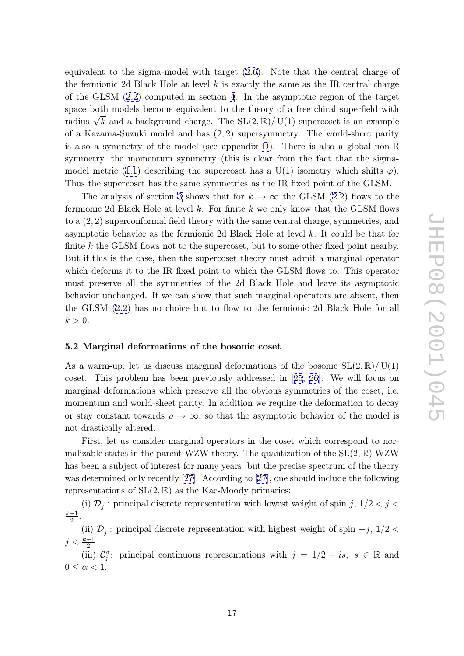<span id="page-17-0"></span>equivalent to the sigma-model with target (2.6). Note that the central charge of the fermionic 2d Black Hole at level  $k$  is exactly the same as the IR central charge of the GLSM (2.2) computed in section 4. In the asymptotic region of the target space both models become equivalent to [the](#page-7-0) theory of a free chiral superfield with radius  $\sqrt{k}$  and a background charge. The SL $(2,\mathbb{R})/$  U(1) supercoset is an example of a Kazama-S[uzu](#page-6-0)ki model and has (2 , [2\)](#page-11-0) supersymmetry. The world-sheet parity is also a symmetry of the model (see appendix D). There is also a global non-R symmetry, the momentum symmetry (this is clear from the fact that the sigmamodel metric (1.1) describing the supercoset has a U(1) isometry which shifts  $\varphi$ ). Thus the supercoset has the same symmetries as [th](#page-40-0)e IR fixed point of the GLSM.

The analysis of section 3 shows that for  $k \to \infty$  the GLSM (2.2) flows to the fermionic 2d B[lack](#page-2-0) Hole at level k. For finite  $k$  we only know that the GLSM flows to a  $(2, 2)$  superconformal field theory with the same central charge, symmetries, and asymptotic behavior as the [fe](#page-8-0)rmionic 2d Black Hole at level k. It [cou](#page-6-0)ld be that for finite k the GLSM flows not to the supercoset, but to some other fixed point nearby. But if this is the case, then the supercoset theory must admit a marginal operator which deforms it to the IR fixed point to which the GLSM flows to. This operator must preserve all the symmetries of the 2d Black Hole and leave its asymptotic behavior unchanged. If we can show that such marginal operators are absent, then the GLSM (2.2) has no choice but to flow to the fermionic 2d Black Hole for all  $k > 0$ .

#### 5.2 Margi[nal](#page-6-0) deformations of the bosonic coset

As a warm-up, let us discuss marginal deformations of the bosonic  $SL(2,\mathbb{R})/ U(1)$ coset. This problem has been previously addressed in [25, 26]. We will focus on marginal deformations which preserve all the obvious symmetries of the coset, i.e. momentum and world-sheet parity. In addition we require the deformation to decay or stay constant towards  $\rho \to \infty$ , so that the asymptoti[c beha](#page-44-0)vior of the model is not drastically altered.

First, let us consider marginal operators in the coset which correspond to normalizable states in the parent WZW theory. The quantization of the  $SL(2,\mathbb{R})$  WZW has been a subject of interest for many years, but the precise spectrum of the theory was determined only recently [27]. According to [27], one should include the following representations of  $SL(2, \mathbb{R})$  as the Kac-Moody primaries:

(i)  $\mathcal{D}_j^+$ : principal discrete representation with lowest weight of spin j,  $1/2 < j <$  $\frac{k-1}{2}$ 2 .

(ii)  $\mathcal{D}_j^-$ : principal discrete representation with highest weight of spin  $-j$ , 1/2 <  $j < \frac{k-1}{2}$  $\frac{-1}{2}$ .

(iii)  $\mathcal{C}^{\alpha}_{j}$ : principal continuous representations with  $j = 1/2 + is, s \in \mathbb{R}$  and  $0 \leq \alpha < 1$ .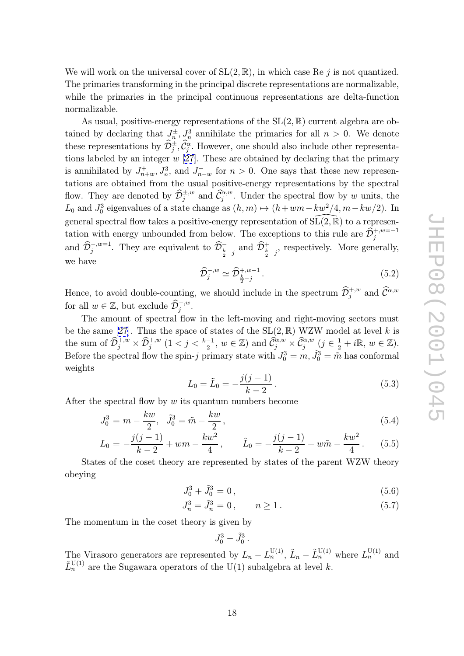<span id="page-18-0"></span>We will work on the universal cover of  $SL(2, \mathbb{R})$ , in which case Re j is not quantized. The primaries transforming in the principal discrete representations are normalizable, while the primaries in the principal continuous representations are delta-function normalizable.

As usual, positive-energy representations of the  $SL(2,\mathbb{R})$  current algebra are obtained by declaring that  $J_n^{\pm}$ ,  $J_n^3$  annihilate the primaries for all  $n > 0$ . We denote these representations by  $\mathcal{D}_j^{\pm}, \mathcal{C}_j^{\alpha}$ . However, one should also include other representahe<br>er<br>D rir $\mathop{\mathrm{re}}\limits_{J^3_n} J^3_n$ tions labeled by an integer  $w$  [27]. These are obtained by declaring that the primary is annihilated by  $J_{n+w}^+, J_n^3$ , and  $J_{n-w}^-$  for  $n > 0$ . One says that these new representations are obtained from the usual positive-energy representations by the spectral these representations by  $\mathcal{D}_j^{\pm}, \mathcal{C}_j^{\alpha}$ . However, one should also include other representa-<br>tions labeled by an integer w [27]. These are obtained by declaring that the primary<br>is annihilated by  $J_{n+w}^{\pm}, J_n^3$ ,  $\begin{array}{c} \mathbf{D} \ \mathbf{D} \ \mathbf{D} \ \mathbf{D} \end{array}$  $L_0$  and  $J_0^3$  eigenvalues of a state change as  $(h, m) \mapsto (h + w + - kw^2/4, m - kw/2)$ . In general spectral flow takes a positive-energy representation of  $SL(2, \mathbb{R})$  to a representation with energy unbounded from below. The exceptions to this rule are  $\widehat{\mathcal{D}}_{j}^{+,w=-1}$ and  $\hat{\mathcal{D}}_j^{-,w=1}$ . They are equivalent to  $\hat{\mathcal{D}}_{\frac{k}{2}-j}^-$  and  $\hat{\mathcal{D}}_{\frac{k}{2}-j}^+$ , respectively. More generally,<br>we have  $\hat{\mathcal{D}}_j^{-,w} \simeq \hat{\mathcal{D}}_{\frac{k}{2}-j}^{+,w-1}$ . (5.2)<br>Hence, to avoid double-counting, we s nd<br>ra<br>D<br>D  $\begin{align} \mathcal{L} \ \mathcal{E} \ \mathcal{D} \end{align}$  $\begin{array}{c} \mathrm{er} \; + \; \mathrm{es} \; \; \mathrm{e} \; \widehat{\mathcal{D}} \end{array}$ we have vemt  $\begin{align} \n\mathbf{y} \n\mathbf{y} \n\end{align}$ Ac<br>D

$$
\widehat{\mathcal{D}}_{j}^{-,w} \simeq \widehat{\mathcal{D}}_{\frac{k}{2}-j}^{+,w-1}.
$$
\n
$$
(5.2)
$$

Hence, to avoid double-counting, we should include in the spectrum  $\widehat{\mathcal{D}}_{j}^{+,w}$  and for all  $w \in \mathbb{Z}$ , but exclude  $\widehat{\mathcal{D}}_{j}^{-,w}$ . ın<br>D

The amount of spectral flow in the left-moving and right-moving sectors must be the same [27]. Thus the space of states of the  $SL(2,\mathbb{R})$  WZW model at level k is the sum of  $\widehat{\mathcal{D}}_{i}^{+,w}$  $\mathbb{Z}, \ \mathbb{Q} \to \mathbb{Q}$  $j_j^{+,w} \times \widehat{\mathcal{D}}_j^{+,w}$   $(1 < j < \frac{k-1}{2})$ ut<br>∷s<br>Dh e should include in the spectrum  $\mathcal{D}_j^{\beta, \infty}$  and  $\mathcal{C}^{\alpha, w}$ <br>  $\alpha$  the left-moving and right-moving sectors must<br>  $\alpha$ : states of the SL(2,  $\mathbb{R}$ ) WZW model at level k is<br>  $\frac{-1}{2}$ ,  $w \in \mathbb{Z}$ ) and  $\widehat{\mathcal{C$ Before the spectral flow the spin-j primary state with  $J_0^3 = m$ ,  $\tilde{J}_0^3 = \tilde{m}$  has conformal weights

$$
L_0 = \tilde{L}_0 = -\frac{j(j-1)}{k-2}.
$$
\n(5.3)

After the spectral flow by  $w$  its quantum numbers become

$$
J_0^3 = m - \frac{kw}{2}, \quad \tilde{J}_0^3 = \tilde{m} - \frac{kw}{2},\tag{5.4}
$$

$$
L_0 = -\frac{j(j-1)}{k-2} + w m - \frac{k w^2}{4}, \qquad \tilde{L}_0 = -\frac{j(j-1)}{k-2} + w \tilde{m} - \frac{k w^2}{4}.
$$
 (5.5)

States of the coset theory are represented by states of the parent WZW theory obeying

$$
J_0^3 + \tilde{J}_0^3 = 0, \tag{5.6}
$$

$$
J_n^3 = \tilde{J}_n^3 = 0, \qquad n \ge 1. \tag{5.7}
$$

The momentum in the coset theory is given by

$$
J_0^3 - \tilde J_0^3\,.
$$

The Virasoro generators are represented by  $L_n - L_n^{\mathrm{U}(1)}$ ,  $\tilde{L}_n - \tilde{L}_n^{\mathrm{U}(1)}$  where  $L_n^{\mathrm{U}(1)}$  and  $\tilde{L}_n^{\text{U}(1)}$  are the Sugawara operators of the U(1) subalgebra at level k.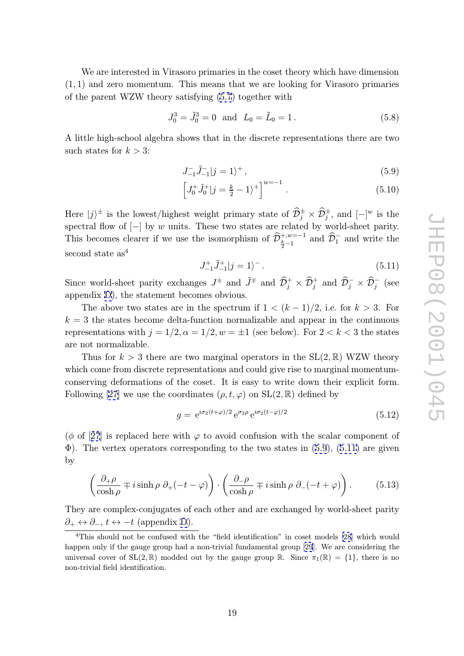<span id="page-19-0"></span>We are interested in Virasoro primaries in the coset theory which have dimension (1 , 1) and zero momentum. This means that we are looking for Virasoro primaries of the parent WZW theory satisfying (5.7) together with

$$
J_0^3 = \tilde{J}_0^3 = 0 \text{ and } L_0 = \tilde{L}_0 = 1. \tag{5.8}
$$

A little high-school algebra shows that [in](#page-18-0) the discrete representations there are two hisuch states for  $k > 3$ :

$$
J_{-1}^-\tilde{J}_{-1}^-|j=1\rangle^+, \qquad (5.9)
$$

$$
J_{-1}^{-} \tilde{J}_{-1}^{-} |j = 1\rangle^{+},
$$
\n
$$
\left[J_{0}^{+} \tilde{J}_{0}^{+} |j = \frac{k}{2} - 1\rangle^{+}\right]^{w=-1}.
$$
\n
$$
(5.10)
$$
\nst weight primary state of  $\widehat{D}_{i}^{\pm} \times \widehat{D}_{i}^{\pm}$ , and  $[-]^w$  is the

Here  $|j\rangle^{\pm}$  is the lowest/highest weight primary state of  $\hat{\mathcal{D}}_j^{\pm} \times \hat{\mathcal{D}}_j^{\pm}$ , and  $[-]^w$  is the spectral flow of  $[-]$  by w units. These two states are related by world-sheet parity. This becomes clearer if we use the isomorphism of  $\widehat{\mathcal{D}}_{\frac{k}{2}-1}^{+,w=-1}$  and  $\widehat{\mathcal{D}}_{1}^{-}$  and write the e<br>:e<br>D t<br>vo<br>D second state as 4  $\begin{align} \hat{\vec{D}}^{+, \frac{k}{2}} \ \hat{\mathcal{D}} \end{align}$ تع<br>D a<br>  $\widehat{\mathcal{D}}$ vri<br>D

$$
J_{-1}^{+}\tilde{J}_{-1}^{+}|j=1\rangle^{-}.
$$
\n(5.11)

Since world-sheet parity exchanges  $J^{\pm}$  and  $\tilde{J}^{\mp}$  and  $\widehat{\mathcal{D}}_j^+ \times \widehat{\mathcal{D}}_j^+$  and  $\widehat{\mathcal{D}}_j^- \times \widehat{\mathcal{D}}_j^-$  (see appendix D), the statement becomes obvious.

The above two states are in the spectrum if  $1 < (k-1)/2$ , i.e. for  $k > 3$ . For  $k = 3$  the states become delta-function normalizable and appear in the continuous represent[ati](#page-40-0)ons with  $j = 1/2, \alpha = 1/2, w = \pm 1$  (see below). For  $2 < k < 3$  the states are not normalizable.

Thus for  $k > 3$  there are two marginal operators in the  $SL(2, \mathbb{R})$  WZW theory which come from discrete representations and could give rise to marginal momentumconserving deformations of the coset. It is easy to write down their explicit form. Following [27] we use the coordinates  $(\rho, t, \varphi)$  on  $SL(2, \mathbb{R})$  defined by

$$
g = e^{i\sigma_2(t+\varphi)/2} e^{\sigma_3\rho} e^{i\sigma_2(t-\varphi)/2}
$$
\n(5.12)

 $(\phi \text{ of } [27]$  [is r](#page-44-0)eplaced here with  $\varphi$  to avoid confusion with the scalar component of  $\Phi$ ). The vertex operators corresponding to the two states in (5.9), (5.11) are given by

$$
\left(\frac{\partial_{+}\rho}{\cosh\rho} \mp i \sinh\rho \ \partial_{+}(-t-\varphi)\right) \cdot \left(\frac{\partial_{-}\rho}{\cosh\rho} \mp i \sinh\rho \ \partial_{-}(-t+\varphi)\right). \tag{5.13}
$$

They are complex-conjugates of each other and are exchanged by world-sheet parity  $\partial_+ \leftrightarrow \partial_-, t \leftrightarrow -t$  (appendix D).

<sup>&</sup>lt;sup>4</sup>This should not be confused with the "field identification" in coset models [28] which would happen only if the gauge group had a non-trivial fundamental group [29]. We are considering the universal cover of  $SL(2,\mathbb{R})$  modd[ed](#page-40-0) out by the gauge group  $\mathbb{R}$ . Since  $\pi_1(\mathbb{R}) = \{1\}$ , there is no non-trivial field identification.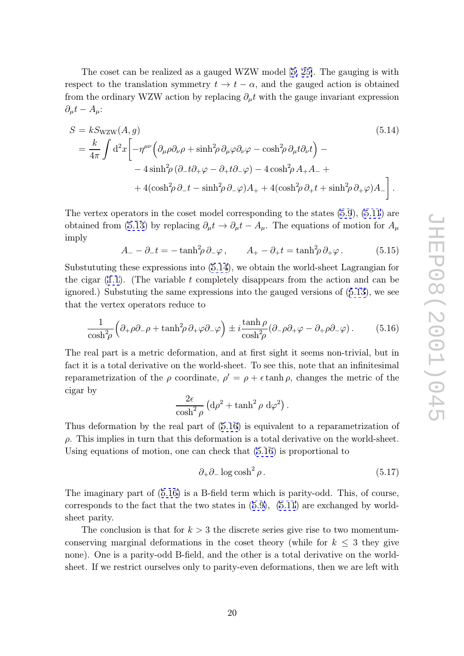The coset can be realized as a gauged WZW model [5, 25]. The gauging is with respect to the translation symmetry  $t \to t - \alpha$ , and the gauged action is obtained from the ordinary WZW action by replacing  $\partial_{\mu}t$  with the gauge invariant expression  $\partial_{\mu}t - A_{\mu}$ :  $\alpha$  and the sample standard symmetry  $\alpha$ ,  $\alpha$  and the sample

$$
S = kS_{\text{WZW}}(A, g)
$$
\n
$$
= \frac{k}{4\pi} \int d^2x \left[ -\eta^{\mu\nu} \left( \partial_{\mu}\rho \partial_{\nu}\rho + \sinh^2 \rho \partial_{\mu}\varphi \partial_{\nu}\varphi - \cosh^2 \rho \partial_{\mu}t \partial_{\nu}t \right) - 4\sinh^2 \rho \left( \partial_{-}t \partial_{+}\varphi - \partial_{+}t \partial_{-}\varphi \right) - 4\cosh^2 \rho A_{+}A_{-} + 4(\cosh^2 \rho \partial_{-}t - \sinh^2 \rho \partial_{-}\varphi)A_{+} + 4(\cosh^2 \rho \partial_{+}t + \sinh^2 \rho \partial_{+}\varphi)A_{-} \right].
$$
\n(5.14)

The vertex operators in the coset model corresponding to the states  $(5.9)$ ,  $(5.11)$  are obtained from (5.13) by replacing  $\partial_{\mu}t \to \partial_{\mu}t - A_{\mu}$ . The equations of motion for  $A_{\mu}$ imply

$$
A_{-} - \partial_{-}t = -\tanh^{2}\!\rho \,\partial_{-}\varphi \,, \qquad A_{+} - \partial_{+}t = \tanh^{2}\!\rho \,\partial_{+}\varphi \,. \tag{5.15}
$$

Substututing t[hese](#page-19-0) [e](#page-19-0)xpressions into  $(5.14)$ , we obtain the world-sheet Lagrangian for the cigar  $(1.1)$ . (The variable t completely disappears from the action and can be ignored.) Substuting the same expressions into the gauged versions of (5.13), we see that the vertex operators reduce to

$$
\frac{1}{\cosh^2 \rho} \left( \partial_+ \rho \partial_- \rho + \tanh^2 \rho \, \partial_+ \varphi \partial_- \varphi \right) \pm i \frac{\tanh \rho}{\cosh^2 \rho} (\partial_- \rho \partial_+ \varphi - \partial_+ \rho \partial_- \varphi). \tag{5.16}
$$

The real part is a metric deformation, and at first sight it seems non-trivial, but in fact it is a total derivative on the world-sheet. To see this, note that an infinitesimal reparametrization of the  $\rho$  coordinate,  $\rho' = \rho + \epsilon \tanh \rho$ , changes the metric of the cigar by

$$
\frac{2\epsilon}{\cosh^2\rho} \left( d\rho^2 + \tanh^2\rho \ d\varphi^2 \right)
$$

Thus deformation by the real part of (5.16) is equivalent to a reparametrization of  $\rho$ . This implies in turn that this deformation is a total derivative on the world-sheet. Using equations of motion, one can check that (5.16) is proportional to

$$
\partial_+ \partial_- \log \cosh^2 \rho \,. \tag{5.17}
$$

.

The imaginary part of (5.16) is a B-field term which is parity-odd. This, of course, corresponds to the fact that the two states in  $(5.9)$ ,  $(5.11)$  are exchanged by worldsheet parity.

The conclusion is that for  $k > 3$  the discrete series give rise to two momentumconserving marginal deformations in the cose[t th](#page-19-0)eo[ry \(w](#page-19-0)hile for  $k \leq 3$  they give none). One is a parity-odd B-field, and the other is a total derivative on the worldsheet. If we restrict ourselves only to parity-even deformations, then we are left with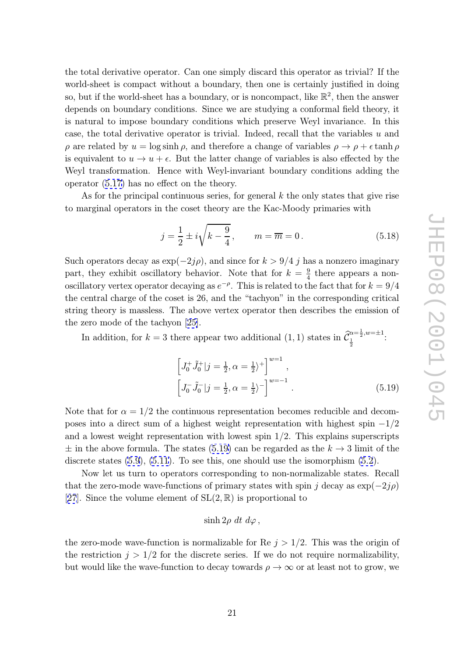<span id="page-21-0"></span>the total derivative operator. Can one simply discard this operator as trivial? If the world-sheet is compact without a boundary, then one is certainly justified in doing so, but if the world-sheet has a boundary, or is noncompact, like  $\mathbb{R}^2$ , then the answer depends on boundary conditions. Since we are studying a conformal field theory, it is natural to impose boundary conditions which preserve Weyl invariance. In this case, the total derivative operator is trivial. Indeed, recall that the variables  $u$  and  $\rho$  are related by  $u = \log \sinh \rho$ , and therefore a change of variables  $\rho \to \rho + \epsilon \tanh \rho$ is equivalent to  $u \to u + \epsilon$ . But the latter change of variables is also effected by the Weyl transformation. Hence with Weyl-invariant boundary conditions adding the operator (5.17) has no effect on the theory.

As for the principal continuous series, for general  $k$  the only states that give rise to marginal operators in the coset theory are the Kac-Moody primaries with

Therefore with WeyI-invariant boundary conditions adding the effect on the theory.

\ncontinuous series, for general 
$$
k
$$
 the only states that give rise in the coset theory are the Kac-Moody primaries with

\n
$$
j = \frac{1}{2} \pm i\sqrt{k - \frac{9}{4}}, \qquad m = \overline{m} = 0.
$$
\n(5.18)

Such operators decay as  $\exp(-2j\rho)$ , and since for  $k > 9/4$  j has a nonzero imaginary part, they exhibit oscillatory behavior. Note that for  $k = \frac{9}{4}$  there appears a nonoscillatory vertex operator decaying as  $e^{-\rho}$ . This is related to the fact that for  $k = 9/4$ the central charge of the coset is 26, and the "tachyon" in the corresponding critical string theory is massless. The above vertex operator then describes the emission of the zero mode of the tachyon [25]. at<br>onc<br> $\widehat {\cal C}_{\perp}^{\alpha}$ 

In addition, for  $k=3$  there appear two additional  $(1,1)$  states in  $\widehat{\mathcal{C}}_1^{\alpha=\frac{1}{2},w=\pm 1}$ here appear two additional (1, 1) states in  $\widehat{\mathcal{C}}_{\frac{1}{2}}^{\alpha=\frac{1}{2},w=\pm 1}$ .

$$
\left[J_0^+ \tilde{J}_0^+|j = \frac{1}{2}, \alpha = \frac{1}{2}\right)^+\right]^{w=1},
$$
\n
$$
\left[J_0^- \tilde{J}_0^-|j = \frac{1}{2}, \alpha = \frac{1}{2}\right)^-\right]^{w=-1}.
$$
\n(5.19)

Note that for  $\alpha = 1/2$  the continuous representation becomes reducible and decomposes into a direct sum of a highest weight representation with highest spin  $-1/2$ and a lowest weight representation with lowest spin 1 /2. This explains superscripts  $\pm$  in the above formula. The states (5.19) can be regarded as the  $k \to 3$  limit of the discrete states  $(5.9)$ ,  $(5.11)$ . To see this, one should use the isomorphism  $(5.2)$ .

Now let us turn to operators corresponding to non-normalizable states. Recall that the zero-mode wave-functions of primary states with spin j decay as  $\exp(-2j\rho)$ [27]. Since the [volu](#page-19-0)m[e elem](#page-19-0)ent of  $SL(2,\mathbb{R})$  is proportional to

$$
\sinh 2\rho \, dt \, d\varphi \, ,
$$

[the](#page-44-0) zero-mode wave-function is normalizable for Re  $j > 1/2$ . This was the origin of the restriction  $j > 1/2$  for the discrete series. If we do not require normalizability, but would like the wave-function to decay towards  $\rho \to \infty$  or at least not to grow, we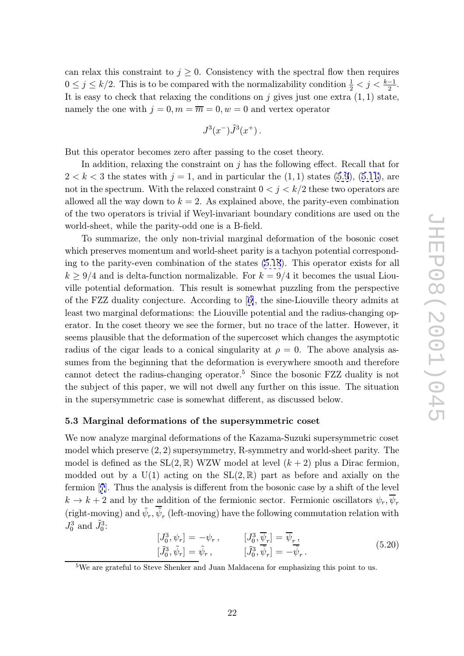<span id="page-22-0"></span>can relax this constraint to  $j \geq 0$ . Consistency with the spectral flow then requires  $0 \leq j \leq k/2$ . This is to be compared with the normalizability condition  $\frac{1}{2} < j < \frac{k-1}{2}$  $\frac{-1}{2}$ . It is easy to check that relaxing the conditions on  $j$  gives just one extra  $(1, 1)$  state, namely the one with  $j = 0, m = \overline{m} = 0, w = 0$  and vertex operator

$$
J^3(x^-)\tilde{J}^3(x^+)\,.
$$

But this operator becomes zero after passing to the coset theory.

In addition, relaxing the constraint on  $j$  has the following effect. Recall that for  $2 < k < 3$  the states with  $j = 1$ , and in particular the  $(1, 1)$  states  $(5.9)$ ,  $(5.11)$ , are not in the spectrum. With the relaxed constraint  $0 < j < k/2$  these two operators are allowed all the way down to  $k = 2$ . As explained above, the parity-even combination of the two operators is trivial if Weyl-invariant boundary conditions [are](#page-19-0) u[sed o](#page-19-0)n the world-sheet, while the parity-odd one is a B-field.

To summarize, the only non-trivial marginal deformation of the bosonic coset which preserves momentum and world-sheet parity is a tachyon potential corresponding to the parity-even combination of the states (5.18). This operator exists for all  $k \geq 9/4$  and is delta-function normalizable. For  $k = 9/4$  it becomes the usual Liouville potential deformation. This result is somewhat puzzling from the perspective of the FZZ duality conjecture. According to [6], t[he si](#page-21-0)ne-Liouville theory admits at least two marginal deformations: the Liouville potential and the radius-changing operator. In the coset theory we see the former, but no trace of the latter. However, it seems plausible that the deformation of the su[pe](#page-42-0)rcoset which changes the asymptotic radius of the cigar leads to a conical singularity at  $\rho = 0$ . The above analysis assumes from the beginning that the deformation is everywhere smooth and therefore cannot detect the radius-changing operator. <sup>5</sup> Since the bosonic FZZ duality is not the subject of this paper, we will not dwell any further on this issue. The situation in the supersymmetric case is somewhat different, as discussed below.

#### 5.3 Marginal deformations of the supersymmetric coset

We now analyze marginal deformations of the Kazama-Suzuki supersymmetric coset model which preserve  $(2, 2)$  supersymmetry, R-symmetry and world-sheet parity. The model is defined as the  $SL(2,\mathbb{R})$  WZW model at level  $(k+2)$  plus a Dirac fermion, modded out by a  $U(1)$  acting on the  $SL(2,\mathbb{R})$  part as before and axially on the fermion [7]. Thus the analysis is different from the bosonic case by a shift of the level  $k \to k+2$  and by the addition of the fermionic sector. Fermionic oscillators  $\psi_r, \overline{\psi_r}$ (right-moving) and  $\tilde{\psi}_r$ ,  $\tilde{\psi}_r$  (left-moving) have the following commutation relation with  $J_0^3$  and  $\tilde{J}_0^3$ :

$$
\begin{aligned}\n[J_0^3, \psi_r] &= -\psi_r, & [J_0^3, \overline{\psi}_r] &= \overline{\psi}_r, \\
[\tilde{J}_0^3, \tilde{\psi}_r] &= \tilde{\psi}_r, & [\tilde{J}_0^3, \tilde{\psi}_r] &= -\tilde{\psi}_r.\n\end{aligned} \tag{5.20}
$$

<sup>&</sup>lt;sup>5</sup>We are grateful to Steve Shenker and Juan Maldacena for emphasizing this point to us.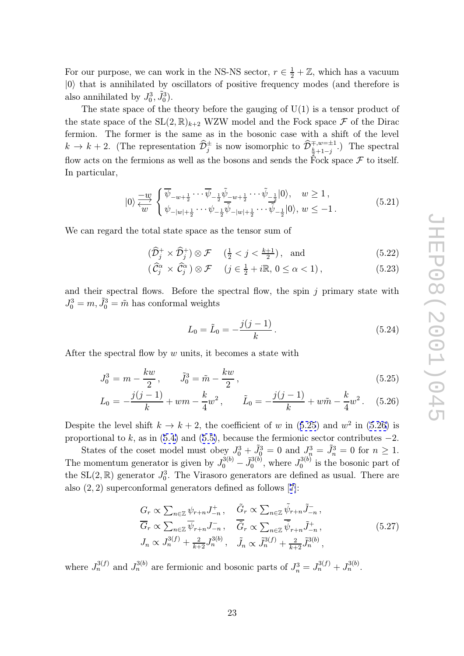For our purpose, we can work in the NS-NS sector,  $r \in \frac{1}{2} + \mathbb{Z}$ , which has a vacuum  $|0\rangle$  that is annihilated by oscillators of positive frequency modes (and therefore is also annihilated by  $J_0^3$ ,  $\tilde{J}_0^3$ ).

The state space of the theory before the gauging of  $U(1)$  is a tensor product of the state space of the  $SL(2,\mathbb{R})_{k+2}$  WZW model and the Fock space  $\mathcal F$  of the Dirac fermion. The former is the same as in the bosonic case with a shift of the level also annihilated by  $J_0^3, J_0^3$ ).<br>The state space of the theory before the gauging of U(1) is a tensor product of<br>the state space of the SL(2,  $\mathbb{R}_{k+2}$  WZW model and the Fock space  $\mathcal F$  of the Dirac<br>fermion. The f flow acts on the fermions as well as the bosons and sends the Fock space  $\mathcal F$  to itself. In particular,  $\mathbf{r}$ 

$$
|0\rangle \frac{-w}{\langle w|}\n\begin{cases}\n\overline{\psi}_{-w+\frac{1}{2}}\cdots \overline{\psi}_{-\frac{1}{2}}\tilde{\psi}_{-w+\frac{1}{2}}\cdots \tilde{\psi}_{-\frac{1}{2}}|0\rangle, & w \ge 1, \\
\psi_{-|w|+\frac{1}{2}}\cdots \psi_{-\frac{1}{2}}\tilde{\psi}_{-|w|+\frac{1}{2}}\cdots \tilde{\psi}_{-\frac{1}{2}}|0\rangle, & w \le -1.\n\end{cases}
$$
\n(5.21)

\nthe total state space as the tensor sum of

\n
$$
(\widehat{D}_{j}^{+}\times\widehat{D}_{j}^{+})\otimes \mathcal{F} \quad (\frac{1}{2} < j < \frac{k+1}{2}), \text{ and}
$$
\n(5.22)

We can regard the total state space as the tensor sum of

total state space as the tensor sum of

\n
$$
(\widehat{\mathcal{D}}_{j}^{+} \times \widehat{\mathcal{D}}_{j}^{+}) \otimes \mathcal{F} \quad (\frac{1}{2} < j < \frac{k+1}{2}), \text{ and}
$$
\n
$$
(\widehat{\mathcal{C}}_{j}^{\alpha} \times \widehat{\mathcal{C}}_{j}^{\alpha}) \otimes \mathcal{F} \quad (j \in \frac{1}{2} + i\mathbb{R}, 0 \leq \alpha < 1), \tag{5.23}
$$

$$
(\hat{C}_j^{\alpha} \times \hat{C}_j^{\alpha}) \otimes \mathcal{F} \quad (j \in \frac{1}{2} + i\mathbb{R}, 0 \le \alpha < 1), \tag{5.23}
$$

and their spectral flows. Before the spectral flow, the spin  $j$  primary state with  $J_0^3 = m, \tilde{J}_0^3 = \tilde{m}$  has conformal weights

$$
L_0 = \tilde{L}_0 = -\frac{j(j-1)}{k}.
$$
\n(5.24)

After the spectral flow by  $w$  units, it becomes a state with

$$
J_0^3 = m - \frac{kw}{2}, \qquad \tilde{J}_0^3 = \tilde{m} - \frac{kw}{2}, \qquad (5.25)
$$

$$
L_0 = -\frac{j(j-1)}{k} + w m - \frac{k}{4} w^2, \qquad \tilde{L}_0 = -\frac{j(j-1)}{k} + w \tilde{m} - \frac{k}{4} w^2. \tag{5.26}
$$

Despite the level shift  $k \to k+2$ , the coefficient of w in (5.25) and  $w^2$  in (5.26) is proportional to k, as in  $(5.4)$  and  $(5.5)$ , because the fermionic sector contributes  $-2$ .

States of the coset model must obey  $J_0^3 + \tilde{J}_0^3 = 0$  and  $J_n^3 = \tilde{J}_n^3 = 0$  for  $n \ge 1$ . The momentum generator is given by  $J_0^{3(b)}$ also (2 , 2) superconformal generators defined as follows [7]:

The momentum generator is given by 
$$
J_0^{3(b)} - \tilde{J}_0^{3(b)}
$$
, where  $J_0^{3(b)}$  is the bosonic part of  
the SL(2, R) generator  $J_0^3$ . The Virasoro generators are defined as usual. There are  
also (2, 2) superconformal generators defined as follows [7]:  

$$
G_r \propto \sum_{n \in \mathbb{Z}} \psi_{r+n} J_{-n}^+, \qquad \tilde{G}_r \propto \sum_{n \in \mathbb{Z}} \tilde{\psi}_{r+n} \tilde{J}_{-n}^-,
$$

$$
\overline{G}_r \propto \sum_{n \in \mathbb{Z}} \overline{\psi}_{r+n} J_{-n}^-, \qquad \overline{\tilde{G}}_r \propto \sum_{n \in \mathbb{Z}} \overline{\tilde{\psi}}_{r+n} \tilde{J}_{-n}^+, \qquad (5.27)
$$

$$
J_n \propto J_n^{3(f)} + \frac{2}{k+2} J_n^{3(b)}, \qquad \tilde{J}_n \propto \tilde{J}_n^{3(f)} + \frac{2}{k+2} \tilde{J}_n^{3(b)},
$$

where  $J_n^{3(f)}$  and  $J_n^{3(b)}$  are fermionic and bosonic parts of  $J_n^3 = J_n^{3(f)} + J_n^{3(b)}$ .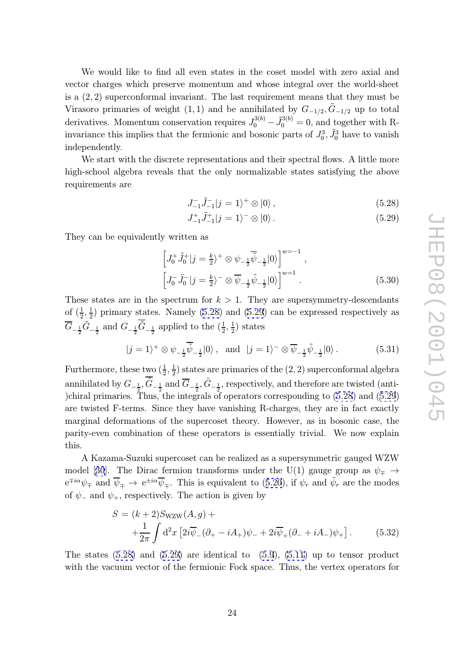<span id="page-24-0"></span>We would like to find all even states in the coset model with zero axial and vector charges which preserve momentum and whose integral over the world-sheet is a (2 , 2) superconformal invariant. The last requirement means that they must be Virasoro primaries of weight (1, 1) and be annihilated by  $G_{-1/2}, \tilde{G}_{-1/2}$  up to total derivatives. Momentum conservation requires  $J_0^{3(b)}$  $\tilde{J}_0^{3(b)} - \tilde{J}_0^{3(b)} = 0$ , and together with Rinvariance this implies that the fermionic and bosonic parts of  $J_0^3$ ,  $\tilde{J}_0^3$  have to vanish independently.

We start with the discrete representations and their spectral flows. A little more high-school algebra reveals that the only normalizable states satisfying the above requirements are

$$
J_{-1}^-\tilde{J}_{-1}^-|j=1\rangle^+\otimes|0\rangle\,,\tag{5.28}
$$

$$
J_{-1}^{+}\tilde{J}_{-1}^{+}|j=1\rangle^{-}\otimes|0\rangle.
$$
\n(5.29)

They can be equivalently written as

$$
\left[J_0^+ \tilde{J}_0^+|j\rangle = \frac{k}{2}\right]^+ \otimes \psi_{-\frac{1}{2}} \overline{\tilde{\psi}}_{-\frac{1}{2}}|0\rangle\right]^{w=-1},
$$
\n
$$
\left[J_0^- \tilde{J}_0^-|j\rangle = \frac{k}{2}\right)^- \otimes \overline{\psi}_{-\frac{1}{2}} \tilde{\psi}_{-\frac{1}{2}}|0\rangle\right]^{w=1}.
$$
\n(5.30)

These states are in the spectrum for  $k > 1$ . They are supersymmetry-descendants of  $(\frac{1}{2}, \frac{1}{2})$  primary states. Namely (5.28) and (5.29) can be expressed respectively as  $\overline{G}_{-\frac{1}{2}}\tilde{G}_{-\frac{1}{2}}$  and  $G_{-\frac{1}{2}}\overline{\tilde{G}}_{-\frac{1}{2}}$  applied to the  $(\frac{1}{2},\frac{1}{2})$  states

$$
|j=1\rangle^+ \otimes \psi_{-\frac{1}{2}}\overline{\widetilde{\psi}}_{-\frac{1}{2}}|0\rangle, \text{ and } |j=1\rangle^- \otimes \overline{\psi}_{-\frac{1}{2}}\widetilde{\psi}_{-\frac{1}{2}}|0\rangle. \tag{5.31}
$$

Furthermore, these two  $(\frac{1}{2}, \frac{1}{2})$  states are primaries of the  $(2, 2)$  superconformal algebra annihilated by  $G_{-\frac{1}{2}}, \overline{\tilde{G}}_{-\frac{1}{2}}$  and  $\overline{G}_{-\frac{1}{2}}, \tilde{G}_{-\frac{1}{2}}$ , respectively, and therefore are twisted (anti-)chiral primaries. Thus, the integrals of operators corresponding to (5.28) and (5.29) are twisted F-terms. Since they have vanishing R-charges, they are in fact exactly marginal deformations of the supercoset theory. However, as in bosonic case, the parity-even combination of these operators is essentially trivial. We now explain this.

A Kazama-Suzuki supercoset can be realized as a supersymmetric gauged WZW model [30]. The Dirac fermion transforms under the U(1) gauge group as  $\psi_{\mp} \rightarrow$  $e^{\mp i\alpha}\psi_{\mp}$  and  $\overline{\psi}_{\mp} \rightarrow e^{\pm i\alpha}\overline{\psi}_{\mp}$ . This is equivalent to (5.20), if  $\psi_r$  and  $\widetilde{\psi}_r$  are the modes of  $\psi$ <sub>-</sub> and  $\psi$ <sub>+</sub>, respectively. The action is given by

$$
S = (k+2)S_{\text{WZW}}(A,g) +
$$
  
 
$$
+ \frac{1}{2\pi} \int d^2x \left[ 2i\overline{\psi}_-(\partial_+ - iA_+) \psi_- + 2i\overline{\psi}_+(\partial_- + iA_-) \psi_+ \right].
$$
 (5.32)

The states  $(5.28)$  and  $(5.29)$  are identical to  $(5.9)$ ,  $(5.11)$  up to tensor product with the vacuum vector of the fermionic Fock space. Thus, the vertex operators for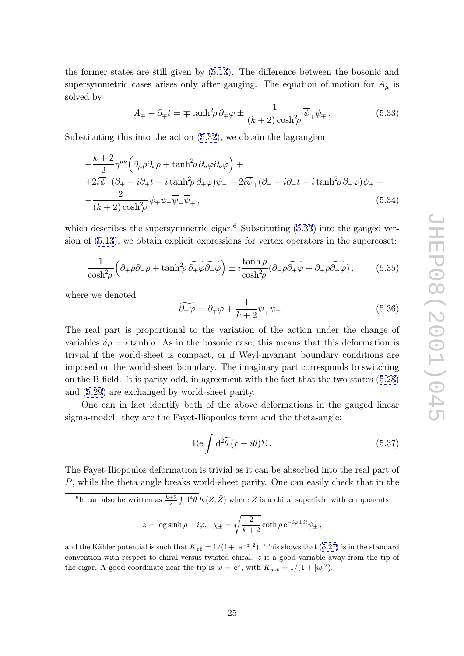<span id="page-25-0"></span>the former states are still given by (5.13). The difference between the bosonic and supersymmetric cases arises only after gauging. The equation of motion for  $A_\mu$  is solved by

$$
A_{\mp} - \partial_{\mp} t = \mp \tanh^2 \!\! \rho \, \partial_{\mp} \varphi \pm \frac{1}{(k+2) \cosh^2 \!\! \rho} \overline{\psi}_{\mp} \psi_{\mp} \,. \tag{5.33}
$$

Substituting this into the action (5.32), we obtain the lagrangian

$$
A_{\mp} - \partial_{\mp}t = \mp \tanh^2 \rho \partial_{\mp} \varphi \pm \frac{1}{(k+2)\cosh^2 \rho} \overline{\psi}_{\mp} \psi_{\mp}.
$$
 (5.33)  
tituting this into the action (5.32), we obtain the lagrangian  

$$
-\frac{k+2}{2}\eta^{\mu\nu} \Big( \partial_{\mu}\rho \partial_{\nu}\rho + \tanh^2 \rho \partial_{\mu}\varphi \partial_{\nu}\varphi \Big) +
$$

$$
+2i\overline{\psi}_{-}(\partial_{+} - i\partial_{+}t - i\tanh^2 \rho \partial_{+}\varphi)\psi_{-} + 2i\overline{\psi}_{+}(\partial_{-} + i\partial_{-}t - i\tanh^2 \rho \partial_{-}\varphi)\psi_{+} -
$$

$$
-\frac{2}{(k+2)\cosh^2 \rho} \psi_{+} \psi_{-} \overline{\psi}_{-} \overline{\psi}_{+},
$$
 (5.34)

which describes the supersymmetric cigar.<sup>6</sup> Substituting (5.33) into the gauged version of (5.13), we obtain explicit expressions for vertex operators in the supercoset: netric cigar.<sup>6</sup> Substituting (5.33) into the<br>it expressions for vertex operators in the<br> $\widetilde{\partial_+\varphi\partial_-\varphi}$   $\pm i\frac{\tanh\rho}{\cosh^2\varphi}$   $(\partial_-\rho\widetilde{\partial_+\varphi} - \partial_+\rho\widetilde{\partial_-\varphi})$ 

$$
\frac{1}{\cosh^2 \rho} \left( \partial_+ \rho \partial_- \rho + \tanh^2 \rho \, \widetilde{\partial_+ \varphi} \widetilde{\partial_- \varphi} \right) \pm i \frac{\tanh \rho}{\cosh^2 \rho} (\partial_- \rho \widetilde{\partial_+ \varphi} - \partial_+ \rho \widetilde{\partial_- \varphi}), \tag{5.35}
$$
  
we denoted  

$$
\widetilde{\partial_\mp \varphi} = \partial_\mp \varphi + \frac{1}{k+2} \overline{\psi}_\mp \psi_\mp.
$$

where we denoted

$$
\widetilde{\partial_{\mp}\varphi} = \partial_{\mp}\varphi + \frac{1}{k+2}\overline{\psi}_{\mp}\psi_{\mp}.
$$
\n(5.36)

The real part is proportional to the variation of the action under the change of variables  $\delta \rho = \epsilon \tanh \rho$ . As in the bosonic case, this means that this deformation is trivial if the world-sheet is compact, or if Weyl-invariant boundary conditions are imposed on the world-sheet boundary. The imaginary part corresponds to switching on the B-field. It is parity-odd, in agreement with the fact that the two states (5.28) and (5.29) are exchanged by world-sheet parity.

One can in fact identify both of the above deformations in the gauged linear sigma-model: they are the Fayet-Iliopoulos term and the theta-angle:  $\mathop{\mathrm{de}}\limits_{\mathop{\mathrm{d}\mathop{\mathrm{d}}\limits^{\mathop{\mathrm{d}}\nolimits}}}\,\,$ 

$$
\operatorname{Re} \int d^2 \tilde{\theta} (r - i\theta) \Sigma \,. \tag{5.37}
$$

The Fayet-Iliopoulos deformation is trivial as it can be absorbed into the real part of P, while the theta-angle breaks world-sheet parity. One can easily check that in the Fayet-Iliopoulos deformation is trivial as it can be absorbed into the real part<br>while the theta-angle breaks world-sheet parity. One can easily check that in t<br> $\frac{6}{11}$  can also be written as  $\frac{k+2}{2} \int d^4\theta K(Z,\bar{Z})$  w

angle breaks world-sheet parity. One can easily  
\nten as 
$$
\frac{k+2}{2} \int d^4\theta K(Z, \bar{Z})
$$
 where Z is a chiral superfield  
\nz =  $\log \sinh \rho + i\varphi$ ,  $\chi_{\pm} = \sqrt{\frac{2}{k+2}} \coth \rho e^{-i\varphi \pm it} \psi_{\pm}$ ,

and the Kähler potential is such that  $K_{z\bar{z}} = 1/(1+|e^{-z}|^2)$ . This shows that (5.27) is in the standard convention with respect to chiral versus twisted chiral. z is a good variable away from the tip of the cigar. A good coordinate near the tip is  $w = e^z$ , with  $K_{w\bar{w}} = 1/(1 + |w|^2)$ .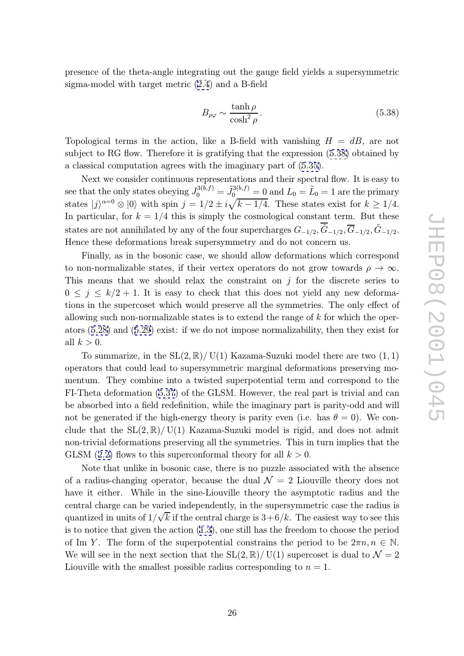presence of the theta-angle integrating out the gauge field yields a supersymmetric sigma-model with target metric (2.4) and a B-field

$$
B_{\rho\varphi} \sim \frac{\tanh\rho}{\cosh^2\rho} \,. \tag{5.38}
$$

Topological terms in the action, like a B-field with vanishing  $H = dB$ , are not subject to RG flow. Therefore it is gratifying that the expression (5.38) obtained by a classical computation agrees with the imaginary part of (5.35).

Next we consider continuous representations and their spectral flow. It is easy to see that the only states obeying  $J_0^{3(b,f)}$  $\tilde{J}_{0}^{3(b,f)} = \tilde{J}_{0}^{3(b,f)} = 0 \text{ and } L_{0} = \tilde{L}_{0} = 1 \text{ are the primary}$ states  $|j\rangle^{\alpha=0} \otimes |0\rangle$  with spin  $j = 1/2 \pm i\sqrt{k-1/4}$ . These [state](#page-25-0)s exist for  $k \geq 1/4$ . In particular, for  $k = 1/4$  this is simply the cosmological constant term. But these states are not annihilated by any of the four supercharges  $G_{-1/2}$ ,  $\tilde{G}_{-1/2}$ ,  $\tilde{G}_{-1/2}$ ,  $\tilde{G}_{-1/2}$ . Hence these deformations break supersymmetry and do not concern us.

Finally, as in the bosonic case, we should allow deformations which correspond to non-normalizable states, if their vertex operators do not grow towards  $\rho \to \infty$ . This means that we should relax the constraint on  $j$  for the discrete series to  $0 \leq j \leq k/2+1$ . It is easy to check that this does not yield any new deformations in the supercoset which would preserve all the symmetries. The only effect of allowing such non-normalizable states is to extend the range of k for which the operators (5.28) and (5.29) exist: if we do not impose normalizability, then they exist for all  $k > 0$ .

To summarize, in the  $SL(2,\mathbb{R})/ U(1)$  Kazama-Suzuki model there are two  $(1,1)$ operat[ors t](#page-24-0)hat co[uld l](#page-24-0)ead to supersymmetric marginal deformations preserving momentum. They combine into a twisted superpotential term and correspond to the FI-Theta deformation (5.37) of the GLSM. However, the real part is trivial and can be absorbed into a field redefinition, while the imaginary part is parity-odd and will not be generated if the high-energy theory is parity even (i.e. has  $\theta = 0$ ). We conclude that the  $SL(2,\mathbb{R})/ U(1)$  $SL(2,\mathbb{R})/ U(1)$  $SL(2,\mathbb{R})/ U(1)$  Kazama-Suzuki model is rigid, and does not admit non-trivial deformations preserving all the symmetries. This in turn implies that the GLSM (2.2) flows to this superconformal theory for all  $k > 0$ .

Note that unlike in bosonic case, there is no puzzle associated with the absence of a radius-changing operator, because the dual  $\mathcal{N}=2$  Liouville theory does not have it [eith](#page-6-0)er. While in the sine-Liouville theory the asymptotic radius and the central charge can be varied independently, in the supersymmetric case the radius is √ quantized in units of  $1/\sqrt{k}$  if the central charge is  $3+6/k$ . The easiest way to see this is to notice that given the action (1.3), one still has the freedom to choose the period of Im Y. The form of the superpotential constrains the period to be  $2\pi n, n \in \mathbb{N}$ . We will see in the next section that the  $SL(2,\mathbb{R})/$  U(1) supercoset is dual to  $\mathcal{N}=2$ Liouville with the smallest possib[le r](#page-3-0)adius corresponding to  $n = 1$ .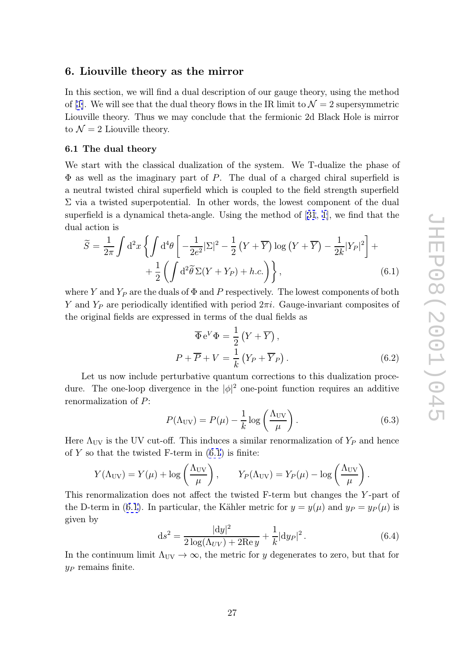## <span id="page-27-0"></span>6. Liouville theory as the mirror

In this section, we will find a dual description of our gauge theory, using the method of [1]. We will see that the dual theory flows in the IR limit to  $\mathcal{N}=2$  supersymmetric Liouville theory. Thus we may conclude that the fermionic 2d Black Hole is mirror to  $\mathcal{N}=2$  Liouville theory.

#### 6.[1](#page-42-0) The dual theory

We start with the classical dualization of the system. We T-dualize the phase of  $\Phi$  as well as the imaginary part of P. The dual of a charged chiral superfield is a neutral twisted chiral superfield which is coupled to the field strength superfield  $\Sigma$  via a twisted superpotential. In other words, the lowest component of the dual superfield is a dynamical theta-angle. Using the me  $\Sigma$  via a twisted superpotential. In other words, the lowest component of the dual dual action is

superfield is a dynamical theta-angle. Using the method of [31, 1], we find that the dual action is  
\n
$$
\widetilde{S} = \frac{1}{2\pi} \int d^2x \left\{ \int d^4\theta \left[ -\frac{1}{2e^2} |\Sigma|^2 - \frac{1}{2} (Y + \overline{Y}) \log (Y + \overline{Y}) - \frac{1}{2k} |Y_P|^2 \right] + \frac{1}{2} \left( \int d^2\tilde{\theta} \Sigma(Y + Y_P) + h.c. \right) \right\},
$$
\n(6.1)

where Y and  $Y_P$  are the duals of  $\Phi$  and P respectively. The lowest components of both Y and  $Y_P$  are periodically identified with period  $2\pi i$ . Gauge-invariant composites of the original fields are expressed in terms of the dual fields as

$$
\overline{\Phi} e^{V} \Phi = \frac{1}{2} (Y + \overline{Y}),
$$
  
\n
$$
P + \overline{P} + V = \frac{1}{k} (Y_P + \overline{Y}_P).
$$
\n(6.2)

Let us now include perturbative quantum corrections to this dualization procedure. The one-loop divergence in the  $|\phi|^2$  one-point function requires an additive renormalization of P :

$$
P(\Lambda_{\rm UV}) = P(\mu) - \frac{1}{k} \log \left( \frac{\Lambda_{\rm UV}}{\mu} \right). \tag{6.3}
$$

Here  $\Lambda_{\text{UV}}$  is the UV cut-off. This induces a similar renormalization of  $Y_P$  and hence of  $Y$  so that the twisted F-term in  $(6.1)$  is finite:

$$
P(\Lambda_{\text{UV}}) = P(\mu) - \frac{1}{k} \log \left( \frac{\Lambda_{\text{UV}}}{\mu} \right).
$$
  
UV is the UV cut-off. This induces a similar renormalization of  $Y_P$  and  
that the twisted F-term in (6.1) is finite:  

$$
Y(\Lambda_{\text{UV}}) = Y(\mu) + \log \left( \frac{\Lambda_{\text{UV}}}{\mu} \right), \qquad Y_P(\Lambda_{\text{UV}}) = Y_P(\mu) - \log \left( \frac{\Lambda_{\text{UV}}}{\mu} \right).
$$

This renormalization does not affect the twisted F-term but changes the Y-part of the D-term in (6.1). In particular, the Kähler metric for  $y = y(\mu)$  and  $y_P = y_P(\mu)$  is given by

$$
ds^{2} = \frac{|dy|^{2}}{2\log(\Lambda_{UV}) + 2\text{Re} y} + \frac{1}{k}|dy_{P}|^{2}.
$$
 (6.4)

In the continuum limit  $\Lambda_{\text{UV}} \to \infty$ , the metric for y degenerates to zero, but that for  $y_P$  remains finite.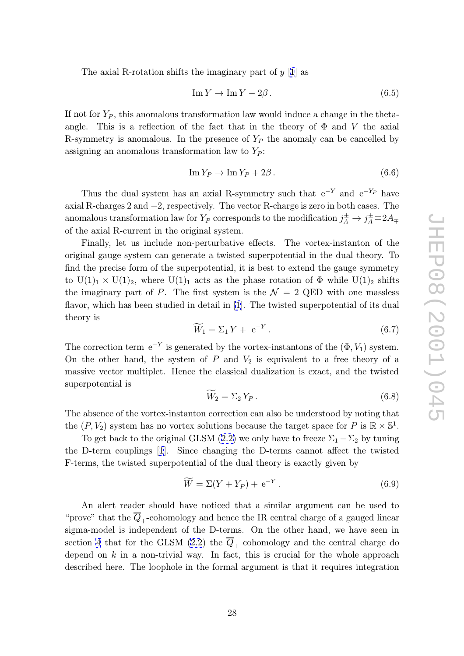The axial R-rotation shifts the imaginary part of  $y$  [1] as

$$
\operatorname{Im} Y \to \operatorname{Im} Y - 2\beta. \tag{6.5}
$$

If not for  $Y_P$ , this anomalous transformation law would i[nd](#page-42-0)uce a change in the thetaangle. This is a reflection of the fact that in the theory of  $\Phi$  and V the axial R-symmetry is anomalous. In the presence of  $Y_P$  the anomaly can be cancelled by assigning an anomalous transformation law to  $Y_P$ :

$$
\operatorname{Im} Y_P \to \operatorname{Im} Y_P + 2\beta. \tag{6.6}
$$

Thus the dual system has an axial R-symmetry such that  $e^{-Y}$  and  $e^{-Y_P}$  have axial R-charges 2 and −2, respectively. The vector R-charge is zero in both cases. The anomalous transformation law for  $Y_P$  corresponds to the modification  $j_A^{\pm} \to j_A^{\pm} \mp 2A_{\mp}$ of the axial R-current in the original system.

Finally, let us include non-perturbative effects. The vortex-instanton of the original gauge system can generate a twisted superpotential in the dual theory. To find the precise form of the superpotential, it is best to extend the gauge symmetry to  $U(1)_1 \times U(1)_2$ , where  $U(1)_1$  acts as the phase rotation of  $\Phi$  while  $U(1)_2$  shifts the imaginary part of P. The first system is the  $\mathcal{N}=2$  QED with one massless flavor, which has been studied in detail in [1]. The twisted superpotential of its dual theory is acts as<br>first sys<br> $\iota$  detail i<br> $\widetilde{W}_1 = \Sigma$ 

$$
\widetilde{W}_1 = \Sigma_1 Y + \mathbf{e}^{-Y} \,. \tag{6.7}
$$

T[he](#page-42-0) correction term  $e^{-Y}$  is generated by the vortex-instantons of the  $(\Phi, V_1)$  system. On the other hand, the system of  $P$  and  $V_2$  is equivalent to a free theory of a massive vector multiplet. Hence the classical dualization is exact, and the twisted superpotential is Example 1 by the classic  $\widetilde{W}_2 = \Sigma$ 

$$
\widetilde{W}_2 = \Sigma_2 Y_P. \tag{6.8}
$$

The absence of the vortex-instanton correction can also be understood by noting that the  $(P, V_2)$  system has no vortex solutions because the target space for P is  $\mathbb{R} \times \mathbb{S}^1$ .

To get back to the original GLSM (2.2) we only have to freeze  $\Sigma_1 - \Sigma_2$  by tuning<br>D-term couplings [1]. Since changing the D-terms cannot affect the twisted<br>rms, the twisted superpotential of the dual theory is exactly the D-term couplings [1]. Since changing the D-terms cannot affect the twisted F-terms, the twisted superpotential of the dual theory is exactly given by

$$
\widetilde{W} = \Sigma (Y + Y_P) + e^{-Y} . \tag{6.9}
$$

An alert reader should have noticed that a similar argument can be used to "prove" that the  $\overline{Q}_+$ -cohomology and hence the IR central charge of a gauged linear sigma-model is independent of the D-terms. On the other hand, we have seen in section 4 that for the GLSM  $(2.2)$  the  $Q_+$  cohomology and the central charge do depend on  $k$  in a non-trivial way. In fact, this is crucial for the whole approach described here. The loophole in the formal argument is that it requires integration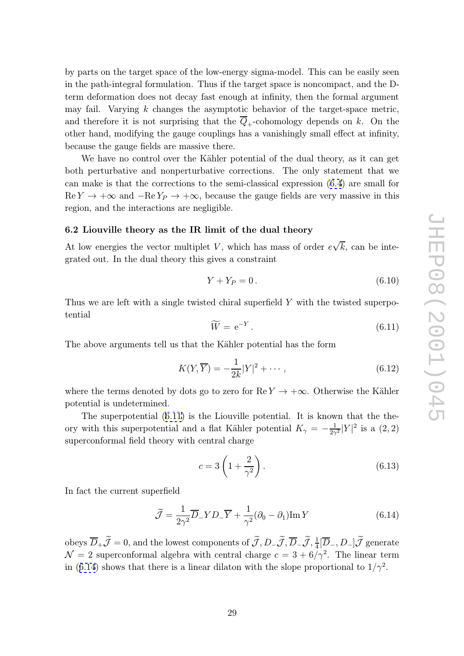<span id="page-29-0"></span>by parts on the target space of the low-energy sigma-model. This can be easily seen in the path-integral formulation. Thus if the target space is noncompact, and the Dterm deformation does not decay fast enough at infinity, then the formal argument may fail. Varying  $k$  changes the asymptotic behavior of the target-space metric, and therefore it is not surprising that the  $Q_+$ -cohomology depends on k. On the other hand, modifying the gauge couplings has a vanishingly small effect at infinity, because the gauge fields are massive there.

We have no control over the Kähler potential of the dual theory, as it can get both perturbative and nonperturbative corrections. The only statement that we can make is that the corrections to the semi-classical expression (6.4) are small for  $\text{Re } Y \to +\infty$  and  $-\text{Re } Y_P \to +\infty$ , because the gauge fields are very massive in this region, and the interactions are negligible.

#### 6.2 Liouville theory as the IR limit of the dual theory

At low energies the vector multiplet  $V$ , which has mass of order  $e$ √  $k$ , can be integrated out. In the dual theory this gives a constraint

$$
Y + Y_P = 0. \tag{6.10}
$$

Thus we are left with a single twisted chiral superfield Y with the twisted superpotential V + Y<sub>P</sub> = 0. (6.10)<br>d chiral superfield Y with the twisted superpo-<br> $\widetilde{W} = e^{-Y}$ . (6.11)

$$
\widetilde{W} = e^{-Y}.
$$
\n(6.11)

The above arguments tell us that the Kähler potential has the form

$$
K(Y,\overline{Y}) = -\frac{1}{2k}|Y|^2 + \cdots, \qquad (6.12)
$$

where the terms denoted by dots go to zero for  $\text{Re } Y \to +\infty$ . Otherwise the Kähler potential is undetermined.

The superpotential (6.11) is the Liouville potential. It is known that the theory with this superpotential and a flat Kähler potential  $K_{\gamma} = -\frac{1}{2\gamma^2}|Y|^2$  is a  $(2, 2)$ superconformal field theory with central charge the Lio<br>a flat I<br>central<br> $c = 3 \int$ 

$$
c = 3\left(1 + \frac{2}{\gamma^2}\right). \tag{6.13}
$$

In fact the current superfield

$$
c = 3\left(1 + \frac{1}{\gamma^2}\right).
$$
\nIn fact the current superfield

\n
$$
\tilde{\mathcal{J}} = \frac{1}{2\gamma^2} \overline{D}_- Y D_- \overline{Y} + \frac{1}{\gamma^2} (\partial_0 - \partial_1) \text{Im } Y
$$
\n(6.14)

\nobeys  $\overline{D}_+ \tilde{\mathcal{J}} = 0$ , and the lowest components of  $\tilde{\mathcal{J}}, D_- \tilde{\mathcal{J}}, \overline{D}_- \tilde{\mathcal{J}}, \frac{1}{4} [\overline{D}_-, D_-] \tilde{\mathcal{J}}$  generate

 $\mathcal{N}=2$  superconformal algebra with central charge  $c=3+6/\gamma^2$ . The linear term in (6.14) shows that there is a linear dilaton with the slope proportional to  $1/\gamma^2$ .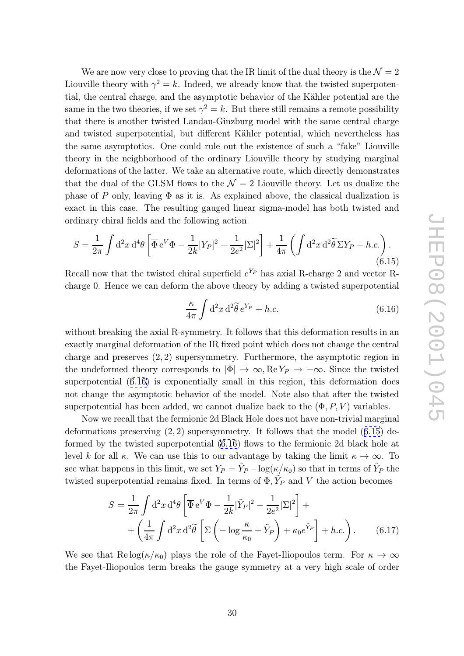We are now very close to proving that the IR limit of the dual theory is the  $\mathcal{N}=2$ Liouville theory with  $\gamma^2 = k$ . Indeed, we already know that the twisted superpotential, the central charge, and the asymptotic behavior of the Kähler potential are the same in the two theories, if we set  $\gamma^2 = k$ . But there still remains a remote possibility that there is another twisted Landau-Ginzburg model with the same central charge and twisted superpotential, but different Kähler potential, which nevertheless has the same asymptotics. One could rule out the existence of such a "fake" Liouville theory in the neighborhood of the ordinary Liouville theory by studying marginal deformations of the latter. We take an alternative route, which directly demonstrates that the dual of the GLSM flows to the  $\mathcal{N}=2$  Liouville theory. Let us dualize the phase of P only, leaving  $\Phi$  as it is. As explained above, the classical dualization is exact in this case. The resulting gauged linear sigma-model has both twisted and ordinary chiral fields and the following action at the dual of the C<br>hase of P only, leaviate in this case. T<br>dinary chiral fields  $S = \frac{1}{2\pi} \int d^2x d^4\theta$ ca $\frac{1}{\widetilde{\theta}}$ 

$$
S = \frac{1}{2\pi} \int d^2x \, d^4\theta \left[ \overline{\Phi} e^V \Phi - \frac{1}{2k} |Y_P|^2 - \frac{1}{2e^2} |\Sigma|^2 \right] + \frac{1}{4\pi} \left( \int d^2x \, d^2\tilde{\theta} \, \Sigma Y_P + h.c. \right).
$$
\n(6.15)

\ne  
recall now that the twisted chiral superfield  $e^{Y_P}$  has axial R-charge 2 and vector R-  
large 0. Hence we can deform the above theory by adding a twisted superpotential\n
$$
\frac{\kappa}{4\pi} \int d^2x \, d^2\tilde{\theta} \, e^{Y_P} + h.c. \tag{6.16}
$$

Recall now that the twisted chiral superfield  $e^{Y_P}$  has axial R-charge 2 and vector Rcharge 0. Hence we can deform the above theory by adding a twisted superpotential  $d \n$ the  $\widetilde{\theta} e$ 

$$
\frac{\kappa}{4\pi} \int d^2x \, d^2\tilde{\theta} \, e^{Y_P} + h.c.
$$
\n(6.16)

without breaking the axial R-symmetry. It follows that this deformation results in an exactly marginal deformation of the IR fixed point which does not change the central charge and preserves  $(2, 2)$  supersymmetry. Furthermore, the asymptotic region in the undeformed theory corresponds to  $|\Phi| \to \infty$ , Re  $Y_P \to -\infty$ . Since the twisted superpotential (6.16) is exponentially small in this region, this deformation does not change the asymptotic behavior of the model. Note also that after the twisted superpotential has been added, we cannot dualize back to the  $(\Phi, P, V)$  variables.

Now we recall that the fermionic 2d Black Hole does not have non-trivial marginal deformations preserving  $(2, 2)$  supersymmetry. It follows that the model  $(6.15)$  deformed by the twisted superpotential  $(6.16)$  flows to the fermionic 2d black hole at level k for all  $\kappa$ . We can use this to our advantage by taking the limit  $\kappa \to \infty$ . To see what happens in this limit, we set  $Y_P = \tilde{Y}_P - \log(\kappa/\kappa_0)$  so that in terms of  $\tilde{Y}_P$  the twisted superpotential remains fixed. In terms of  $\Phi$ ,  $\tilde{Y}_P$  and V the action becomes

perpotential remains fixed. In terms of 
$$
\Phi
$$
,  $Y_P$  and  $V$  the action becomes  
\n
$$
S = \frac{1}{2\pi} \int d^2x \, d^4\theta \left[ \overline{\Phi} e^V \Phi - \frac{1}{2k} |\tilde{Y}_P|^2 - \frac{1}{2e^2} |\Sigma|^2 \right] +
$$
\n
$$
+ \left( \frac{1}{4\pi} \int d^2x \, d^2\tilde{\theta} \left[ \Sigma \left( -\log \frac{\kappa}{\kappa_0} + \tilde{Y}_P \right) + \kappa_0 e^{\tilde{Y}_P} \right] + h.c. \right). \tag{6.17}
$$

We see that  $\text{Re} \log(\kappa/\kappa_0)$  plays the role of the Fayet-Iliopoulos term. For  $\kappa \to \infty$ the Fayet-Iliopoulos term breaks the gauge symmetry at a very high scale of order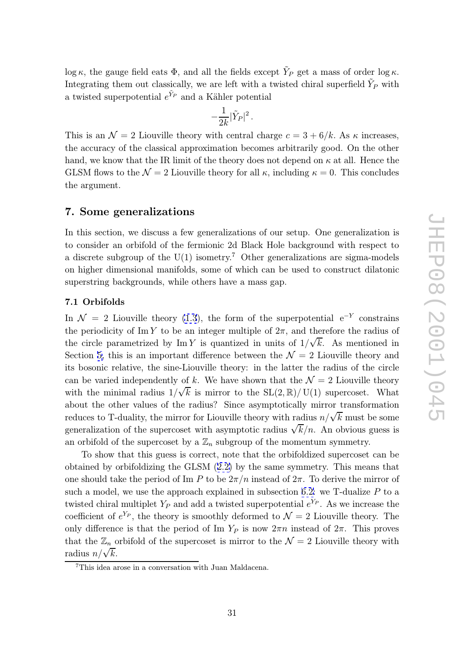<span id="page-31-0"></span>log  $\kappa$ , the gauge field eats  $\Phi$ , and all the fields except  $\tilde{Y}_P$  get a mass of order log  $\kappa$ . Integrating them out classically, we are left with a twisted chiral superfield  $\tilde{Y}_P$  with a twisted superpotential  $e^{\tilde{Y}_P}$  and a Kähler potential

$$
-\frac{1}{2k}|\tilde{Y}_P|^2\,.
$$

This is an  $\mathcal{N}=2$  Liouville theory with central charge  $c=3+6/k$ . As  $\kappa$  increases, the accuracy of the classical approximation becomes arbitrarily good. On the other hand, we know that the IR limit of the theory does not depend on  $\kappa$  at all. Hence the GLSM flows to the  $\mathcal{N}=2$  Liouville theory for all  $\kappa$ , including  $\kappa=0$ . This concludes the argument.

## 7. Some generalizations

In this section, we discuss a few generalizations of our setup. One generalization is to consider an orbifold of the fermionic 2d Black Hole background with respect to a discrete subgroup of the  $U(1)$  isometry.<sup>7</sup> Other generalizations are sigma-models on higher dimensional manifolds, some of which can be used to construct dilatonic superstring backgrounds, while others have a mass gap.

#### 7.1 Orbifolds

In  $\mathcal{N} = 2$  Liouville theory (1.3), the form of the superpotential  $e^{-Y}$  constrains the periodicity of Im Y to be an integer multiple of  $2\pi$ , and therefore the radius of the circle parametrized by  $\text{Im } Y$  is quantized in units of  $1/\sqrt{k}$ . As mentioned in Section 5, this is an importa[nt d](#page-3-0)ifference between the  $\mathcal{N}=2$  Liouville theory and its bosonic relative, the sine-Liouville theory: in the latter the radius of the circle can be varied independently of k. We have shown that the  $\mathcal{N} = 2$  Liouville theory with th[e](#page-16-0) minimal radius  $1/\sqrt{k}$  is mirror to the SL $(2,\mathbb{R})/U(1)$  supercoset. What about the other values of the radius? Since asymptotically mirror transformation √ reduces to T-duality, the mirror for Liouville theory with radius  $n/\sqrt{k}$  must be some generalization of the supercoset with asymptotic radius  $\sqrt{k/n}$ . An obvious guess is an orbifold of the supercoset by a  $\mathbb{Z}_n$  subgroup of the momentum symmetry.

To show that this guess is correct, note that the orbifoldized supercoset can be obtained by orbifoldizing the GLSM (2.2) by the same symmetry. This means that one should take the period of Im P to be  $2\pi/n$  instead of  $2\pi$ . To derive the mirror of such a model, we use the approach explained in subsection 6.2: we  $T$ -dualize  $P$  to a [twis](#page-6-0)ted chiral multiplet  $Y_P$  and add a twisted superpotential  $e^{Y_P}$ . As we increase the coefficient of  $e^{Y_P}$ , the theory is smoothly deformed to  $\mathcal{N}=2$  Liouville theory. The only difference is that the period of Im  $Y_P$  is now  $2\pi n$  in[stea](#page-29-0)d of  $2\pi$ . This proves that the  $\mathbb{Z}_n$  orbifold of the supercoset is mirror to the  $\mathcal{N}=2$  Liouville theory with radius  $n/\sqrt{k}$ .

<sup>7</sup>This idea arose in a conversation with Juan Maldacena.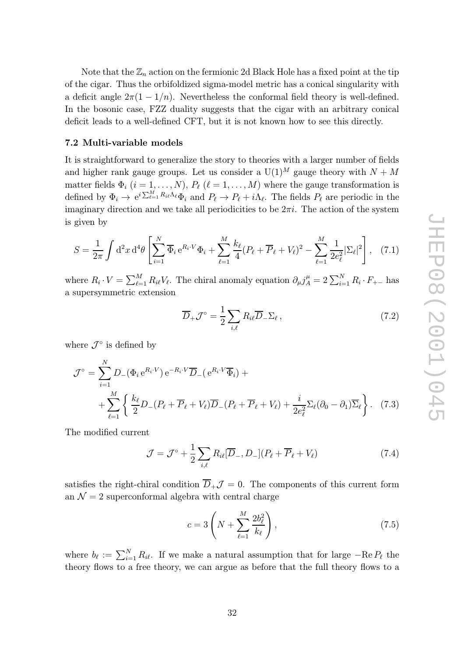<span id="page-32-0"></span>Note that the  $\mathbb{Z}_n$  action on the fermionic 2d Black Hole has a fixed point at the tip of the cigar. Thus the orbifoldized sigma-model metric has a conical singularity with a deficit angle  $2\pi(1-1/n)$ . Nevertheless the conformal field theory is well-defined. In the bosonic case, FZZ duality suggests that the cigar with an arbitrary conical deficit leads to a well-defined CFT, but it is not known how to see this directly.

#### 7.2 Multi-variable models

It is straightforward to generalize the story to theories with a larger number of fields and higher rank gauge groups. Let us consider a  $U(1)^M$  gauge theory with  $N+M$ matter fields  $\Phi_i$   $(i = 1, ..., N)$ ,  $P_\ell$   $(\ell = 1, ..., M)$  where the gauge transformation is defined by  $\Phi_i \to e^{i\sum_{\ell=1}^M R_{i\ell}\Lambda_\ell}\Phi_i$  and  $P_\ell \to P_\ell + i\Lambda_\ell$ . The fields  $P_\ell$  are periodic in the<br>imaginary direction and we take all periodicities to be  $2\pi i$ . The action of the system<br>is given by<br> $S = \frac{1}{2\pi} \int d^2$ imaginary direction and we take all periodicities to be  $2\pi i$ . The action of the system is given by

$$
S = \frac{1}{2\pi} \int d^2x \, d^4\theta \left[ \sum_{i=1}^N \overline{\Phi}_i \, e^{R_i \cdot V} \Phi_i + \sum_{\ell=1}^M \frac{k_\ell}{4} (P_\ell + \overline{P}_\ell + V_\ell)^2 - \sum_{\ell=1}^M \frac{1}{2e_\ell^2} |\Sigma_\ell|^2 \right], \tag{7.1}
$$

where  $R_i \cdot V = \sum_{\ell=1}^{M} R_{i\ell} V_{\ell}$ . The chiral anomaly equation  $\partial_{\mu} j_A^{\mu} = 2 \sum_{i=1}^{N} R_i \cdot F_{+-}$  has a supersymmetric extension

$$
\overline{D}_{+} \mathcal{J}^{\circ} = \frac{1}{2} \sum_{i,\ell} R_{i\ell} \overline{D}_{-} \Sigma_{\ell} , \qquad (7.2)
$$

where  $\mathcal{J}^{\circ}$  is defined by

$$
\mathcal{J}^{\circ} = \sum_{i=1}^{N} D_{-}(\Phi_{i} e^{R_{i} \cdot V}) e^{-R_{i} \cdot V} \overline{D}_{-} (e^{R_{i} \cdot V} \overline{\Phi}_{i}) +
$$
  
+ 
$$
\sum_{\ell=1}^{M} \left\{ \frac{k_{\ell}}{2} D_{-} (P_{\ell} + \overline{P}_{\ell} + V_{\ell}) \overline{D}_{-} (P_{\ell} + \overline{P}_{\ell} + V_{\ell}) + \frac{i}{2e_{\ell}^{2}} \Sigma_{\ell} (\partial_{0} - \partial_{1}) \overline{\Sigma}_{\ell} \right\}.
$$
 (7.3)

The modified current

$$
\mathcal{J} = \mathcal{J}^{\circ} + \frac{1}{2} \sum_{i,\ell} R_{i\ell} [\overline{D}_{-}, D_{-}] (P_{\ell} + \overline{P}_{\ell} + V_{\ell}) \tag{7.4}
$$

satisfies the right-chiral condition  $D_{+}\mathcal{J}=0$ . The components of this current form an  $\mathcal{N}=2$  superconformal algebra with central charge

$$
2 \sum_{i,\ell}
$$
  
tion  $\overline{D}_{+} \mathcal{J} = 0$ . The components of this current form  
bra with central charge  

$$
c = 3 \left( N + \sum_{\ell=1}^{M} \frac{2b_{\ell}^{2}}{k_{\ell}} \right), \qquad (7.5)
$$

where  $b_{\ell} := \sum_{i=1}^{N} R_{i\ell}$ . If we make a natural assumption that for large  $-\text{Re } P_{\ell}$  the theory flows to a free theory, we can argue as before that the full theory flows to a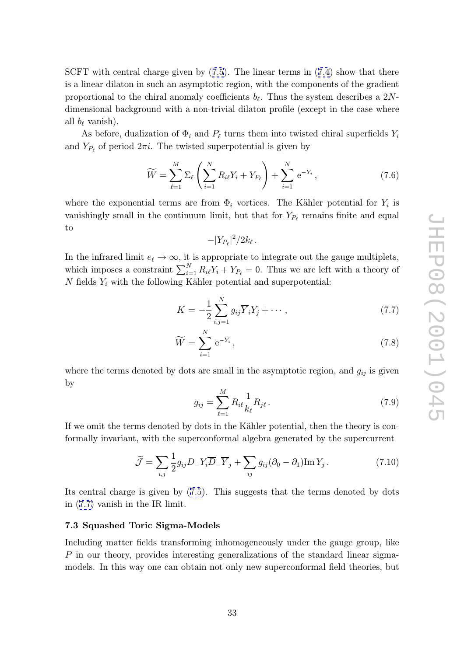<span id="page-33-0"></span>SCFT with central charge given by (7.5). The linear terms in (7.4) show that there is a linear dilaton in such an asymptotic region, with the components of the gradient proportional to the chiral anomaly coefficients  $b_{\ell}$ . Thus the system describes a 2Ndimensional background with a non-[triv](#page-32-0)ial dilaton profile (exce[pt i](#page-32-0)n the case where all  $b_{\ell}$  vanish).

As before, dualization of  $\Phi_i$  and  $P_\ell$  turns them into twisted chiral superfields  $Y_i$ and  $Y_{P_\ell}$  of period  $2\pi i$ . The twisted superpotential is given by

$$
\widetilde{W} = \sum_{\ell=1}^{M} \Sigma_{\ell} \left( \sum_{i=1}^{N} R_{i\ell} Y_i + Y_{P_{\ell}} \right) + \sum_{i=1}^{N} e^{-Y_i}, \tag{7.6}
$$
\n7.6

where the exponential terms are from  $\Phi_i$  vortices. The Kähler potential for  $Y_i$  is vanishingly small in the continuum limit, but that for  $Y_{P_\ell}$  remains finite and equal to

$$
-|Y_{P_\ell}|^2/2k_\ell
$$

.

In the infrared limit  $e_{\ell} \to \infty$ , it is appropriate to integrate out the gauge multiplets, which imposes a constraint  $\sum_{i=1}^{N} R_{i\ell} Y_i + Y_{P_\ell} = 0$ . Thus we are left with a theory of N fields  $Y_i$  with the following Kähler potential and superpotential: b, it is approp<br>  $\sum_{i=1}^{N} R_i eY_i +$ <br>  $\log$  Kähler pot<br>  $K = -\frac{1}{2} \sum_{i=1}^{N}$ 

$$
K = -\frac{1}{2} \sum_{i,j=1}^{N} g_{ij} \overline{Y}_i Y_j + \cdots, \qquad (7.7)
$$

$$
\widetilde{W} = \sum_{i,j=1}^{N} e^{-Y_i}, \qquad (7.8)
$$

$$
\widetilde{W} = \sum_{i=1}^{N} e^{-Y_i},\tag{7.8}
$$

where the terms denoted by dots are small in the asymptotic region, and  $g_{ij}$  is given by

$$
g_{ij} = \sum_{\ell=1}^{M} R_{i\ell} \frac{1}{k_{\ell}} R_{j\ell}.
$$
 (7.9)

If we omit the terms denoted by dots in the Kähler potential, then the theory is conformally invariant, with the superconformal algebra generated by the supercurrent ms denot<br>  $\tilde{J}$ , with the  $\tilde{J} = \sum_{i=1}^{n}$ 

$$
\widetilde{\mathcal{J}} = \sum_{i,j} \frac{1}{2} g_{ij} D_- Y_i \overline{D}_- \overline{Y}_j + \sum_{ij} g_{ij} (\partial_0 - \partial_1) \text{Im} Y_j. \tag{7.10}
$$

Its central charge is given by (7.5). This suggests that the terms denoted by dots in (7.7) vanish in the IR limit.

#### 7.3 Squashed Toric Sigma-[Mo](#page-32-0)dels

Including matter fields transforming inhomogeneously under the gauge group, like P in our theory, provides interesting generalizations of the standard linear sigmamodels. In this way one can obtain not only new superconformal field theories, but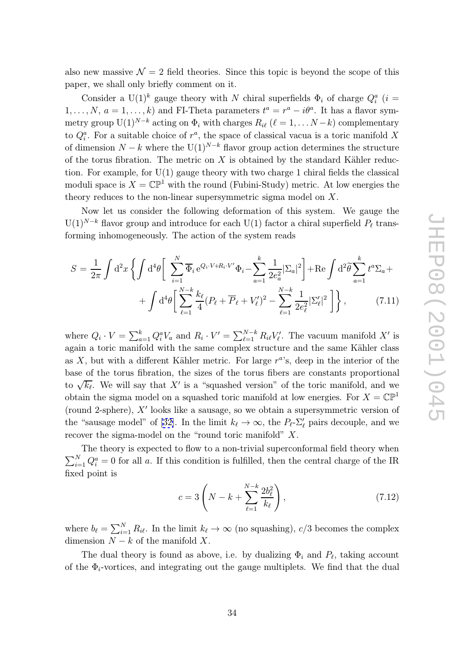also new massive  $\mathcal{N}=2$  field theories. Since this topic is beyond the scope of this paper, we shall only briefly comment on it.

Consider a U(1)<sup>k</sup> gauge theory with N chiral superfields  $\Phi_i$  of charge  $Q_i^a$  (i =  $1, \ldots, N, a = 1, \ldots, k$  and FI-Theta parameters  $t^a = r^a - i\theta^a$ . It has a flavor symmetry group  $U(1)^{N-k}$  acting on  $\Phi_i$  with charges  $R_{i\ell}$  ( $\ell = 1, \ldots N-k$ ) complementary to  $Q_i^a$ . For a suitable choice of  $r^a$ , the space of classical vacua is a toric manifold X of dimension  $N - k$  where the U(1)<sup> $N-k$ </sup> flavor group action determines the structure of the torus fibration. The metric on  $X$  is obtained by the standard Kähler reduction. For example, for  $U(1)$  gauge theory with two charge 1 chiral fields the classical moduli space is  $X = \mathbb{CP}^1$  with the round (Fubini-Study) metric. At low energies the theory reduces to the non-linear supersymmetric sigma model on X .

Now let us consider the following deformation of this system. We gauge the  $\mathrm{U}(1)^{N-k}$  flavor group and introduce for each  $\mathrm{U}(1)$  factor a chiral superfield  $P_{\ell}$  transforming inhomogeneously. The action of the system reads Now let us consider the following deformation of this :<br>  $S = \frac{1}{2\pi} \int d^2x \left\{ \int d^4\theta \left[ \sum_{i=1}^N \overline{\Phi}_i e^{Q_i \cdot V + R_i \cdot V'} \Phi_i - \sum_{a=1}^k \frac{1}{2e_a^2} |\Sigma_a|^2 \right] \right\}$  $\tilde{\theta}$ 

$$
S = \frac{1}{2\pi} \int d^2x \left\{ \int d^4\theta \left[ \sum_{i=1}^N \overline{\Phi}_i e^{Q_i \cdot V + R_i \cdot V'} \Phi_i - \sum_{a=1}^k \frac{1}{2e_a^2} |\Sigma_a|^2 \right] + \text{Re} \int d^2\tilde{\theta} \sum_{a=1}^k t^a \Sigma_a + \int d^4\theta \left[ \sum_{\ell=1}^{N-k} \frac{k_\ell}{4} (P_\ell + \overline{P}_\ell + V'_\ell)^2 - \sum_{\ell=1}^{N-k} \frac{1}{2e_\ell^2} |\Sigma'_\ell|^2 \right] \right\}, \tag{7.11}
$$

where  $Q_i \cdot V = \sum_{a=1}^k Q_i^a V_a$  and  $R_i \cdot V' = \sum_{\ell=1}^{N-k}$  $\sum_{\ell=1}^{N-k} R_{i\ell} V'_{\ell}$ . The vacuum manifold X' is again a toric manifold with the same complex structure and the same Kähler class as  $X$ , but with a different Kähler metric. For large  $r^a$ 's, deep in the interior of the base of the torus fibration, the sizes of the torus fibers are constants proportional to √  $\overline{k_{\ell}}$ . We will say that X' is a "squashed version" of the toric manifold, and we obtain the sigma model on a squashed toric manifold at low energies. For  $X = \mathbb{CP}^1$ (round 2-sphere),  $X'$  looks like a sausage, so we obtain a supersymmetric version of the "sausage model" of [32]. In the limit  $k_{\ell} \to \infty$ , the  $P_{\ell}$ - $\Sigma'_{\ell}$  pairs decouple, and we recover the sigma-model on the "round toric manifold"  $X$ .

The theory is expected to flow to a non-trivial superconformal field theory when  $\sum_{i=1}^{N} Q_i^a = 0$  for all a. If [th](#page-44-0)is condition is fulfilled, then the central charge of the IR fixed point is  $\frac{1}{2}$ <br> $\frac{N-k}{k}$ 

$$
c = 3\left(N - k + \sum_{\ell=1}^{N-k} \frac{2b_{\ell}^{2}}{k_{\ell}}\right),
$$
\n(7.12)

where  $b_{\ell} = \sum_{i=1}^{N} R_{i\ell}$ . In the limit  $k_{\ell} \to \infty$  (no squashing),  $c/3$  becomes the complex dimension  $N - k$  of the manifold X.

The dual theory is found as above, i.e. by dualizing  $\Phi_i$  and  $P_\ell$ , taking account of the  $\Phi_i$ -vortices, and integrating out the gauge multiplets. We find that the dual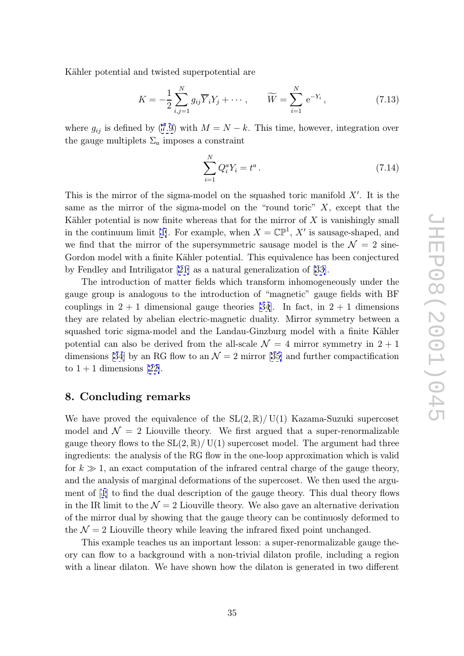<span id="page-35-0"></span>Kähler potential and twisted superpotential are

and twisted superpotential are  
\n
$$
K = -\frac{1}{2} \sum_{i,j=1}^{N} g_{ij} \overline{Y}_i Y_j + \cdots, \qquad \widetilde{W} = \sum_{i=1}^{N} e^{-Y_i}, \qquad (7.13)
$$

where  $g_{ij}$  is defined by (7.9) with  $M = N - k$ . This time, however, integration over the gauge multiplets  $\Sigma_a$  imposes a constraint (7.9) with  $M = N - k$ <br>
a imposes a constraint

$$
\sum_{i=1}^{N} Q_i^a Y_i = t^a \,. \tag{7.14}
$$

This is the mirror of the sigma-model on the squashed toric manifold  $X'$ . It is the same as the mirror of the sigma-model on the "round toric" X, except that the Kähler potential is now finite whereas that for the mirror of  $X$  is vanishingly small in the continuum limit [1]. For example, when  $X = \mathbb{CP}^1$ , X' is sausage-shaped, and we find that the mirror of the supersymmetric sausage model is the  $\mathcal{N}=2$  sine-Gordon model with a finite Kähler potential. This equivalence has been conjectured by Fendley and Intrilig[ato](#page-42-0)r [21] as a natural generalization of [33].

The introduction of matter fields which transform inhomogeneously under the gauge group is analogous to the introduction of "magnetic" gauge fields with BF couplings [in](#page-44-0)  $2 + 1$  dimensi[ona](#page-43-0)l gauge theories [34]. In fact, in  $2 + 1$  dimensions they are related by abelian electric-magnetic duality. Mirror symmetry between a squashed toric sigma-model and the Landau-Ginzburg model with a finite Kähler potential can also be derived from the all-scale  $\mathcal{N}=4$  $\mathcal{N}=4$  $\mathcal{N}=4$  mirror symmetry in  $2+1$ dimensions [34] by an RG flow to an  $\mathcal{N}=2$  mirror [35] and further compactification to  $1 + 1$  dimensions [22].

## 8. Concl[ud](#page-44-0)ing remarks

We have proved the equivalence of the  $SL(2,\mathbb{R})/ U(1)$  Kazama-Suzuki supercoset model and  $\mathcal{N} = 2$  Liouville theory. We first argued that a super-renormalizable gauge theory flows to the  $SL(2,\mathbb{R})/$  U(1) supercoset model. The argument had three ingredients: the analysis of the RG flow in the one-loop approximation which is valid for  $k \gg 1$ , an exact computation of the infrared central charge of the gauge theory, and the analysis of marginal deformations of the supercoset. We then used the argument of [1] to find the dual description of the gauge theory. This dual theory flows in the IR limit to the  $\mathcal{N}=2$  Liouville theory. We also gave an alternative derivation of the mirror dual by showing that the gauge theory can be continuosly deformed to the  $\mathcal{N}=2$  Liouville theory while leaving the infrared fixed point unchanged.

This example teaches us an important lesson: a super-renormalizable gauge theory can flow to a background with a non-trivial dilaton profile, including a region with a linear dilaton. We have shown how the dilaton is generated in two different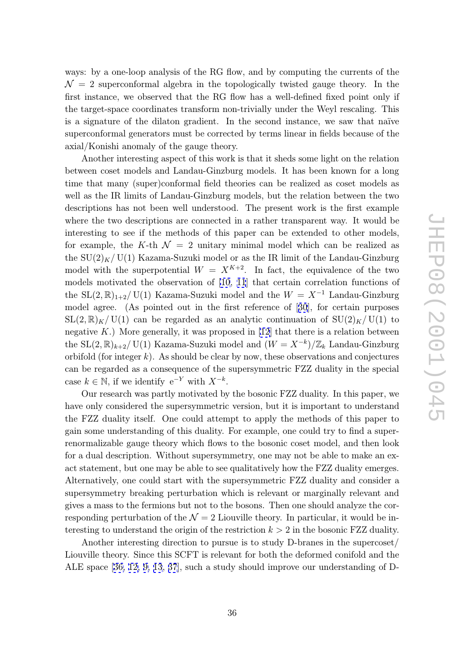ways: by a one-loop analysis of the RG flow, and by computing the currents of the  $\mathcal{N} = 2$  superconformal algebra in the topologically twisted gauge theory. In the first instance, we observed that the RG flow has a well-defined fixed point only if the target-space coordinates transform non-trivially under the Weyl rescaling. This is a signature of the dilaton gradient. In the second instance, we saw that naïve superconformal generators must be corrected by terms linear in fields because of the axial/Konishi anomaly of the gauge theory.

Another interesting aspect of this work is that it sheds some light on the relation between coset models and Landau-Ginzburg models. It has been known for a long time that many (super)conformal field theories can be realized as coset models as well as the IR limits of Landau-Ginzburg models, but the relation between the two descriptions has not been well understood. The present work is the first example where the two descriptions are connected in a rather transparent way. It would be interesting to see if the methods of this paper can be extended to other models, for example, the K-th  $\mathcal{N} = 2$  unitary minimal model which can be realized as the  $SU(2)_K / U(1)$  Kazama-Suzuki model or as the IR limit of the Landau-Ginzburg model with the superpotential  $W = X^{K+2}$ . In fact, the equivalence of the two models motivated the observation of [10, 11] that certain correlation functions of the  $SL(2,\mathbb{R})_{1+2}/ U(1)$  Kazama-Suzuki model and the  $W = X^{-1}$  Landau-Ginzburg model agree. (As pointed out in the first reference of [30], for certain purposes  $SL(2,\mathbb{R})_K$  U(1) c[an](#page-43-0) be regarded as an a[nal](#page-43-0)ytic continuation of  $SU(2)_K$  U(1) to negative  $K$ .) More generally, it was proposed in [12] that there is a relation between the  $SL(2,\mathbb{R})_{k+2}/ U(1)$  Kazama-Suzuki model and  $(W = X^{-k})/\mathbb{Z}_k$  Landau-Ginzburg orbifold (for integer  $k$ ). As should be clear by now, these observations and conjectures can be regarded as a consequence of the supersy[mm](#page-43-0)etric FZZ duality in the special case  $k \in \mathbb{N}$ , if we identify  $e^{-Y}$  with  $X^{-k}$ .

Our research was partly motivated by the bosonic FZZ duality. In this paper, we have only considered the supersymmetric version, but it is important to understand the FZZ duality itself. One could attempt to apply the methods of this paper to gain some understanding of this duality. For example, one could try to find a superrenormalizable gauge theory which flows to the bosonic coset model, and then look for a dual description. Without supersymmetry, one may not be able to make an exact statement, but one may be able to see qualitatively how the FZZ duality emerges. Alternatively, one could start with the supersymmetric FZZ duality and consider a supersymmetry breaking perturbation which is relevant or marginally relevant and gives a mass to the fermions but not to the bosons. Then one should analyze the corresponding perturbation of the  $\mathcal{N} = 2$  Liouville theory. In particular, it would be interesting to understand the origin of the restriction  $k > 2$  in the bosonic FZZ duality.

Another interesting direction to pursue is to study D-branes in the supercoset/ Liouville theory. Since this SCFT is relevant for both the deformed conifold and the ALE space [36, 12, 9, 13, 37], such a study should improve our understanding of D-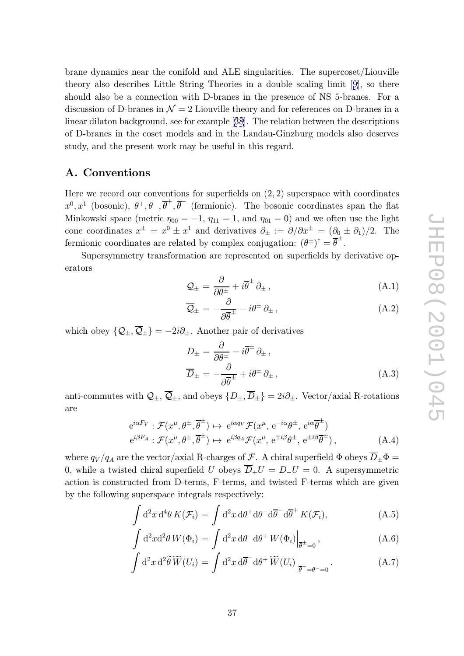<span id="page-37-0"></span>brane dynamics near the conifold and ALE singularities. The supercoset/Liouville theory also describes Little String Theories in a double scaling limit [9], so there should also be a connection with D-branes in the presence of NS 5-branes. For a discussion of D-branes in  $\mathcal{N}=2$  Liouville theory and for references on D-branes in a linear dilaton background, see for example [38]. The relation between the [de](#page-42-0)scriptions of D-branes in the coset models and in the Landau-Ginzburg models also deserves study, and the present work may be useful in this regard.

## A. Conventions

Here we record our conventions for superfields on  $(2, 2)$  superspace with coordinates  $x^0, x^1$  (bosonic),  $\theta^+, \theta^-, \overline{\theta}^+, \overline{\theta}^-$  (fermionic). The bosonic coordinates span the flat Minkowski space (metric  $\eta_{00} = -1$ ,  $\eta_{11} = 1$ , and  $\eta_{01} = 0$ ) and we often use the light cone coordinates  $x^{\pm} = x^0 \pm x^1$  and derivatives  $\partial_{\pm} := \partial/\partial x^{\pm} = (\partial_{0} \pm \partial_{1})/2$ . The fermionic coordinates are related by complex conjugation:  $(\theta^{\pm})^{\dagger} = \overline{\theta}^{\pm}$ .

Supersymmetry transformation are represented on superfields by derivative operators

$$
\mathcal{Q}_{\pm} = \frac{\partial}{\partial \theta^{\pm}} + i \overline{\theta}^{\pm} \partial_{\pm} , \qquad (A.1)
$$

$$
\overline{\mathcal{Q}}_{\pm} = -\frac{\partial}{\partial \overline{\theta}^{\pm}} - i\theta^{\pm} \partial_{\pm} , \qquad (A.2)
$$

which obey  $\{Q_{\pm}, Q_{\pm}\} = -2i\partial_{\pm}$ . Another pair of derivatives

$$
D_{\pm} = \frac{\partial}{\partial \theta^{\pm}} - i\overline{\theta}^{\pm} \partial_{\pm} ,
$$
  

$$
\overline{D}_{\pm} = -\frac{\partial}{\partial \overline{\theta}^{\pm}} + i\theta^{\pm} \partial_{\pm} ,
$$
 (A.3)

anti-commutes with  $Q_{\pm}$ ,  $\overline{Q}_{\pm}$ , and obeys  $\{D_{\pm}, \overline{D}_{\pm}\}=2i\partial_{\pm}$ . Vector/axial R-rotations are

$$
e^{i\alpha F_V}: \mathcal{F}(x^{\mu}, \theta^{\pm}, \overline{\theta}^{\pm}) \mapsto e^{i\alpha q_V} \mathcal{F}(x^{\mu}, e^{-i\alpha \theta^{\pm}}, e^{i\alpha \overline{\theta}^{\pm}})
$$
  

$$
e^{i\beta F_A}: \mathcal{F}(x^{\mu}, \theta^{\pm}, \overline{\theta}^{\pm}) \mapsto e^{i\beta q_A} \mathcal{F}(x^{\mu}, e^{\mp i\beta \theta^{\pm}}, e^{\pm i\beta \overline{\theta}^{\pm}}),
$$
(A.4)

where  $q_V/q_A$  are the vector/axial R-charges of  $\mathcal{F}$ . A chiral superfield  $\Phi$  obeys  $\overline{D}_\pm \Phi = 0$ , while a twisted chiral superfield  $U$  obeys  $\overline{D}_+ U = D_- U = 0$ . A supersymmetric action is constructed from D-terms, 0, while a twisted chiral superfield U obeys  $D_+U = D_-U = 0$ . A supersymmetric action is constructed from D-terms, F-terms, and twisted F-terms which are given  $\overline{a}$ 

$$
\int d^2x d^4\theta K(\mathcal{F}_i) = \int d^2x d\theta^+ d\theta^- d\overline{\theta}^- d\overline{\theta}^+ K(\mathcal{F}_i), \tag{A.5}
$$

$$
\int d^2x d^4\theta K(\mathcal{F}_i) = \int d^2x d\theta^+ d\theta^- d\overline{\theta}^- d\overline{\theta}^+ K(\mathcal{F}_i),
$$
(A.5)  

$$
\int d^2x d^2\theta W(\Phi_i) = \int d^2x d\theta^- d\theta^+ W(\Phi_i)|_{\overline{\theta}^{\pm}=0},
$$
(A.6)  

$$
\int d^2x d^2\widetilde{\theta}\widetilde{W}(U_i) = \int d^2x d\overline{\theta}^- d\theta^+ \widetilde{W}(U_i)|_{-\perp}.
$$
(A.7)

$$
\int d^2x \, d^2\widetilde{\theta} \, \widetilde{W}(U_i) = \int d^2x \, d\overline{\theta}^- d\theta^+ \, \widetilde{W}(U_i) \Big|_{\overline{\theta}^+ = \theta^- = 0}.
$$
 (A.7)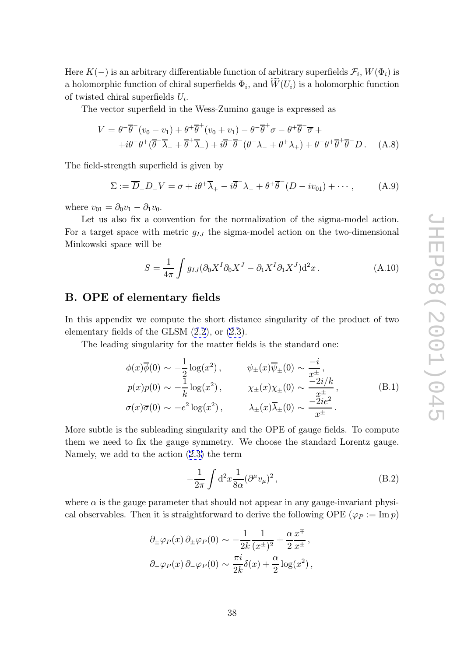<span id="page-38-0"></span>Here  $K(-)$  is an arbitrary differentiable function of arbitrary superfields  $\mathcal{F}_i$ ,  $W(\Phi_i)$  is a holomorphic function of chiral superfields  $\Phi_i$ , and  $W(U_i)$  is a holomorphic function  $\frac{\text{arb}}{\widetilde{W}}$ of twisted chiral superfields  $U_i$ .

The vector superfield in the Wess-Zumino gauge is expressed as

$$
V = \theta^{-} \overline{\theta}^{-} (v_0 - v_1) + \theta^{+} \overline{\theta}^{+} (v_0 + v_1) - \theta^{-} \overline{\theta}^{+} \sigma - \theta^{+} \overline{\theta}^{-} \overline{\sigma} ++ i\theta^{-} \theta^{+} (\overline{\theta}^{-} \overline{\lambda}_{-} + \overline{\theta}^{+} \overline{\lambda}_{+}) + i\overline{\theta}^{+} \overline{\theta}^{-} (\theta^{-} \lambda_{-} + \theta^{+} \lambda_{+}) + \theta^{-} \theta^{+} \overline{\theta}^{+} \overline{\theta}^{-} D. (A.8)
$$

The field-strength superfield is given by

$$
\Sigma := \overline{D}_+ D_- V = \sigma + i\theta^+ \overline{\lambda}_+ - i\overline{\theta}^- \lambda_- + \theta^+ \overline{\theta}^- (D - i\nu_{01}) + \cdots, \tag{A.9}
$$

where  $v_{01} = \partial_0 v_1 - \partial_1 v_0$ .

Let us also fix a convention for the normalization of the sigma-model action. For a target space with metric  $g_{IJ}$  the sigma-model action on the two-dimensional Minkowski space will be

$$
S = \frac{1}{4\pi} \int g_{IJ} (\partial_0 X^I \partial_0 X^J - \partial_1 X^I \partial_1 X^J) d^2 x.
$$
 (A.10)

# B. OPE of elementary fields

In this appendix we compute the short distance singularity of the product of two elementary fields of the GLSM (2.2), or (2.3).

The leading singularity for the matter fields is the standard one:

$$
\phi(x)\overline{\phi}(0) \sim -\frac{1}{2}\log(x^2), \qquad \psi_{\pm}(x)\overline{\psi}_{\pm}(0) \sim \frac{-i}{x^{\pm}},
$$
  
\n
$$
p(x)\overline{p}(0) \sim -\frac{1}{k}\log(x^2), \qquad \chi_{\pm}(x)\overline{\chi}_{\pm}(0) \sim \frac{-2i/k}{x^{\pm}},
$$
  
\n
$$
\sigma(x)\overline{\sigma}(0) \sim -e^2\log(x^2), \qquad \lambda_{\pm}(x)\overline{\lambda}_{\pm}(0) \sim \frac{-2ie^2}{x^{\pm}}.
$$
\n(B.1)

More subtle is the subleading singularity and the OPE of gauge fields. To compute them we need to fix the gauge symmetry. We choose the standard Lorentz gauge. Namely, we add to the action (2.3) the term singularity and<br>
<sup>2</sup> symmetry. V<br>
(2.3) the term<br>  $-\frac{1}{2\pi}\int d^2x \frac{1}{8\alpha}$ 

$$
-\frac{1}{2\pi} \int d^2x \frac{1}{8\alpha} (\partial^\mu v_\mu)^2 , \qquad (B.2)
$$

where  $\alpha$  is the gauge parameter [tha](#page-6-0)t should not appear in any gauge-invariant physical observables. Then it is straightforward to derive the following OPE ( $\varphi_P := \text{Im } p$ )

$$
\partial_{\pm}\varphi_{P}(x)\,\partial_{\pm}\varphi_{P}(0) \sim -\frac{1}{2k}\frac{1}{(x^{\pm})^2} + \frac{\alpha}{2}\frac{x^{\mp}}{x^{\pm}},
$$

$$
\partial_{\pm}\varphi_{P}(x)\,\partial_{\pm}\varphi_{P}(0) \sim \frac{\pi i}{2k}\delta(x) + \frac{\alpha}{2}\log(x^2),
$$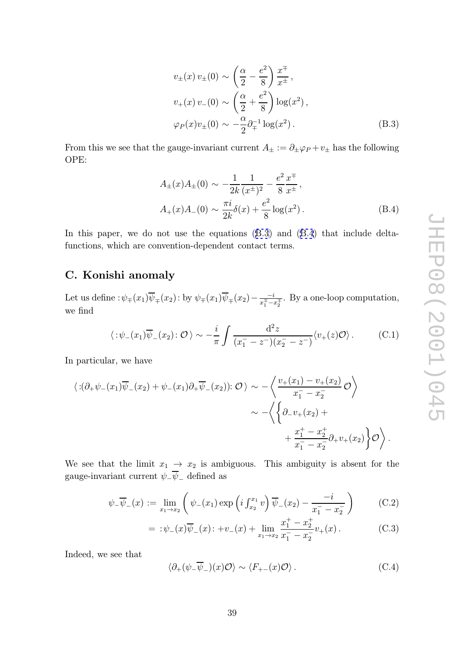$$
v_{\pm}(x) v_{\pm}(0) \sim \left(\frac{\alpha}{2} - \frac{e^2}{8}\right) \frac{x^{\mp}}{x^{\pm}},
$$
  
\n
$$
v_{+}(x) v_{-}(0) \sim \left(\frac{\alpha}{2} + \frac{e^2}{8}\right) \log(x^2),
$$
  
\n
$$
\varphi_P(x) v_{\pm}(0) \sim -\frac{\alpha}{2} \partial_{\mp}^{-1} \log(x^2).
$$
 (B.3)

<span id="page-39-0"></span>From this we see that the gauge-invariant current  $A_{\pm} := \partial_{\pm} \varphi_P + v_{\pm}$  has the following OPE:

$$
A_{\pm}(x)A_{\pm}(0) \sim -\frac{1}{2k} \frac{1}{(x^{\pm})^2} - \frac{e^2}{8} \frac{x^{\mp}}{x^{\pm}},
$$
  

$$
A_{+}(x)A_{-}(0) \sim \frac{\pi i}{2k} \delta(x) + \frac{e^2}{8} \log(x^2).
$$
 (B.4)

In this paper, we do not use the equations  $(B.3)$  and  $(B.4)$  that include deltafunctions, which are convention-dependent contact terms.

# C. Konishi anomaly

Let us define  $:\!\psi_\mp(x_1)\overline{\psi}_\mp(x_2)\!:$  by  $\psi_\mp(x_1)\overline{\psi}_\mp(x_2) - \frac{-i}{x_1^{\mp} - i}$  $\frac{-i}{x_1^{\mp} - x_2^{\mp}}$ . By a one-loop computation, we find

$$
\langle :\psi_-(x_1)\overline{\psi}_-(x_2) : \mathcal{O} \rangle \sim -\frac{i}{\pi} \int \frac{\mathrm{d}^2 z}{(x_1^- - z^-)(x_2^- - z^-)} \langle v_+(z) \mathcal{O} \rangle. \tag{C.1}
$$

In particular, we have

a particular, we have  
\n
$$
\langle \exists (\partial_+ \psi_-(x_1)\overline{\psi}_-(x_2) + \psi_-(x_1)\partial_+ \overline{\psi}_-(x_2)) : \mathcal{O} \rangle \sim -\left\langle \frac{v_+(x_1) - v_+(x_2)}{x_1^--x_2^-} \mathcal{O} \right\rangle
$$
\n
$$
\sim -\left\langle \left\{ \partial_- v_+(x_2) + \frac{x_1^+-x_2^+}{x_1^--x_2^-} \partial_+ v_+(x_2) \right\} \mathcal{O} \right\rangle.
$$

We see that the limit  $x_1 \to x_2$  is ambiguous. This ambiguity is absent for the gauge-invariant current  $\psi_-\psi_-$  defined as

$$
\psi_{-}\overline{\psi}_{-}(x) := \lim_{x_1 \to x_2} \left( \psi_{-}(x_1) \exp\left(i \int_{x_2}^{x_1} v \right) \overline{\psi}_{-}(x_2) - \frac{-i}{x_1 - x_2} \right) \tag{C.2}
$$

$$
= :\psi_{-}(x)\overline{\psi}_{-}(x) : +v_{-}(x)+\lim_{x_1 \to x_2} \frac{x_1^+ - x_2^+}{x_1^- - x_2^-}v_{+}(x).
$$
 (C.3)

Indeed, we see that

$$
\langle \partial_+(\psi_-\overline{\psi}_-)(x)\mathcal{O}\rangle \sim \langle F_{+-}(x)\mathcal{O}\rangle. \tag{C.4}
$$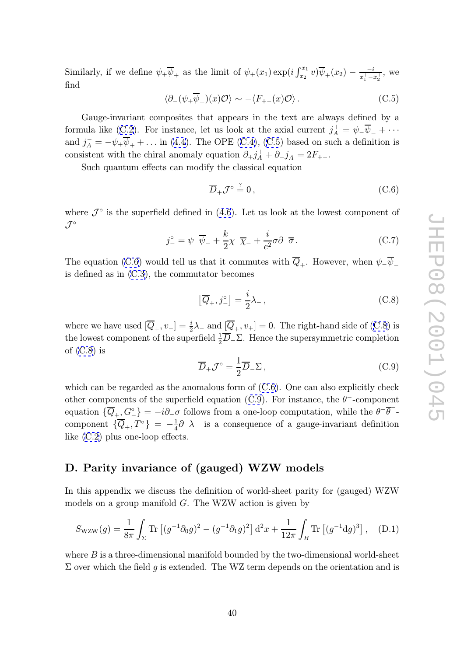<span id="page-40-0"></span>Similarly, if we define  $\psi_+ \overline{\psi}_+$  as the limit of  $\psi_+(x_1) \exp\left(i \int_{x_2}^{x_1} v \right) \overline{\psi}_+(x_2) - \frac{-i}{x_1^+ - i}$  $\frac{-i}{x_1^+ - x_2^+}$ , we find

$$
\langle \partial_{-}(\psi_{+}\overline{\psi}_{+})(x)\mathcal{O}\rangle \sim -\langle F_{+-}(x)\mathcal{O}\rangle. \tag{C.5}
$$

Gauge-invariant composites that appears in the text are always defined by a formula like (C.2). For instance, let us look at the axial current  $j_A^+$  $_{A}^{+} = \psi_{-}\psi_{-} + \cdots$ and  $j_A^- = -\psi_+ \psi_+ + \dots$  in (4.4). The OPE (C.4), (C.5) based on such a definition is consistent with the chiral anomaly equation  $\partial_+ j_A^+$  $A^+ + \partial_- j^-_A = 2F_{+-}$ 

Such qua[ntum](#page-39-0) effects can modify the classical equation

$$
\overline{D}_+\mathcal{J}^\circ \stackrel{?}{=} 0\,,\tag{C.6}
$$

where  $\mathcal{J}^{\circ}$  is the superfield defined in (4.6). Let us look at the lowest component of  ${\mathcal{J}}^\circ$ 

$$
j_{-}^{\circ} = \psi_{-}\overline{\psi}_{-} + \frac{k}{2}\chi_{-}\overline{\chi}_{-} + \frac{i}{e^{2}}\sigma\partial_{-}\overline{\sigma}.
$$
 (C.7)

The equation (C.6) would tell us that it commutes with  $Q_+$ . However, when  $\psi_-\psi_-$ The equation (C.6) would tell us that it commutator<br>is defined as in (C.3), the commutator becomes<br> $\left[\overline{Q}_+, j^{\circ}\right] = \frac{i}{2}\lambda$ 

$$
\left[\overline{Q}_+, j^{\circ}_-\right] = \frac{i}{2}\lambda_-, \tag{C.8}
$$

where we have used  $[\overline{Q}_+, v_-] = \frac{i}{2}$  $\frac{i}{2}\lambda_-\text{ and }[Q_+, v_+] = 0.$  The right-hand side of (C.8) is the lowest component of the superfield  $\frac{1}{2}\overline{D}_{-}\Sigma$ . Hence the supersymmetric completion of  $(C.8)$  is

$$
\overline{D}_{+} \mathcal{J}^{\circ} = \frac{1}{2} \overline{D}_{-} \Sigma , \qquad (C.9)
$$

which can be regarded as the anomalous form of  $(C.6)$ . One can also explicitly check other components of the superfield equation (C.9). For instance, the  $\theta^-$ -component equation  $\{\overline{Q}_+, \overline{G}^{\circ}\} = -i\partial_-\sigma$  follows from a one-loop computation, while the  $\theta^{-1}$ component  $\{\overline{Q}_+, T_-^{\circ}\} = -\frac{1}{4}\partial_-\lambda_-$  is a consequence of a gauge-invariant definition like (C.2) plus one-loop effects.

# D. [Par](#page-39-0)ity invariance of (gauged) WZW models

In this appendix we discuss the definition of world-sheet parity for (gauged) WZW models on a group manifold G. The WZW action is given by

$$
S_{\text{WZW}}(g) = \frac{1}{8\pi} \int_{\Sigma} \text{Tr} \left[ (g^{-1} \partial_0 g)^2 - (g^{-1} \partial_1 g)^2 \right] d^2 x + \frac{1}{12\pi} \int_B \text{Tr} \left[ (g^{-1} dg)^3 \right], \quad (D.1)
$$

where  $B$  is a three-dimensional manifold bounded by the two-dimensional world-sheet  $\Sigma$  over which the field g is extended. The WZ term depends on the orientation and is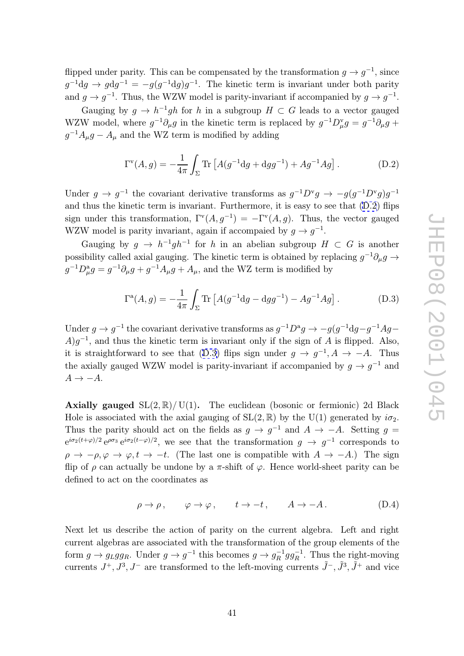flipped under parity. This can be compensated by the transformation  $g \to g^{-1}$ , since  $g^{-1}dg \to g dg^{-1} = -g(g^{-1}dg)g^{-1}$ . The kinetic term is invariant under both parity and  $g \to g^{-1}$ . Thus, the WZW model is parity-invariant if accompanied by  $g \to g^{-1}$ .

Gauging by  $g \to h^{-1}gh$  for h in a subgroup  $H \subset G$  leads to a vector gauged WZW model, where  $g^{-1}\partial_{\mu}g$  in the kinetic term is replaced by  $g^{-1}D_{\mu}^{v}g = g^{-1}\partial_{\mu}g +$  $g^{-1}A_{\mu}g - A_{\mu}$  and the WZ term is modified by adding  $y \t g \to h^{-1}gh \t{for } h$ <br>where  $g^{-1}\partial_\mu g$  in th<br>nd the WZ term is<br> $\Gamma^{\vee}(A, g) = -\frac{1}{4\pi} \int_{\Sigma}$ 

$$
\Gamma^{v}(A,g) = -\frac{1}{4\pi} \int_{\Sigma} \text{Tr} \left[ A(g^{-1}dg + dgg^{-1}) + Ag^{-1}Ag \right]. \tag{D.2}
$$

Under  $g \to g^{-1}$  the covariant derivative transforms as  $g^{-1}D^{\nu}g \to -g(g^{-1}D^{\nu}g)g^{-1}$ and thus the kinetic term is invariant. Furthermore, it is easy to see that (D.2) flips sign under this transformation,  $\Gamma^{v}(A,g^{-1}) = -\Gamma^{v}(A,g)$ . Thus, the vector gauged WZW model is parity invariant, again if accompaied by  $g \to g^{-1}$ .

Gauging by  $g \to h^{-1}gh^{-1}$  for h in an abelian subgroup  $H \subset G$  is another possibility called axial gauging. The kinetic term is obtained by replacing  $g^{-1}\partial_\mu g \to$  $g^{-1}D_\mu^a g = g^{-1}\partial_\mu g + g^{-1}A_\mu g + A_\mu$ , and the WZ term is modified by

$$
\Gamma^{a}(A,g) = -\frac{1}{4\pi} \int_{\Sigma} \text{Tr} \left[ A(g^{-1} \text{d}g - \text{d}gg^{-1}) - Ag^{-1}Ag \right]. \tag{D.3}
$$

Under  $g \to g^{-1}$  the covariant derivative transforms as  $g^{-1}D^a g \to -g(g^{-1}dg - g^{-1}Ag A)g^{-1}$ , and thus the kinetic term is invariant only if the sign of A is flipped. Also, it is straightforward to see that (D.3) flips sign under  $g \to g^{-1}, A \to -A$ . Thus the axially gauged WZW model is parity-invariant if accompanied by  $g \to g^{-1}$  and  $A \rightarrow -A.$ 

Axially gauged  $SL(2,\mathbb{R})/ U(1)$ . The euclidean (bosonic or fermionic) 2d Black Hole is associated with the axial gauging of  $SL(2,\mathbb{R})$  by the U(1) generated by  $i\sigma_2$ . Thus the parity should act on the fields as  $g \to g^{-1}$  and  $A \to -A$ . Setting  $g =$  $e^{i\sigma_2(t+\varphi)/2}e^{\rho\sigma_3}e^{i\sigma_2(t-\varphi)/2}$ , we see that the transformation  $g \to g^{-1}$  corresponds to  $\rho \to -\rho, \varphi \to \varphi, t \to -t$ . (The last one is compatible with  $A \to -A$ .) The sign flip of  $ρ$  can actually be undone by a π-shift of  $φ$ . Hence world-sheet parity can be defined to act on the coordinates as

$$
\rho \to \rho, \qquad \varphi \to \varphi, \qquad t \to -t, \qquad A \to -A. \tag{D.4}
$$

Next let us describe the action of parity on the current algebra. Left and right current algebras are associated with the transformation of the group elements of the form  $g \to g_L gg_R$ . Under  $g \to g^{-1}$  this becomes  $g \to g_R^{-1} gg_R^{-1}$ . Thus the right-moving currents  $J^+, J^3, J^-$  are transformed to the left-moving currents  $\tilde{J}^-$ ,  $\tilde{J}^3, \tilde{J}^+$  and vice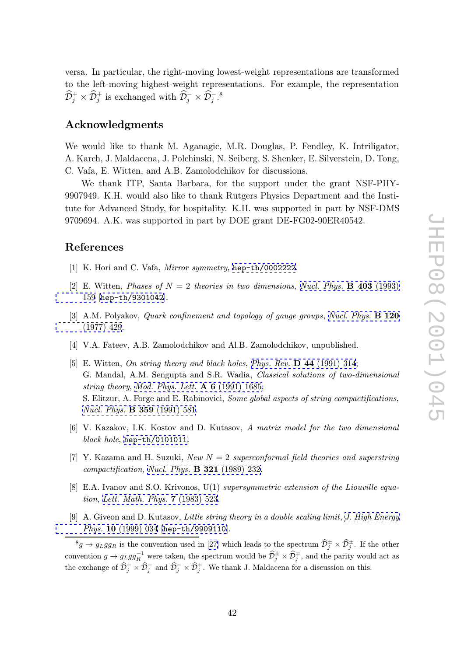<span id="page-42-0"></span>versa. In particular, the right-moving lowest-weight representations are transformed to the left-moving highest-weight representations. For example, the representation  $\widehat{\mathcal{D}}_j^+ \times \widehat{\mathcal{D}}_j^+$  is exchanged with  $\widehat{\mathcal{D}}_j^- \times \widehat{\mathcal{D}}_j^-$ .<sup>8</sup>

## Acknowledgments

We would like to thank M. Aganagic, M.R. Douglas, P. Fendley, K. Intriligator, A. Karch, J. Maldacena, J. Polchinski, N. Seiberg, S. Shenker, E. Silverstein, D. Tong, C. Vafa, E. Witten, and A.B. Zamolodchikov for discussions.

We thank ITP, Santa Barbara, for the support under the grant NSF-PHY-9907949. K.H. would also like to thank Rutgers Physics Department and the Institute for Advanced Study, for hospitality. K.H. was supported in part by NSF-DMS 9709694. A.K. was supported in part by DOE grant DE-FG02-90ER40542.

### References

- [1] K. Hori and C. Vafa, Mirror symmetry, hep-th/0002222.
- [2] E. Witten, *Phases of*  $N = 2$  theories in two dimensions, *Nucl. Phys.* **B 403** (1993) 159 [hep-th/9301042].
- [3] A.M. Polyakov, *Quark confinement and topology of gauge groups*, *Nucl. Phys.* **[B](http://www-spires.slac.stanford.edu/spires/find/hep/www?j=NUPHA%2CB403%2C159) [120](http://www-spires.slac.stanford.edu/spires/find/hep/www?j=NUPHA%2CB403%2C159)**  $(1077)$ ,  $420$ [\(197](http://www-spires.slac.stanford.edu/spires/find/hep/www?j=NUPHA%2CB403%2C159)[7\)](http://xxx.lanl.gov/abs/hep-th/9301042) [429.](http://xxx.lanl.gov/abs/hep-th/9301042)
- [4] V.A. Fateev, A.B. Zamolodchikov and Al.B. Zamolodchikov, unpublished.
- [\[5\] E. Witten,](http://www-spires.slac.stanford.edu/spires/find/hep/www?j=NUPHA%2CB120%2C429) On string theory and black holes, Phys. Rev. D 44 (1[991\)](http://www-spires.slac.stanford.edu/spires/find/hep/www?j=NUPHA%2CB120%2C429) [314;](http://www-spires.slac.stanford.edu/spires/find/hep/www?j=NUPHA%2CB120%2C429)<br>C. Mandal, A.M. Sangunta and S.D. Wadia, Classical achtions of two a G. Mandal, A.M. Sengupta and S.R. Wadia, Classical solutions of two-dimensional string theory, Mod. Phys. Lett.  $\bf{A}$  6 (1991) 1685;<br>S. Flitzun, A. Farge and E. Pakinaniai. Same alak S. Elitzur, A. Forge and E. Rabinovici, Some [global aspects of string compa](http://www-spires.slac.stanford.edu/spires/find/hep/www?j=PHRVA%2CD44%2C314)ctifications, Nucl. Phys. B 359 (1991) 581.
- [6] V. Kazakov, [I.K. Kostov and D. Kutasov,](http://www-spires.slac.stanford.edu/spires/find/hep/www?j=MPLAE%2CA6%2C1685) A matrix model for the two dimensional black hole, hep-th/0101011.
- [7] [Y.](http://www-spires.slac.stanford.edu/spires/find/hep/www?j=NUPHA%2CB359%2C581) [Kazama](http://www-spires.slac.stanford.edu/spires/find/hep/www?j=NUPHA%2CB359%2C581) [and](http://www-spires.slac.stanford.edu/spires/find/hep/www?j=NUPHA%2CB359%2C581) [H.](http://www-spires.slac.stanford.edu/spires/find/hep/www?j=NUPHA%2CB359%2C581) [Suzuki,](http://www-spires.slac.stanford.edu/spires/find/hep/www?j=NUPHA%2CB359%2C581) New  $N = 2$  superconformal field theories and superstring compactification , Nucl. Phys. B 321 (1989) 232.
- [8] E.A. Ivano[v](http://xxx.lanl.gov/abs/hep-th/0101011) [and](http://xxx.lanl.gov/abs/hep-th/0101011) [S.O.](http://xxx.lanl.gov/abs/hep-th/0101011) [Krivon](http://xxx.lanl.gov/abs/hep-th/0101011)os, U(1) supersymmetric extension of the Liouville equation, Lett. Math. Phys. [7](http://www-spires.slac.stanford.edu/spires/find/hep/www?j=NUPHA%2CB321%2C232) (1983) 523.
- [9] A. Giveon and D. Kutasov, Little string theory in a double scaling limit, J. High Energy Phys. 10 (1999) 034 [hep-th/9909110]. li<br>D j<br>D

 ${}^8g \to g_L gg_R$  [is](http://www-spires.slac.stanford.edu/spires/find/hep/www?j=LMPHD%2CA7%2C523) [the](http://www-spires.slac.stanford.edu/spires/find/hep/www?j=LMPHD%2CA7%2C523) [convention](http://www-spires.slac.stanford.edu/spires/find/hep/www?j=LMPHD%2CA7%2C523) [used](http://www-spires.slac.stanford.edu/spires/find/hep/www?j=LMPHD%2CA7%2C523) [in](http://www-spires.slac.stanford.edu/spires/find/hep/www?j=LMPHD%2CA7%2C523) [\[27\]](http://www-spires.slac.stanford.edu/spires/find/hep/www?j=LMPHD%2CA7%2C523) which leads to the spectrum  $\hat{\mathcal{D}}^{\pm}_{j} \times \hat{\mathcal{D}}^{\pm}_{j}$ . If the other convention  $g \to g_L gg_R^{-1}$  were taken, the spectrum would be  $\widehat{\mathcal{D}}_j^{\pm} \times \widehat{\mathcal{D}}_j^{\mp}$ , and the pa[rity would act as](http://jhep.sissa.it/stdsearch?paper=10%281999%29034)  $\begin{align} d \\ \partial \\ \widehat{\mathcal{D}} \end{align}$  $\begin{array}{c} e \ \end{array}$ [the exchange of](http://jhep.sissa.it/stdsearch?paper=10%281999%29034)  $\widehat{\mathcal{D}}_j^+ \times \widehat{\mathcal{D}}_j^-$  and  $\widehat{\mathcal{D}}_j^- \times \widehat{\mathcal{D}}_j^+$ [. We th](http://xxx.lanl.gov/abs/hep-th/9909110)ank J. Maldacena for a discussion on this.  $\frac{(1)}{\sin \hat{p}}$  $\frac{\text{cc}}{2}$ ep<br>on<br>D  $\frac{d}{d}$  he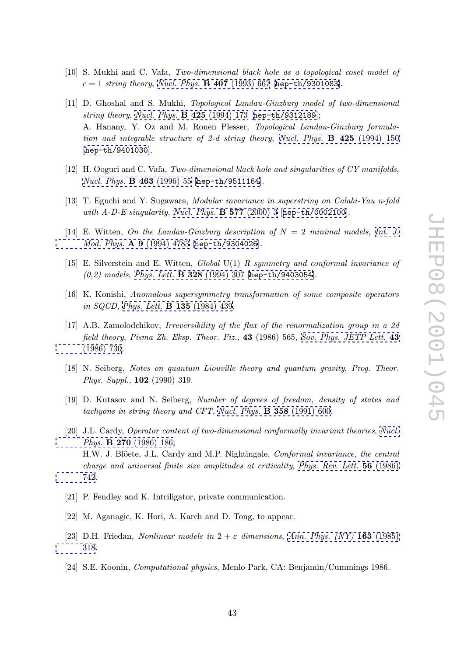- <span id="page-43-0"></span>[10] S. Mukhi and C. Vafa, Two-dimensional black hole as a topological coset model of  $c = 1$  string theory, Nucl. Phys. **B** 407 (1993) 667 [hep-th/9301083].
- [11] D. Ghoshal and S. Mukhi, Topological Landau-Ginzburg model of two-dimensional string theory, Nucl. Phys.  $\bf{B}$  425 (1994) 173 [hep-th/9312189]; A. Hanany, Y. Oz [and](http://www-spires.slac.stanford.edu/spires/find/hep/www?j=NUPHA%2CB407%2C667) [M.](http://www-spires.slac.stanford.edu/spires/find/hep/www?j=NUPHA%2CB407%2C667) [Ronen](http://www-spires.slac.stanford.edu/spires/find/hep/www?j=NUPHA%2CB407%2C667) [Plesser,](http://www-spires.slac.stanford.edu/spires/find/hep/www?j=NUPHA%2CB407%2C667) Topol[ogical](http://xxx.lanl.gov/abs/hep-th/9301083) [Landau-Gi](http://xxx.lanl.gov/abs/hep-th/9301083)nzburg formulation and integrable structure of 2-d string theory, Nucl. Phys. **B 425** (1994) 150 [hep-th/9401[030](http://www-spires.slac.stanford.edu/spires/find/hep/www?j=NUPHA%2CB425%2C173)].
- [12] H. Ooguri and C. Vafa, Two-dimensional black hole a[nd singularities of CY manifolds](http://www-spires.slac.stanford.edu/spires/find/hep/www?j=NUPHA%2CB425%2C150), Nucl. Phys. [B 46](http://xxx.lanl.gov/abs/hep-th/9401030)3 (1996) 55 [hep-th/9511164].
- [13] T. Eguchi and Y. Sugawara, Modular invariance in superstring on Calabi-Yau n-fold with  $A$ -D-E singularity, Nucl. Phys. **[B 577](http://xxx.lanl.gov/abs/hep-th/9511164)** (2000) 3 [hep-th/0002100].
- [14] E. Witten, On the Landau-Ginzburg description of  $N = 2$  minimal models, Int. J. Mod. Phys. A 9 (1994) [4783 \[](http://www-spires.slac.stanford.edu/spires/find/hep/www?j=NUPHA%2CB577%2C3)hep-th/9304026].
- [15] E. Silverstein and E. Witten, Global U(1) R symmetry and conformal invari[ance of](http://www-spires.slac.stanford.edu/spires/find/hep/www?j=IMPAE%2CA9%2C4783)  $(0,2)$  models, Phys. Lett. **[B 3](http://www-spires.slac.stanford.edu/spires/find/hep/www?j=IMPAE%2CA9%2C4783)28** [\(1994\) 307 \[](http://xxx.lanl.gov/abs/hep-th/9304026)hep-th/9403054].
- [16] K. Konishi, Anomalous supersymmetry transformation of some composite operators in SQCD , Phys. Lett. [B 135](http://www-spires.slac.stanford.edu/spires/find/hep/www?j=PHLTA%2CB328%2C307) (1984) 439.
- [17] A.B. Zamolodchikov, Irreversibility of the flux of the renormalization group in a 2d field theory, [Pisma Zh. Eksp. Theor. Fiz](http://www-spires.slac.stanford.edu/spires/find/hep/www?j=PHLTA%2CB135%2C439)., 43 (1986) 565, Sov. Phys. JETP Lett. 43<br>(1986) 729 (1986) 730.
- [18] N. Seiberg, Notes on quantum Liouville theory and quantum gravity, [Prog. Theor.](http://www-spires.slac.stanford.edu/spires/find/hep/www?j=JTPLA%2C43%2C730) [Phys. Supp](http://www-spires.slac.stanford.edu/spires/find/hep/www?j=JTPLA%2C43%2C730)l. , 102 (1990) 319.
- [19] D. Kutasov and N. Seiberg, Number of degrees of freedom, density of states and tachyons in string theory and CFT , Nucl. Phys. B 358 (1991) 600.
- [20] J.L. Cardy, Operator content of two-dimensional conformally invariant theories, Nucl. Phys. B 270 (1986) 186; H.W. J. Blöete, J.L. Cardy and M.P. Nightingale, *[Conformal](http://www-spires.slac.stanford.edu/spires/find/hep/www?j=NUPHA%2CB358%2C600) [inva](http://www-spires.slac.stanford.edu/spires/find/hep/www?j=NUPHA%2CB358%2C600)riance*, the central charge and universal finite size amplitudes at criticality, Phys. Rev. Lett. 56 ([1986\)](http://www-spires.slac.stanford.edu/spires/find/hep/www?j=NUPHA%2CB270%2C186) [742.](http://www-spires.slac.stanford.edu/spires/find/hep/www?j=NUPHA%2CB270%2C186)
- [21] P. Fendley and K. Intriligator, private communication.
- [\[22\] M.](http://www-spires.slac.stanford.edu/spires/find/hep/www?j=PRLTA%2C56%2C742) Aganagic, K. Hori, A. Karch and D. Tong, to appear.
- [23] D.H. Friedan, *Nonlinear models in*  $2 + \varepsilon$  dimensions, Ann. Phys. (NY) **163** (1985) 318.
- [24] S.E. Koonin, Computational physics, Menlo Park, CA: [Benjamin/Cummings 1986.](http://www-spires.slac.stanford.edu/spires/find/hep/www?j=APNYA%2C163%2C318)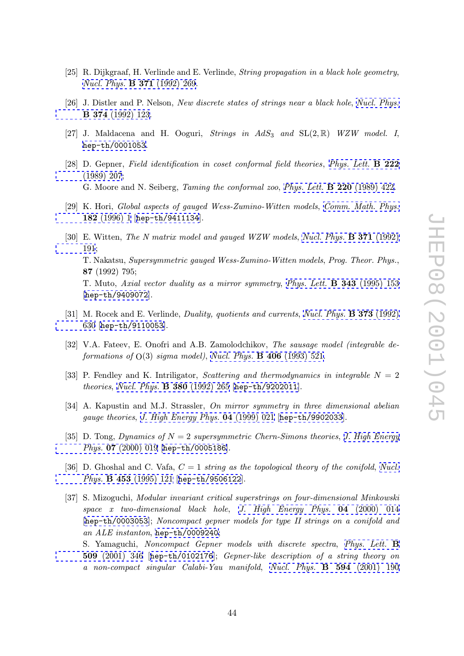- <span id="page-44-0"></span>[25] R. Dijkgraaf, H. Verlinde and E. Verlinde, *String propagation in a black hole geometry*, Nucl. Phys. B 371 (1992) 269.
- [26] J. Distler and P. Nelson, New discrete states of strings near a black hole, Nucl. Phys. [B 374](http://www-spires.slac.stanford.edu/spires/find/hep/www?j=NUPHA%2CB371%2C269) (1992) 123.
- [27] J. Maldacena and H. Ooguri, Strings in  $AdS_3$  and  $SL(2,\mathbb{R})$  WZ[W model. I](http://www-spires.slac.stanford.edu/spires/find/hep/www?j=NUPHA%2CB374%2C123), hep-th/0001053 [.](http://www-spires.slac.stanford.edu/spires/find/hep/www?j=NUPHA%2CB374%2C123)
- [28] D. Gepner, Field identification in coset conformal field theories, Phys. Lett. **B** 222  $(1080)$   $207$ . (1989) 207; [G.](http://xxx.lanl.gov/abs/hep-th/0001053) [Moore](http://xxx.lanl.gov/abs/hep-th/0001053) [and](http://xxx.lanl.gov/abs/hep-th/0001053) [N.](http://xxx.lanl.gov/abs/hep-th/0001053) Seiberg, *Taming the conformal zoo*, *Phys. Lett.* **B 220** (1989) 422.
- [29] K. Hori, Global aspects of gauged Wess-Zumino-Witten models, [Comm.](http://www-spires.slac.stanford.edu/spires/find/hep/www?j=PHLTA%2CB222%2C207) [Math.](http://www-spires.slac.stanford.edu/spires/find/hep/www?j=PHLTA%2CB222%2C207) [Phys.](http://www-spires.slac.stanford.edu/spires/find/hep/www?j=PHLTA%2CB222%2C207) 182 [\(1996\)](http://www-spires.slac.stanford.edu/spires/find/hep/www?j=PHLTA%2CB222%2C207) 1 [hep-th/9411134].
- [30] E. Witten, *The N matrix model and gauged WZW models*, *Nucl. Phys.* **[B 371](http://www-spires.slac.stanford.edu/spires/find/hep/www?j=CMPHA%2C182%2C1)** (1992)  $101$ . 191; [T.](http://www-spires.slac.stanford.edu/spires/find/hep/www?j=CMPHA%2C182%2C1) [Nakatsu,](http://www-spires.slac.stanford.edu/spires/find/hep/www?j=CMPHA%2C182%2C1) S[upersymmetric](http://xxx.lanl.gov/abs/hep-th/9411134) [gau](http://xxx.lanl.gov/abs/hep-th/9411134)ged Wess-Zumino-Witten models , Prog. Theor. Phys. , 87 (1992) 795; [T. M](http://www-spires.slac.stanford.edu/spires/find/hep/www?j=NUPHA%2CB371%2C191)uto, Axial vector duality as a mirror symmetry, Phys. Lett. **B** 343 [\(1995\)](http://www-spires.slac.stanford.edu/spires/find/hep/www?j=NUPHA%2CB371%2C191) [153](http://www-spires.slac.stanford.edu/spires/find/hep/www?j=NUPHA%2CB371%2C191) [hep-th/9409072].
- [31] M. Rocek and E. Verlinde, *Duality, quotients and currents, Nucl. Phys.* **[B 373](http://www-spires.slac.stanford.edu/spires/find/hep/www?j=PHLTA%2CB343%2C153)** (1992) [630](http://xxx.lanl.gov/abs/hep-th/9409072) [\[](http://xxx.lanl.gov/abs/hep-th/9409072)hep-th/9110053].
- [32] V.A. Fateev, E. Onofri and A.B. Zamolodchikov, The sausage model (integrable de[form](http://www-spires.slac.stanford.edu/spires/find/hep/www?j=NUPHA%2CB373%2C630)[ations](http://xxx.lanl.gov/abs/hep-th/9110053) [of](http://xxx.lanl.gov/abs/hep-th/9110053)  $O(3)$  sigma model), Nucl. Phys. **B** 406 (199[3\) 521.](http://www-spires.slac.stanford.edu/spires/find/hep/www?j=NUPHA%2CB373%2C630)
- [33] P. Fendley and K. Intriligator, *Scattering and thermodynamics in integrable*  $N = 2$ theories, Nucl. Phys. **B 380** (1992[\)](http://www-spires.slac.stanford.edu/spires/find/hep/www?j=NUPHA%2CB406%2C521) [265](http://www-spires.slac.stanford.edu/spires/find/hep/www?j=NUPHA%2CB406%2C521) [\[](http://www-spires.slac.stanford.edu/spires/find/hep/www?j=NUPHA%2CB406%2C521)hep-th/9202011].
- [34] A. Kapustin and M.J. Strassler, On mirror symmetry in three dimensional abelian gauge theories, [J.](http://www-spires.slac.stanford.edu/spires/find/hep/www?j=NUPHA%2CB380%2C265) [High](http://www-spires.slac.stanford.edu/spires/find/hep/www?j=NUPHA%2CB380%2C265) [Energy](http://www-spires.slac.stanford.edu/spires/find/hep/www?j=NUPHA%2CB380%2C265) [Phys.](http://www-spires.slac.stanford.edu/spires/find/hep/www?j=NUPHA%2CB380%2C265) 04 [\(1999\)](http://xxx.lanl.gov/abs/hep-th/9202011) [021](http://xxx.lanl.gov/abs/hep-th/9202011) [\[](http://xxx.lanl.gov/abs/hep-th/9202011)hep-th/9902033].
- [35] D. Tong, Dynamics of  $N = 2$  supersymmetric Chern-Simons theories, J. High Energy Phys. 07 (2000[\)](http://jhep.sissa.it/stdsearch?paper=04%281999%29021) [019](http://jhep.sissa.it/stdsearch?paper=04%281999%29021) [\[](http://jhep.sissa.it/stdsearch?paper=04%281999%29021)hep-th/0005186].
- [36] D. Ghoshal and C. Vafa,  $C = 1$  string as the topological theory of the [conifold](http://jhep.sissa.it/stdsearch?paper=07%282000%29019), Nucl. Phys. [B 453](http://jhep.sissa.it/stdsearch?paper=07%282000%29019) (1995) [121](http://xxx.lanl.gov/abs/hep-th/0005186) [\[](http://xxx.lanl.gov/abs/hep-th/0005186)hep-th/9506122].
- [37] S. Mizoguchi, Modular invariant critical superstrings on four-dimensional Minkowski  $space \quad x \quad two-dimensional \quad black \quad hole, \quad J. \quad High \quad Energy \quad Phys. \quad \mathbf{04} \quad (2000) \quad 014$  $space \quad x \quad two-dimensional \quad black \quad hole, \quad J. \quad High \quad Energy \quad Phys. \quad \mathbf{04} \quad (2000) \quad 014$ [[hep-th/0003053](http://www-spires.slac.stanford.edu/spires/find/hep/www?j=NUPHA%2CB453%2C121)]; Nonc[ompact](http://xxx.lanl.gov/abs/hep-th/9506122) [gepner](http://xxx.lanl.gov/abs/hep-th/9506122) [mo](http://xxx.lanl.gov/abs/hep-th/9506122)dels for type II strings on a conifold and an ALE instanton, hep-th/0009240; S. Yamaguchi, Noncompact Gepner mo[dels with discrete spectra](http://jhep.sissa.it/stdsearch?paper=04%282000%29014) , Phys. Lett.

 $509$  [\(2001\) 346 \[](http://xxx.lanl.gov/abs/hep-th/0003053)hep-th/0102176]; *Gepner-like description of a string theory on* a non-compact si[ngular Calabi-Yau](http://xxx.lanl.gov/abs/hep-th/0009240) manifold , Nucl. Phys. B 594 (2001) 190